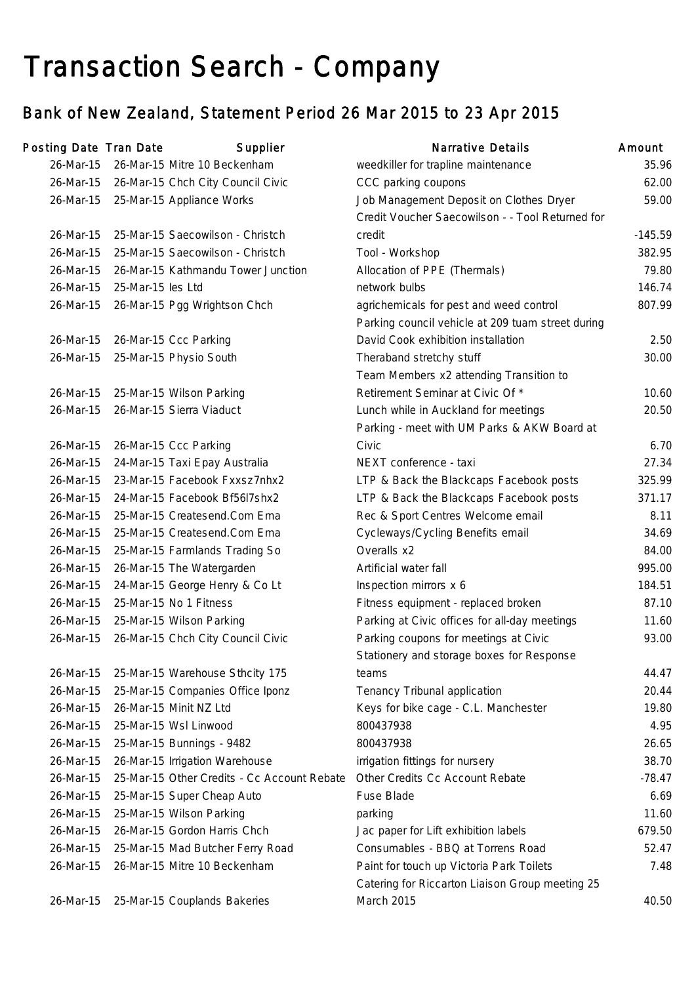# Transaction Search - Company

## Bank of New Zealand, Statement Period 26 Mar 2015 to 23 Apr 2015

| Posting Date Tran Date |                                | Supplier                                    | <b>Narrative Details</b>                                                                     | Amount    |
|------------------------|--------------------------------|---------------------------------------------|----------------------------------------------------------------------------------------------|-----------|
| 26-Mar-15              | 26-Mar-15 Mitre 10 Beckenham   |                                             | weedkiller for trapline maintenance                                                          | 35.96     |
| 26-Mar-15              |                                | 26-Mar-15 Chch City Council Civic           | CCC parking coupons                                                                          | 62.00     |
| 26-Mar-15              | 25-Mar-15 Appliance Works      |                                             | Job Management Deposit on Clothes Dryer<br>Credit Voucher Saecowilson - - Tool Returned for  | 59.00     |
| 26-Mar-15              |                                | 25-Mar-15 Saecowilson - Christch            | credit                                                                                       | $-145.59$ |
| 26-Mar-15              |                                | 25-Mar-15 Saecowilson - Christch            | Tool - Workshop                                                                              | 382.95    |
| 26-Mar-15              |                                | 26-Mar-15 Kathmandu Tower Junction          | Allocation of PPE (Thermals)                                                                 | 79.80     |
| 26-Mar-15              | 25-Mar-15 les Ltd              |                                             | network bulbs                                                                                | 146.74    |
| 26-Mar-15              | 26-Mar-15 Pgg Wrightson Chch   |                                             | agrichemicals for pest and weed control<br>Parking council vehicle at 209 tuam street during | 807.99    |
| 26-Mar-15              | 26-Mar-15 Ccc Parking          |                                             | David Cook exhibition installation                                                           | 2.50      |
| 26-Mar-15              | 25-Mar-15 Physio South         |                                             | Theraband stretchy stuff                                                                     | 30.00     |
|                        |                                |                                             | Team Members x2 attending Transition to                                                      |           |
| 26-Mar-15              | 25-Mar-15 Wilson Parking       |                                             | Retirement Seminar at Civic Of *                                                             | 10.60     |
| 26-Mar-15              | 26-Mar-15 Sierra Viaduct       |                                             | Lunch while in Auckland for meetings                                                         | 20.50     |
|                        |                                |                                             | Parking - meet with UM Parks & AKW Board at                                                  |           |
| 26-Mar-15              | 26-Mar-15 Ccc Parking          |                                             | Civic                                                                                        | 6.70      |
| 26-Mar-15              | 24-Mar-15 Taxi Epay Australia  |                                             | NEXT conference - taxi                                                                       | 27.34     |
| 26-Mar-15              |                                | 23-Mar-15 Facebook Fxxsz7nhx2               | LTP & Back the Blackcaps Facebook posts                                                      | 325.99    |
| 26-Mar-15              | 24-Mar-15 Facebook Bf56l7shx2  |                                             | LTP & Back the Blackcaps Facebook posts                                                      | 371.17    |
| 26-Mar-15              | 25-Mar-15 Createsend.Com Ema   |                                             | Rec & Sport Centres Welcome email                                                            | 8.11      |
| 26-Mar-15              | 25-Mar-15 Createsend.Com Ema   |                                             | Cycleways/Cycling Benefits email                                                             | 34.69     |
| 26-Mar-15              | 25-Mar-15 Farmlands Trading So |                                             | Overalls x2                                                                                  | 84.00     |
| 26-Mar-15              | 26-Mar-15 The Watergarden      |                                             | Artificial water fall                                                                        | 995.00    |
| 26-Mar-15              | 24-Mar-15 George Henry & Co Lt |                                             | Inspection mirrors x 6                                                                       | 184.51    |
| 26-Mar-15              | 25-Mar-15 No 1 Fitness         |                                             | Fitness equipment - replaced broken                                                          | 87.10     |
| 26-Mar-15              | 25-Mar-15 Wilson Parking       |                                             | Parking at Civic offices for all-day meetings                                                | 11.60     |
| 26-Mar-15              |                                | 26-Mar-15 Chch City Council Civic           | Parking coupons for meetings at Civic<br>Stationery and storage boxes for Response           | 93.00     |
| 26-Mar-15              |                                | 25-Mar-15 Warehouse Sthcity 175             | teams                                                                                        | 44.47     |
| 26-Mar-15              |                                | 25-Mar-15 Companies Office Iponz            | Tenancy Tribunal application                                                                 | 20.44     |
| 26-Mar-15              | 26-Mar-15 Minit NZ Ltd         |                                             | Keys for bike cage - C.L. Manchester                                                         | 19.80     |
| 26-Mar-15              | 25-Mar-15 Wsl Linwood          |                                             | 800437938                                                                                    | 4.95      |
| 26-Mar-15              | 25-Mar-15 Bunnings - 9482      |                                             | 800437938                                                                                    | 26.65     |
| 26-Mar-15              | 26-Mar-15 Irrigation Warehouse |                                             | irrigation fittings for nursery                                                              | 38.70     |
| 26-Mar-15              |                                | 25-Mar-15 Other Credits - Cc Account Rebate | Other Credits Cc Account Rebate                                                              | $-78.47$  |
| 26-Mar-15              | 25-Mar-15 Super Cheap Auto     |                                             | <b>Fuse Blade</b>                                                                            | 6.69      |
| 26-Mar-15              | 25-Mar-15 Wilson Parking       |                                             | parking                                                                                      | 11.60     |
| 26-Mar-15              | 26-Mar-15 Gordon Harris Chch   |                                             | Jac paper for Lift exhibition labels                                                         | 679.50    |
| 26-Mar-15              |                                | 25-Mar-15 Mad Butcher Ferry Road            | Consumables - BBQ at Torrens Road                                                            | 52.47     |
| 26-Mar-15              | 26-Mar-15 Mitre 10 Beckenham   |                                             | Paint for touch up Victoria Park Toilets<br>Catering for Riccarton Liaison Group meeting 25  | 7.48      |
| 26-Mar-15              | 25-Mar-15 Couplands Bakeries   |                                             | March 2015                                                                                   | 40.50     |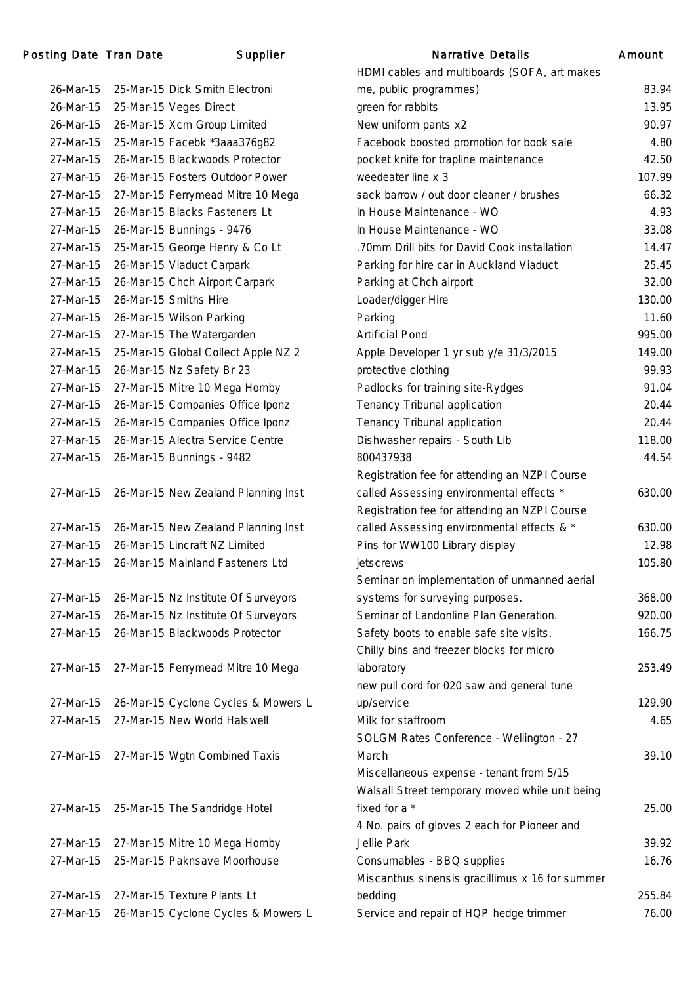| 26-Mar-15 | 25-Mar-15 Dick Smith Electroni      |
|-----------|-------------------------------------|
| 26-Mar-15 | 25-Mar-15 Veges Direct              |
| 26-Mar-15 | 26-Mar-15 Xcm Group Limited         |
| 27-Mar-15 | 25-Mar-15 Facebk *3aaa376g82        |
| 27-Mar-15 | 26-Mar-15 Blackwoods Protector      |
| 27-Mar-15 | 26-Mar-15 Fosters Outdoor Power     |
| 27-Mar-15 | 27-Mar-15 Ferrymead Mitre 10 Mega   |
| 27-Mar-15 | 26-Mar-15 Blacks Fasteners Lt       |
| 27-Mar-15 | 26-Mar-15 Bunnings - 9476           |
| 27-Mar-15 | 25-Mar-15 George Henry & Co Lt      |
| 27-Mar-15 | 26-Mar-15 Viaduct Carpark           |
| 27-Mar-15 | 26-Mar-15 Chch Airport Carpark      |
| 27-Mar-15 | 26-Mar-15 Smiths Hire               |
| 27-Mar-15 | 26-Mar-15 Wilson Parking            |
| 27-Mar-15 | 27-Mar-15 The Watergarden           |
| 27-Mar-15 | 25-Mar-15 Global Collect Apple NZ 2 |
| 27-Mar-15 | 26-Mar-15 Nz Safety Br 23           |
| 27-Mar-15 | 27-Mar-15 Mitre 10 Mega Hornby      |
| 27-Mar-15 | 26-Mar-15 Companies Office Iponz    |
| 27-Mar-15 | 26-Mar-15 Companies Office Iponz    |
| 27-Mar-15 | 26-Mar-15 Alectra Service Centre    |
| 27-Mar-15 | 26-Mar-15 Bunnings - 9482           |
|           |                                     |
| 27-Mar-15 | 26-Mar-15 New Zealand Planning Inst |
|           |                                     |
| 27-Mar-15 | 26-Mar-15 New Zealand Planning Inst |
| 27-Mar-15 | 26-Mar-15 Lincraft NZ Limited       |
| 27-Mar-15 | 26-Mar-15 Mainland Fasteners Ltd    |
|           |                                     |
| 27-Mar-15 | 26-Mar-15 Nz Institute Of Surveyors |
| 27-Mar-15 | 26-Mar-15 Nz Institute Of Surveyors |
| 27-Mar-15 | 26-Mar-15 Blackwoods Protector      |
|           |                                     |
| 27-Mar-15 | 27-Mar-15 Ferrymead Mitre 10 Mega   |
|           |                                     |
| 27-Mar-15 | 26-Mar-15 Cyclone Cycles & Mowers L |
| 27-Mar-15 | 27-Mar-15 New World Halswell        |
|           |                                     |
| 27-Mar-15 | 27-Mar-15 Wgtn Combined Taxis       |
|           |                                     |
|           |                                     |
| 27-Mar-15 | 25-Mar-15 The Sandridge Hotel       |
|           |                                     |
| 27-Mar-15 | 27-Mar-15 Mitre 10 Mega Hornby      |
| 27-Mar-15 | 25-Mar-15 Paknsave Moorhouse        |
|           |                                     |
| 27-Mar-15 | 27-Mar-15 Texture Plants Lt         |
| 27-Mar-15 | 26-Mar-15 Cyclone Cycles & Mowers L |

|           | ing Date Tran Date | Supplier                            | Narrative Details                               | Amount |
|-----------|--------------------|-------------------------------------|-------------------------------------------------|--------|
|           |                    |                                     | HDMI cables and multiboards (SOFA, art makes    |        |
| 26-Mar-15 |                    | 25-Mar-15 Dick Smith Electroni      | me, public programmes)                          | 83.94  |
| 26-Mar-15 |                    | 25-Mar-15 Veges Direct              | green for rabbits                               | 13.95  |
| 26-Mar-15 |                    | 26-Mar-15 Xcm Group Limited         | New uniform pants x2                            | 90.97  |
| 27-Mar-15 |                    | 25-Mar-15 Facebk *3aaa376g82        | Facebook boosted promotion for book sale        | 4.80   |
| 27-Mar-15 |                    | 26-Mar-15 Blackwoods Protector      | pocket knife for trapline maintenance           | 42.50  |
| 27-Mar-15 |                    | 26-Mar-15 Fosters Outdoor Power     | weedeater line x 3                              | 107.99 |
| 27-Mar-15 |                    | 27-Mar-15 Ferrymead Mitre 10 Mega   | sack barrow / out door cleaner / brushes        | 66.32  |
| 27-Mar-15 |                    | 26-Mar-15 Blacks Fasteners Lt       | In House Maintenance - WO                       | 4.93   |
| 27-Mar-15 |                    | 26-Mar-15 Bunnings - 9476           | In House Maintenance - WO                       | 33.08  |
| 27-Mar-15 |                    | 25-Mar-15 George Henry & Co Lt      | .70mm Drill bits for David Cook installation    | 14.47  |
| 27-Mar-15 |                    | 26-Mar-15 Viaduct Carpark           | Parking for hire car in Auckland Viaduct        | 25.45  |
| 27-Mar-15 |                    | 26-Mar-15 Chch Airport Carpark      | Parking at Chch airport                         | 32.00  |
| 27-Mar-15 |                    | 26-Mar-15 Smiths Hire               | Loader/digger Hire                              | 130.00 |
| 27-Mar-15 |                    | 26-Mar-15 Wilson Parking            | Parking                                         | 11.60  |
| 27-Mar-15 |                    | 27-Mar-15 The Watergarden           | <b>Artificial Pond</b>                          | 995.00 |
| 27-Mar-15 |                    | 25-Mar-15 Global Collect Apple NZ 2 | Apple Developer 1 yr sub y/e 31/3/2015          | 149.00 |
| 27-Mar-15 |                    | 26-Mar-15 Nz Safety Br 23           | protective clothing                             | 99.93  |
| 27-Mar-15 |                    | 27-Mar-15 Mitre 10 Mega Hornby      | Padlocks for training site-Rydges               | 91.04  |
| 27-Mar-15 |                    | 26-Mar-15 Companies Office Iponz    | Tenancy Tribunal application                    | 20.44  |
| 27-Mar-15 |                    | 26-Mar-15 Companies Office Iponz    | Tenancy Tribunal application                    | 20.44  |
| 27-Mar-15 |                    | 26-Mar-15 Alectra Service Centre    | Dishwasher repairs - South Lib                  | 118.00 |
| 27-Mar-15 |                    | 26-Mar-15 Bunnings - 9482           | 800437938                                       | 44.54  |
|           |                    |                                     | Registration fee for attending an NZPI Course   |        |
| 27-Mar-15 |                    | 26-Mar-15 New Zealand Planning Inst | called Assessing environmental effects *        | 630.00 |
|           |                    |                                     | Registration fee for attending an NZPI Course   |        |
| 27-Mar-15 |                    | 26-Mar-15 New Zealand Planning Inst | called Assessing environmental effects & *      | 630.00 |
| 27-Mar-15 |                    | 26-Mar-15 Lincraft NZ Limited       | Pins for WW100 Library display                  | 12.98  |
| 27-Mar-15 |                    | 26-Mar-15 Mainland Fasteners Ltd    | jetscrews                                       | 105.80 |
|           |                    |                                     | Seminar on implementation of unmanned aerial    |        |
| 27-Mar-15 |                    | 26-Mar-15 Nz Institute Of Surveyors | systems for surveying purposes.                 | 368.00 |
| 27-Mar-15 |                    | 26-Mar-15 Nz Institute Of Surveyors | Seminar of Landonline Plan Generation.          | 920.00 |
| 27-Mar-15 |                    | 26-Mar-15 Blackwoods Protector      | Safety boots to enable safe site visits.        | 166.75 |
|           |                    |                                     | Chilly bins and freezer blocks for micro        |        |
| 27-Mar-15 |                    | 27-Mar-15 Ferrymead Mitre 10 Mega   | laboratory                                      | 253.49 |
|           |                    |                                     | new pull cord for 020 saw and general tune      |        |
| 27-Mar-15 |                    | 26-Mar-15 Cyclone Cycles & Mowers L | up/service                                      | 129.90 |
| 27-Mar-15 |                    | 27-Mar-15 New World Halswell        | Milk for staffroom                              | 4.65   |
|           |                    |                                     | SOLGM Rates Conference - Wellington - 27        |        |
| 27-Mar-15 |                    | 27-Mar-15 Wgtn Combined Taxis       | March                                           | 39.10  |
|           |                    |                                     | Miscellaneous expense - tenant from 5/15        |        |
|           |                    |                                     | Walsall Street temporary moved while unit being |        |
| 27-Mar-15 |                    | 25-Mar-15 The Sandridge Hotel       | fixed for a *                                   | 25.00  |
|           |                    |                                     | 4 No. pairs of gloves 2 each for Pioneer and    |        |
| 27-Mar-15 |                    | 27-Mar-15 Mitre 10 Mega Hornby      | Jellie Park                                     | 39.92  |
| 27-Mar-15 |                    | 25-Mar-15 Paknsave Moorhouse        | Consumables - BBQ supplies                      | 16.76  |
|           |                    |                                     | Miscanthus sinensis gracillimus x 16 for summer |        |
| 27-Mar-15 |                    | 27-Mar-15 Texture Plants Lt         | bedding                                         | 255.84 |
| 27-Mar-15 |                    | 26-Mar-15 Cyclone Cycles & Mowers L | Service and repair of HQP hedge trimmer         | 76.00  |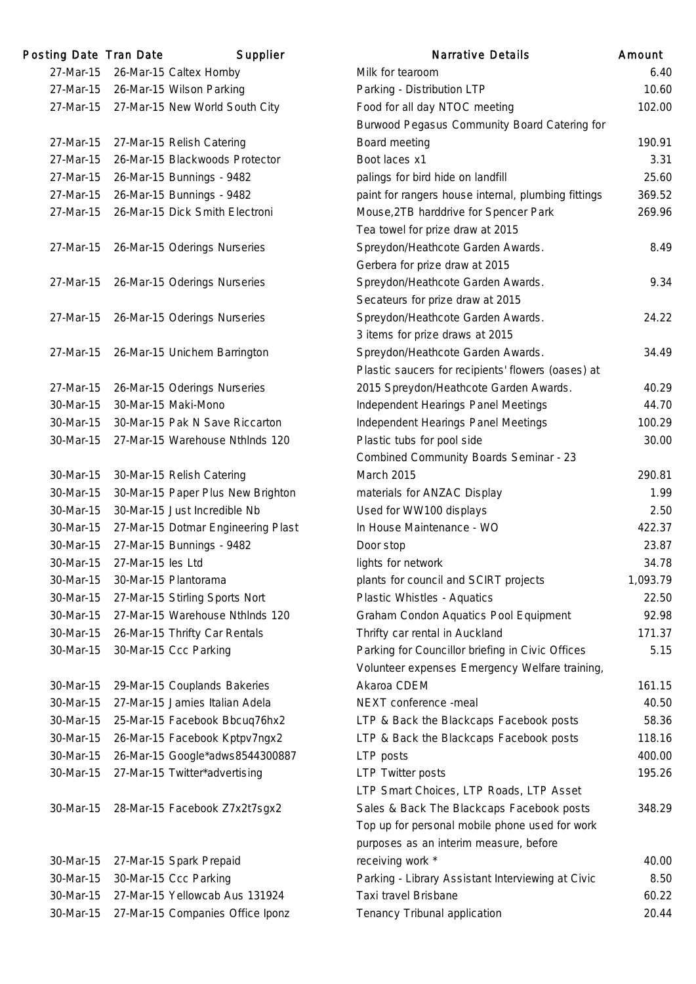| Posting Date Tran Date |                   | Supplier                                   | <b>Narrative Details</b>                            | Amount   |
|------------------------|-------------------|--------------------------------------------|-----------------------------------------------------|----------|
| 27-Mar-15              |                   | 26-Mar-15 Caltex Hornby                    | Milk for tearoom                                    | 6.40     |
| 27-Mar-15              |                   | 26-Mar-15 Wilson Parking                   | Parking - Distribution LTP                          | 10.60    |
|                        |                   | 27-Mar-15 27-Mar-15 New World South City   | Food for all day NTOC meeting                       | 102.00   |
|                        |                   |                                            | Burwood Pegasus Community Board Catering for        |          |
| 27-Mar-15              |                   | 27-Mar-15 Relish Catering                  | Board meeting                                       | 190.91   |
| 27-Mar-15              |                   | 26-Mar-15 Blackwoods Protector             | Boot laces x1                                       | 3.31     |
| 27-Mar-15              |                   | 26-Mar-15 Bunnings - 9482                  | palings for bird hide on landfill                   | 25.60    |
| 27-Mar-15              |                   | 26-Mar-15 Bunnings - 9482                  | paint for rangers house internal, plumbing fittings | 369.52   |
| 27-Mar-15              |                   | 26-Mar-15 Dick Smith Electroni             | Mouse, 2TB harddrive for Spencer Park               | 269.96   |
|                        |                   |                                            | Tea towel for prize draw at 2015                    |          |
| 27-Mar-15              |                   | 26-Mar-15 Oderings Nurseries               | Spreydon/Heathcote Garden Awards.                   | 8.49     |
|                        |                   |                                            | Gerbera for prize draw at 2015                      |          |
| 27-Mar-15              |                   | 26-Mar-15 Oderings Nurseries               | Spreydon/Heathcote Garden Awards.                   | 9.34     |
|                        |                   |                                            | Secateurs for prize draw at 2015                    |          |
| 27-Mar-15              |                   | 26-Mar-15 Oderings Nurseries               | Spreydon/Heathcote Garden Awards.                   | 24.22    |
|                        |                   |                                            | 3 items for prize draws at 2015                     |          |
| 27-Mar-15              |                   | 26-Mar-15 Unichem Barrington               | Spreydon/Heathcote Garden Awards.                   | 34.49    |
|                        |                   |                                            | Plastic saucers for recipients' flowers (oases) at  |          |
| 27-Mar-15              |                   | 26-Mar-15 Oderings Nurseries               | 2015 Spreydon/Heathcote Garden Awards.              | 40.29    |
| 30-Mar-15              |                   | 30-Mar-15 Maki-Mono                        | Independent Hearings Panel Meetings                 | 44.70    |
| 30-Mar-15              |                   | 30-Mar-15 Pak N Save Riccarton             | Independent Hearings Panel Meetings                 | 100.29   |
| 30-Mar-15              |                   | 27-Mar-15 Warehouse Nthinds 120            | Plastic tubs for pool side                          | 30.00    |
|                        |                   |                                            | Combined Community Boards Seminar - 23              |          |
| 30-Mar-15              |                   | 30-Mar-15 Relish Catering                  | <b>March 2015</b>                                   | 290.81   |
| 30-Mar-15              |                   | 30-Mar-15 Paper Plus New Brighton          | materials for ANZAC Display                         | 1.99     |
| 30-Mar-15              |                   | 30-Mar-15 Just Incredible Nb               | Used for WW100 displays                             | 2.50     |
| 30-Mar-15              |                   | 27-Mar-15 Dotmar Engineering Plast         | In House Maintenance - WO                           | 422.37   |
| 30-Mar-15              |                   | 27-Mar-15 Bunnings - 9482                  | Door stop                                           | 23.87    |
| 30-Mar-15              | 27-Mar-15 les Ltd |                                            | lights for network                                  | 34.78    |
| 30-Mar-15              |                   | 30-Mar-15 Plantorama                       | plants for council and SCIRT projects               | 1,093.79 |
| 30-Mar-15              |                   | 27-Mar-15 Stirling Sports Nort             | Plastic Whistles - Aquatics                         | 22.50    |
| 30-Mar-15              |                   | 27-Mar-15 Warehouse Nthinds 120            | Graham Condon Aquatics Pool Equipment               | 92.98    |
| 30-Mar-15              |                   | 26-Mar-15 Thrifty Car Rentals              | Thrifty car rental in Auckland                      | 171.37   |
| 30-Mar-15              |                   | 30-Mar-15 Ccc Parking                      | Parking for Councillor briefing in Civic Offices    | 5.15     |
|                        |                   |                                            | Volunteer expenses Emergency Welfare training,      |          |
| 30-Mar-15              |                   | 29-Mar-15 Couplands Bakeries               | Akaroa CDEM                                         | 161.15   |
| 30-Mar-15              |                   | 27-Mar-15 Jamies Italian Adela             | NEXT conference -meal                               | 40.50    |
| 30-Mar-15              |                   | 25-Mar-15 Facebook Bbcuq76hx2              | LTP & Back the Blackcaps Facebook posts             | 58.36    |
| 30-Mar-15              |                   | 26-Mar-15 Facebook Kptpv7ngx2              | LTP & Back the Blackcaps Facebook posts             | 118.16   |
| 30-Mar-15              |                   | 26-Mar-15 Google*adws8544300887            | LTP posts                                           | 400.00   |
| 30-Mar-15              |                   | 27-Mar-15 Twitter*advertising              | <b>LTP Twitter posts</b>                            | 195.26   |
|                        |                   |                                            | LTP Smart Choices, LTP Roads, LTP Asset             |          |
| 30-Mar-15              |                   | 28-Mar-15 Facebook Z7x2t7sgx2              | Sales & Back The Blackcaps Facebook posts           | 348.29   |
|                        |                   |                                            | Top up for personal mobile phone used for work      |          |
|                        |                   |                                            | purposes as an interim measure, before              |          |
| 30-Mar-15              |                   | 27-Mar-15 Spark Prepaid                    | receiving work *                                    | 40.00    |
| 30-Mar-15              |                   | 30-Mar-15 Ccc Parking                      | Parking - Library Assistant Interviewing at Civic   | 8.50     |
| 30-Mar-15              |                   | 27-Mar-15 Yellowcab Aus 131924             | Taxi travel Brisbane                                | 60.22    |
|                        |                   | 20 Mor 15 27 Mor 15 Companies Office Ipony | Tononou Tribunol opplication                        | 20.11    |

|           | ling Date Tran Date | Supplier                           | <b>Narrative Details</b>                            | Amount   |
|-----------|---------------------|------------------------------------|-----------------------------------------------------|----------|
| 27-Mar-15 |                     | 26-Mar-15 Caltex Hornby            | Milk for tearoom                                    | 6.40     |
| 27-Mar-15 |                     | 26-Mar-15 Wilson Parking           | Parking - Distribution LTP                          | 10.60    |
| 27-Mar-15 |                     | 27-Mar-15 New World South City     | Food for all day NTOC meeting                       | 102.00   |
|           |                     |                                    | Burwood Pegasus Community Board Catering for        |          |
| 27-Mar-15 |                     | 27-Mar-15 Relish Catering          | Board meeting                                       | 190.91   |
| 27-Mar-15 |                     | 26-Mar-15 Blackwoods Protector     | Boot laces x1                                       | 3.31     |
| 27-Mar-15 |                     | 26-Mar-15 Bunnings - 9482          | palings for bird hide on landfill                   | 25.60    |
| 27-Mar-15 |                     | 26-Mar-15 Bunnings - 9482          | paint for rangers house internal, plumbing fittings | 369.52   |
| 27-Mar-15 |                     | 26-Mar-15 Dick Smith Electroni     | Mouse, 2TB harddrive for Spencer Park               | 269.96   |
|           |                     |                                    | Tea towel for prize draw at 2015                    |          |
| 27-Mar-15 |                     | 26-Mar-15 Oderings Nurseries       | Spreydon/Heathcote Garden Awards.                   | 8.49     |
|           |                     |                                    | Gerbera for prize draw at 2015                      |          |
| 27-Mar-15 |                     | 26-Mar-15 Oderings Nurseries       | Spreydon/Heathcote Garden Awards.                   | 9.34     |
|           |                     |                                    | Secateurs for prize draw at 2015                    |          |
| 27-Mar-15 |                     | 26-Mar-15 Oderings Nurseries       | Spreydon/Heathcote Garden Awards.                   | 24.22    |
|           |                     |                                    | 3 items for prize draws at 2015                     |          |
| 27-Mar-15 |                     | 26-Mar-15 Unichem Barrington       | Spreydon/Heathcote Garden Awards.                   | 34.49    |
|           |                     |                                    | Plastic saucers for recipients' flowers (oases) at  |          |
| 27-Mar-15 |                     | 26-Mar-15 Oderings Nurseries       | 2015 Spreydon/Heathcote Garden Awards.              | 40.29    |
| 30-Mar-15 |                     | 30-Mar-15 Maki-Mono                | Independent Hearings Panel Meetings                 | 44.70    |
| 30-Mar-15 |                     | 30-Mar-15 Pak N Save Riccarton     | Independent Hearings Panel Meetings                 | 100.29   |
| 30-Mar-15 |                     | 27-Mar-15 Warehouse NthInds 120    | Plastic tubs for pool side                          | 30.00    |
|           |                     |                                    | Combined Community Boards Seminar - 23              |          |
| 30-Mar-15 |                     | 30-Mar-15 Relish Catering          | <b>March 2015</b>                                   | 290.81   |
| 30-Mar-15 |                     | 30-Mar-15 Paper Plus New Brighton  | materials for ANZAC Display                         | 1.99     |
| 30-Mar-15 |                     | 30-Mar-15 Just Incredible Nb       | Used for WW100 displays                             | 2.50     |
| 30-Mar-15 |                     | 27-Mar-15 Dotmar Engineering Plast | In House Maintenance - WO                           | 422.37   |
| 30-Mar-15 |                     | 27-Mar-15 Bunnings - 9482          | Door stop                                           | 23.87    |
| 30-Mar-15 | 27-Mar-15 les Ltd   |                                    | lights for network                                  | 34.78    |
| 30-Mar-15 |                     | 30-Mar-15 Plantorama               | plants for council and SCIRT projects               | 1,093.79 |
| 30-Mar-15 |                     | 27-Mar-15 Stirling Sports Nort     | Plastic Whistles - Aquatics                         | 22.50    |
| 30-Mar-15 |                     | 27-Mar-15 Warehouse Nthlnds 120    | Graham Condon Aquatics Pool Equipment               | 92.98    |
| 30-Mar-15 |                     | 26-Mar-15 Thrifty Car Rentals      | Thrifty car rental in Auckland                      | 171.37   |
| 30-Mar-15 |                     | 30-Mar-15 Ccc Parking              | Parking for Councillor briefing in Civic Offices    | 5.15     |
|           |                     |                                    | Volunteer expenses Emergency Welfare training,      |          |
| 30-Mar-15 |                     | 29-Mar-15 Couplands Bakeries       | Akaroa CDEM                                         | 161.15   |
| 30-Mar-15 |                     | 27-Mar-15 Jamies Italian Adela     | NEXT conference -meal                               | 40.50    |
|           |                     |                                    |                                                     |          |
| 30-Mar-15 |                     | 25-Mar-15 Facebook Bbcuq76hx2      | LTP & Back the Blackcaps Facebook posts             | 58.36    |
| 30-Mar-15 |                     | 26-Mar-15 Facebook Kptpv7ngx2      | LTP & Back the Blackcaps Facebook posts             | 118.16   |
| 30-Mar-15 |                     | 26-Mar-15 Google*adws8544300887    | LTP posts                                           | 400.00   |
| 30-Mar-15 |                     | 27-Mar-15 Twitter*advertising      | <b>LTP Twitter posts</b>                            | 195.26   |
|           |                     |                                    | LTP Smart Choices, LTP Roads, LTP Asset             |          |
| 30-Mar-15 |                     | 28-Mar-15 Facebook Z7x2t7sgx2      | Sales & Back The Blackcaps Facebook posts           | 348.29   |
|           |                     |                                    | Top up for personal mobile phone used for work      |          |
|           |                     |                                    | purposes as an interim measure, before              |          |
| 30-Mar-15 |                     | 27-Mar-15 Spark Prepaid            | receiving work *                                    | 40.00    |
| 30-Mar-15 |                     | 30-Mar-15 Ccc Parking              | Parking - Library Assistant Interviewing at Civic   | 8.50     |
| 30-Mar-15 |                     | 27-Mar-15 Yellowcab Aus 131924     | Taxi travel Brisbane                                | 60.22    |
| 30-Mar-15 |                     | 27-Mar-15 Companies Office Iponz   | Tenancy Tribunal application                        | 20.44    |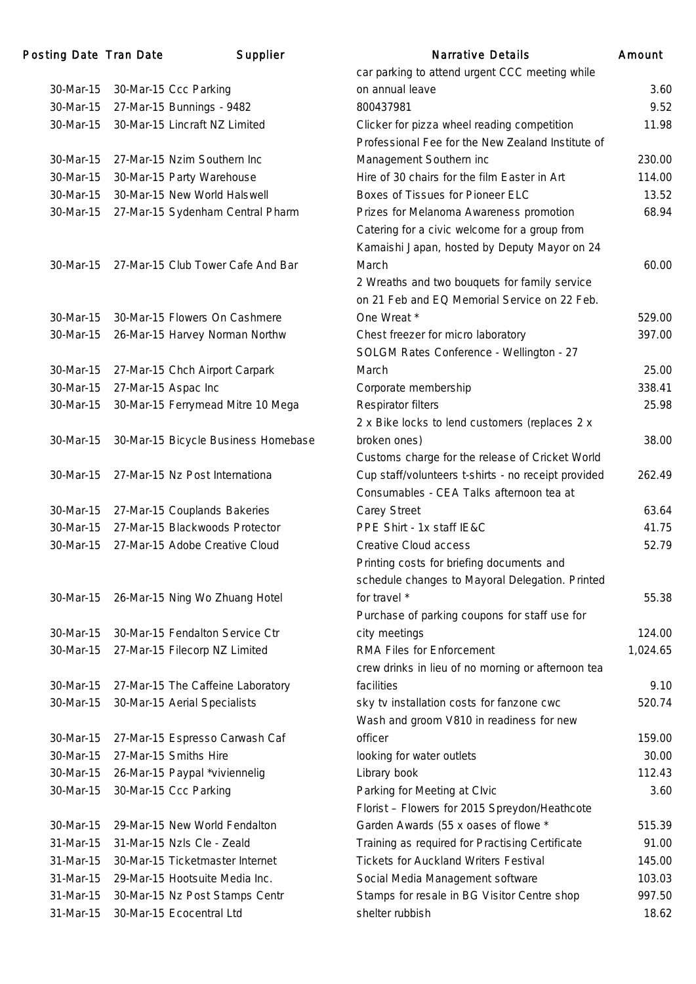| <b>Posting Date Tran Date</b> | Supplier                            | <b>Narrative Details</b>                            | Amount   |
|-------------------------------|-------------------------------------|-----------------------------------------------------|----------|
|                               |                                     | car parking to attend urgent CCC meeting while      |          |
| 30-Mar-15                     | 30-Mar-15 Ccc Parking               | on annual leave                                     | 3.60     |
| 30-Mar-15                     | 27-Mar-15 Bunnings - 9482           | 800437981                                           | 9.52     |
| 30-Mar-15                     | 30-Mar-15 Lincraft NZ Limited       | Clicker for pizza wheel reading competition         | 11.98    |
|                               |                                     | Professional Fee for the New Zealand Institute of   |          |
| 30-Mar-15                     | 27-Mar-15 Nzim Southern Inc         | Management Southern inc                             | 230.00   |
| 30-Mar-15                     | 30-Mar-15 Party Warehouse           | Hire of 30 chairs for the film Easter in Art        | 114.00   |
| 30-Mar-15                     | 30-Mar-15 New World Halswell        | Boxes of Tissues for Pioneer ELC                    | 13.52    |
| 30-Mar-15                     | 27-Mar-15 Sydenham Central Pharm    | Prizes for Melanoma Awareness promotion             | 68.94    |
|                               |                                     | Catering for a civic welcome for a group from       |          |
|                               |                                     | Kamaishi Japan, hosted by Deputy Mayor on 24        |          |
| 30-Mar-15                     | 27-Mar-15 Club Tower Cafe And Bar   | March                                               | 60.00    |
|                               |                                     | 2 Wreaths and two bouquets for family service       |          |
|                               |                                     | on 21 Feb and EQ Memorial Service on 22 Feb.        |          |
| 30-Mar-15                     | 30-Mar-15 Flowers On Cashmere       | One Wreat *                                         | 529.00   |
| 30-Mar-15                     | 26-Mar-15 Harvey Norman Northw      | Chest freezer for micro laboratory                  | 397.00   |
|                               |                                     | SOLGM Rates Conference - Wellington - 27            |          |
| 30-Mar-15                     | 27-Mar-15 Chch Airport Carpark      | March                                               | 25.00    |
| 30-Mar-15                     | 27-Mar-15 Aspac Inc                 | Corporate membership                                | 338.41   |
| 30-Mar-15                     | 30-Mar-15 Ferrymead Mitre 10 Mega   | Respirator filters                                  | 25.98    |
|                               |                                     | 2 x Bike locks to lend customers (replaces 2 x      |          |
| 30-Mar-15                     | 30-Mar-15 Bicycle Business Homebase | broken ones)                                        | 38.00    |
|                               |                                     | Customs charge for the release of Cricket World     |          |
| 30-Mar-15                     | 27-Mar-15 Nz Post Internationa      | Cup staff/volunteers t-shirts - no receipt provided | 262.49   |
|                               |                                     | Consumables - CEA Talks afternoon tea at            |          |
| 30-Mar-15                     | 27-Mar-15 Couplands Bakeries        | Carey Street                                        | 63.64    |
| 30-Mar-15                     | 27-Mar-15 Blackwoods Protector      | PPE Shirt - 1x staff IE&C                           | 41.75    |
| 30-Mar-15                     | 27-Mar-15 Adobe Creative Cloud      | Creative Cloud access                               | 52.79    |
|                               |                                     | Printing costs for briefing documents and           |          |
|                               |                                     | schedule changes to Mayoral Delegation. Printed     |          |
| 30-Mar-15                     | 26-Mar-15 Ning Wo Zhuang Hotel      | for travel *                                        | 55.38    |
|                               |                                     | Purchase of parking coupons for staff use for       |          |
| 30-Mar-15                     | 30-Mar-15 Fendalton Service Ctr     | city meetings                                       | 124.00   |
| 30-Mar-15                     | 27-Mar-15 Filecorp NZ Limited       | RMA Files for Enforcement                           | 1,024.65 |
|                               |                                     | crew drinks in lieu of no morning or afternoon tea  |          |
| 30-Mar-15                     | 27-Mar-15 The Caffeine Laboratory   | facilities                                          | 9.10     |
| 30-Mar-15                     | 30-Mar-15 Aerial Specialists        | sky tv installation costs for fanzone cwc           | 520.74   |
|                               |                                     | Wash and groom V810 in readiness for new            |          |
| 30-Mar-15                     | 27-Mar-15 Espresso Carwash Caf      | officer                                             | 159.00   |
| 30-Mar-15                     | 27-Mar-15 Smiths Hire               | looking for water outlets                           | 30.00    |
| 30-Mar-15                     | 26-Mar-15 Paypal *viviennelig       | Library book                                        | 112.43   |
| 30-Mar-15                     | 30-Mar-15 Ccc Parking               | Parking for Meeting at Clvic                        | 3.60     |
|                               |                                     | Florist - Flowers for 2015 Spreydon/Heathcote       |          |
| 30-Mar-15                     | 29-Mar-15 New World Fendalton       | Garden Awards (55 x oases of flowe *                | 515.39   |
| 31-Mar-15                     | 31-Mar-15 Nzls Cle - Zeald          | Training as required for Practising Certificate     | 91.00    |
| 31-Mar-15                     | 30-Mar-15 Ticketmaster Internet     | <b>Tickets for Auckland Writers Festival</b>        | 145.00   |
| 31-Mar-15                     | 29-Mar-15 Hootsuite Media Inc.      | Social Media Management software                    | 103.03   |
| 31-Mar-15                     | 30-Mar-15 Nz Post Stamps Centr      | Stamps for resale in BG Visitor Centre shop         | 997.50   |
| 31-Mar-15                     | 30-Mar-15 Ecocentral Ltd            | shelter rubbish                                     | 18.62    |
|                               |                                     |                                                     |          |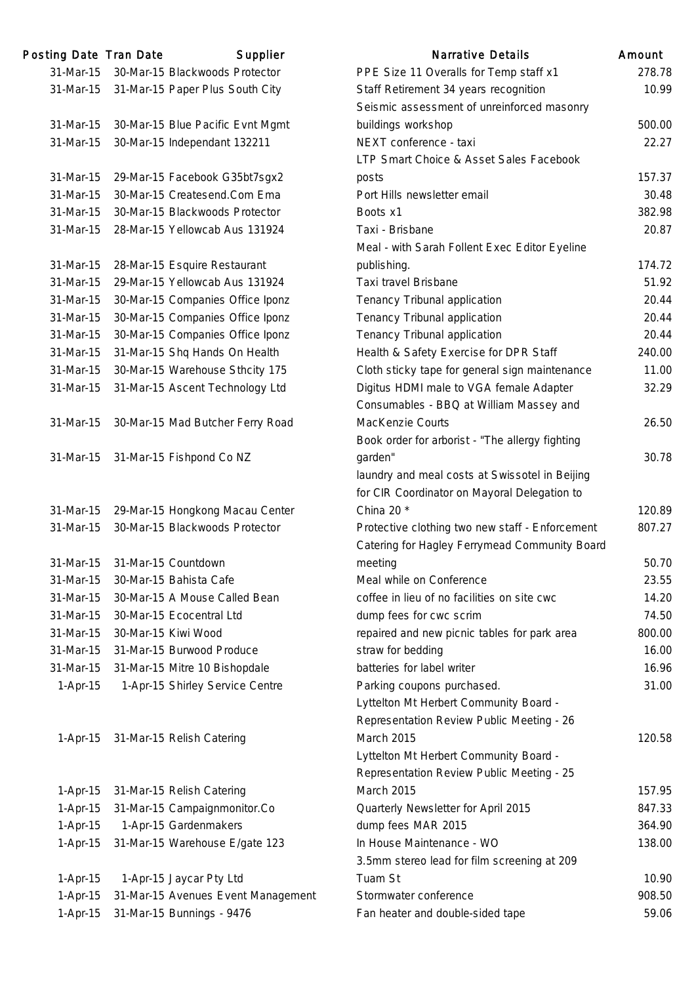| Posting Date Tran Date |                     | Supplier                           | <b>Narrative Details</b>                                                                         | Amount |
|------------------------|---------------------|------------------------------------|--------------------------------------------------------------------------------------------------|--------|
| 31-Mar-15              |                     | 30-Mar-15 Blackwoods Protector     | PPE Size 11 Overalls for Temp staff x1                                                           | 278.78 |
| 31-Mar-15              |                     | 31-Mar-15 Paper Plus South City    | Staff Retirement 34 years recognition                                                            | 10.99  |
|                        |                     |                                    | Seismic assessment of unreinforced masonry                                                       |        |
| 31-Mar-15              |                     | 30-Mar-15 Blue Pacific Evnt Mgmt   | buildings workshop                                                                               | 500.00 |
| 31-Mar-15              |                     | 30-Mar-15 Independant 132211       | NEXT conference - taxi                                                                           | 22.27  |
|                        |                     |                                    | LTP Smart Choice & Asset Sales Facebook                                                          |        |
| 31-Mar-15              |                     | 29-Mar-15 Facebook G35bt7sgx2      | posts                                                                                            | 157.37 |
| 31-Mar-15              |                     | 30-Mar-15 Createsend.Com Ema       | Port Hills newsletter email                                                                      | 30.48  |
| 31-Mar-15              |                     | 30-Mar-15 Blackwoods Protector     | Boots x1                                                                                         | 382.98 |
| 31-Mar-15              |                     | 28-Mar-15 Yellowcab Aus 131924     | Taxi - Brisbane                                                                                  | 20.87  |
|                        |                     |                                    | Meal - with Sarah Follent Exec Editor Eyeline                                                    |        |
| 31-Mar-15              |                     | 28-Mar-15 Esquire Restaurant       | publishing.                                                                                      | 174.72 |
| 31-Mar-15              |                     | 29-Mar-15 Yellowcab Aus 131924     | Taxi travel Brisbane                                                                             | 51.92  |
| 31-Mar-15              |                     | 30-Mar-15 Companies Office Iponz   | Tenancy Tribunal application                                                                     | 20.44  |
| 31-Mar-15              |                     | 30-Mar-15 Companies Office Iponz   | Tenancy Tribunal application                                                                     | 20.44  |
| 31-Mar-15              |                     | 30-Mar-15 Companies Office Iponz   | Tenancy Tribunal application                                                                     | 20.44  |
| 31-Mar-15              |                     | 31-Mar-15 Shq Hands On Health      | Health & Safety Exercise for DPR Staff                                                           | 240.00 |
| 31-Mar-15              |                     | 30-Mar-15 Warehouse Sthcity 175    | Cloth sticky tape for general sign maintenance                                                   | 11.00  |
| 31-Mar-15              |                     | 31-Mar-15 Ascent Technology Ltd    | Digitus HDMI male to VGA female Adapter                                                          | 32.29  |
|                        |                     |                                    | Consumables - BBQ at William Massey and                                                          |        |
| 31-Mar-15              |                     | 30-Mar-15 Mad Butcher Ferry Road   | MacKenzie Courts                                                                                 | 26.50  |
|                        |                     |                                    | Book order for arborist - "The allergy fighting                                                  |        |
| 31-Mar-15              |                     | 31-Mar-15 Fishpond Co NZ           | garden"                                                                                          | 30.78  |
|                        |                     |                                    | laundry and meal costs at Swissotel in Beijing                                                   |        |
|                        |                     |                                    | for CIR Coordinator on Mayoral Delegation to                                                     |        |
| 31-Mar-15              |                     | 29-Mar-15 Hongkong Macau Center    | China 20 <sup>*</sup>                                                                            | 120.89 |
|                        |                     | 30-Mar-15 Blackwoods Protector     |                                                                                                  |        |
| 31-Mar-15              |                     |                                    | Protective clothing two new staff - Enforcement<br>Catering for Hagley Ferrymead Community Board | 807.27 |
| 31-Mar-15              |                     | 31-Mar-15 Countdown                | meeting                                                                                          | 50.70  |
| 31-Mar-15              |                     | 30-Mar-15 Bahista Cafe             | Meal while on Conference                                                                         | 23.55  |
| 31-Mar-15              |                     | 30-Mar-15 A Mouse Called Bean      | coffee in lieu of no facilities on site cwc                                                      | 14.20  |
| 31-Mar-15              |                     | 30-Mar-15 Ecocentral Ltd           | dump fees for cwc scrim                                                                          | 74.50  |
| 31-Mar-15              | 30-Mar-15 Kiwi Wood |                                    | repaired and new picnic tables for park area                                                     | 800.00 |
| 31-Mar-15              |                     | 31-Mar-15 Burwood Produce          | straw for bedding                                                                                | 16.00  |
| 31-Mar-15              |                     | 31-Mar-15 Mitre 10 Bishopdale      | batteries for label writer                                                                       | 16.96  |
| $1-Apr-15$             |                     | 1-Apr-15 Shirley Service Centre    | Parking coupons purchased.                                                                       | 31.00  |
|                        |                     |                                    | Lyttelton Mt Herbert Community Board -                                                           |        |
|                        |                     |                                    | Representation Review Public Meeting - 26                                                        |        |
| 1-Apr-15               |                     | 31-Mar-15 Relish Catering          | March 2015                                                                                       | 120.58 |
|                        |                     |                                    | Lyttelton Mt Herbert Community Board -                                                           |        |
|                        |                     |                                    | Representation Review Public Meeting - 25                                                        |        |
| $1-Apr-15$             |                     | 31-Mar-15 Relish Catering          | <b>March 2015</b>                                                                                | 157.95 |
| $1-Apr-15$             |                     | 31-Mar-15 Campaignmonitor.Co       | Quarterly Newsletter for April 2015                                                              | 847.33 |
| $1-Apr-15$             |                     | 1-Apr-15 Gardenmakers              | dump fees MAR 2015                                                                               | 364.90 |
| $1-Apr-15$             |                     | 31-Mar-15 Warehouse E/gate 123     | In House Maintenance - WO                                                                        | 138.00 |
|                        |                     |                                    | 3.5mm stereo lead for film screening at 209                                                      |        |
| $1-Apr-15$             |                     | 1-Apr-15 Jaycar Pty Ltd            | Tuam St                                                                                          | 10.90  |
| $1-Apr-15$             |                     | 31-Mar-15 Avenues Event Management | Stormwater conference                                                                            | 908.50 |
| $1-Apr-15$             |                     | 31-Mar-15 Bunnings - 9476          | Fan heater and double-sided tape                                                                 | 59.06  |
|                        |                     |                                    |                                                                                                  |        |

| <b>Narrative Details</b>                        | Amount |
|-------------------------------------------------|--------|
| PPE Size 11 Overalls for Temp staff x1          | 278.78 |
| Staff Retirement 34 years recognition           | 10.99  |
| Seismic assessment of unreinforced masonry      |        |
| buildings workshop                              | 500.00 |
| NEXT conference - taxi                          | 22.27  |
| LTP Smart Choice & Asset Sales Facebook         |        |
| posts                                           | 157.37 |
| Port Hills newsletter email                     | 30.48  |
| Boots x1                                        | 382.98 |
| Taxi - Brisbane                                 | 20.87  |
| Meal - with Sarah Follent Exec Editor Eyeline   |        |
| publishing.                                     | 174.72 |
| Taxi travel Brisbane                            | 51.92  |
| Tenancy Tribunal application                    | 20.44  |
| Tenancy Tribunal application                    | 20.44  |
| Tenancy Tribunal application                    | 20.44  |
| Health & Safety Exercise for DPR Staff          | 240.00 |
| Cloth sticky tape for general sign maintenance  | 11.00  |
| Digitus HDMI male to VGA female Adapter         | 32.29  |
| Consumables - BBQ at William Massey and         |        |
| MacKenzie Courts                                | 26.50  |
| Book order for arborist - "The allergy fighting |        |
| garden"                                         | 30.78  |
| laundry and meal costs at Swissotel in Beijing  |        |
| for CIR Coordinator on Mayoral Delegation to    |        |
| China 20 $*$                                    | 120.89 |
| Protective clothing two new staff - Enforcement | 807.27 |
| Catering for Hagley Ferrymead Community Board   |        |
| meeting                                         | 50.70  |
| Meal while on Conference                        | 23.55  |
| coffee in lieu of no facilities on site cwc     | 14.20  |
| dump fees for cwc scrim                         | 74.50  |
| repaired and new picnic tables for park area    | 800.00 |
| straw for bedding                               | 16.00  |
| batteries for label writer                      | 16.96  |
| Parking coupons purchased.                      | 31.00  |
| Lyttelton Mt Herbert Community Board -          |        |
| Representation Review Public Meeting - 26       |        |
| March 2015                                      | 120.58 |
| Lyttelton Mt Herbert Community Board -          |        |
| Representation Review Public Meeting - 25       |        |
| March 2015                                      | 157.95 |
| Quarterly Newsletter for April 2015             | 847.33 |
| dump fees MAR 2015                              | 364.90 |
| In House Maintenance - WO                       | 138.00 |
| 3.5mm stereo lead for film screening at 209     |        |
| Tuam St                                         | 10.90  |
| Stormwater conference                           | 908.50 |
| Fan heater and double-sided tape                | 59.06  |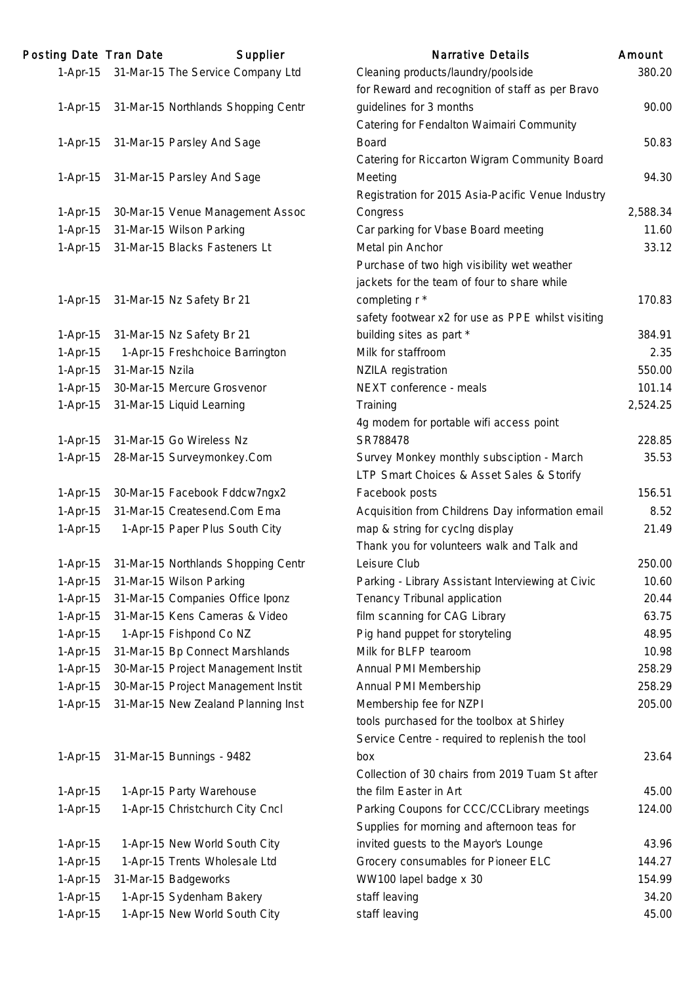| Posting Date Tran Date |                 | Supplier                                   | <b>Narrative Details</b>                                   | Amount   |
|------------------------|-----------------|--------------------------------------------|------------------------------------------------------------|----------|
|                        |                 | 1-Apr-15 31-Mar-15 The Service Company Ltd | Cleaning products/laundry/poolside                         | 380.20   |
|                        |                 |                                            | for Reward and recognition of staff as per Bravo           |          |
| $1-Apr-15$             |                 | 31-Mar-15 Northlands Shopping Centr        | guidelines for 3 months                                    | 90.00    |
|                        |                 |                                            | Catering for Fendalton Waimairi Community                  |          |
| $1-Apr-15$             |                 | 31-Mar-15 Parsley And Sage                 | <b>Board</b>                                               | 50.83    |
|                        |                 |                                            | Catering for Riccarton Wigram Community Board              |          |
| $1-Apr-15$             |                 | 31-Mar-15 Parsley And Sage                 | Meeting                                                    | 94.30    |
|                        |                 |                                            | Registration for 2015 Asia-Pacific Venue Industry          |          |
| $1-Apr-15$             |                 | 30-Mar-15 Venue Management Assoc           | Congress                                                   | 2,588.34 |
| $1-Apr-15$             |                 | 31-Mar-15 Wilson Parking                   | Car parking for Vbase Board meeting                        | 11.60    |
| $1-Apr-15$             |                 | 31-Mar-15 Blacks Fasteners Lt              | Metal pin Anchor                                           | 33.12    |
|                        |                 |                                            | Purchase of two high visibility wet weather                |          |
|                        |                 |                                            | jackets for the team of four to share while                |          |
| $1-Apr-15$             |                 | 31-Mar-15 Nz Safety Br 21                  | completing r *                                             | 170.83   |
|                        |                 |                                            | safety footwear x2 for use as PPE whilst visiting          |          |
| $1-Apr-15$             |                 | 31-Mar-15 Nz Safety Br 21                  | building sites as part *                                   | 384.91   |
| $1-Apr-15$             |                 | 1-Apr-15 Freshchoice Barrington            | Milk for staffroom                                         | 2.35     |
| $1-Apr-15$             | 31-Mar-15 Nzila |                                            | <b>NZILA</b> registration                                  | 550.00   |
| $1-Apr-15$             |                 | 30-Mar-15 Mercure Grosvenor                | NEXT conference - meals                                    | 101.14   |
| $1-Apr-15$             |                 | 31-Mar-15 Liquid Learning                  | Training                                                   | 2,524.25 |
|                        |                 |                                            | 4g modem for portable wifi access point                    |          |
| $1-Apr-15$             |                 | 31-Mar-15 Go Wireless Nz                   | SR788478                                                   | 228.85   |
| $1-Apr-15$             |                 | 28-Mar-15 Surveymonkey.Com                 | Survey Monkey monthly subsciption - March                  | 35.53    |
|                        |                 |                                            | LTP Smart Choices & Asset Sales & Storify                  |          |
| $1-Apr-15$             |                 | 30-Mar-15 Facebook Fddcw7ngx2              | Facebook posts                                             | 156.51   |
| 1-Apr-15               |                 | 31-Mar-15 Createsend.Com Ema               | Acquisition from Childrens Day information email           | 8.52     |
| $1-Apr-15$             |                 | 1-Apr-15 Paper Plus South City             |                                                            | 21.49    |
|                        |                 |                                            | map & string for cyclng display                            |          |
|                        |                 |                                            | Thank you for volunteers walk and Talk and<br>Leisure Club | 250.00   |
| $1-Apr-15$             |                 | 31-Mar-15 Northlands Shopping Centr        |                                                            |          |
| $1-Apr-15$             |                 | 31-Mar-15 Wilson Parking                   | Parking - Library Assistant Interviewing at Civic          | 10.60    |
| 1-Apr-15               |                 | 31-Mar-15 Companies Office Iponz           | Tenancy Tribunal application                               | 20.44    |
| $1-Apr-15$             |                 | 31-Mar-15 Kens Cameras & Video             | film scanning for CAG Library                              | 63.75    |
| $1-Apr-15$             |                 | 1-Apr-15 Fishpond Co NZ                    | Pig hand puppet for storyteling                            | 48.95    |
| $1-Apr-15$             |                 | 31-Mar-15 Bp Connect Marshlands            | Milk for BLFP tearoom                                      | 10.98    |
| $1-Apr-15$             |                 | 30-Mar-15 Project Management Instit        | Annual PMI Membership                                      | 258.29   |
| $1-Apr-15$             |                 | 30-Mar-15 Project Management Instit        | Annual PMI Membership                                      | 258.29   |
| 1-Apr-15               |                 | 31-Mar-15 New Zealand Planning Inst        | Membership fee for NZPI                                    | 205.00   |
|                        |                 |                                            | tools purchased for the toolbox at Shirley                 |          |
|                        |                 |                                            | Service Centre - required to replenish the tool            |          |
| $1-Apr-15$             |                 | 31-Mar-15 Bunnings - 9482                  | box                                                        | 23.64    |
|                        |                 |                                            | Collection of 30 chairs from 2019 Tuam St after            |          |
| $1-Apr-15$             |                 | 1-Apr-15 Party Warehouse                   | the film Easter in Art                                     | 45.00    |
| $1-Apr-15$             |                 | 1-Apr-15 Christchurch City Cncl            | Parking Coupons for CCC/CCLibrary meetings                 | 124.00   |
|                        |                 |                                            | Supplies for morning and afternoon teas for                |          |
| $1-Apr-15$             |                 | 1-Apr-15 New World South City              | invited guests to the Mayor's Lounge                       | 43.96    |
| $1-Apr-15$             |                 | 1-Apr-15 Trents Wholesale Ltd              | Grocery consumables for Pioneer ELC                        | 144.27   |
| $1-Apr-15$             |                 | 31-Mar-15 Badgeworks                       | WW100 lapel badge x 30                                     | 154.99   |
| $1-Apr-15$             |                 | 1-Apr-15 Sydenham Bakery                   | staff leaving                                              | 34.20    |
| 1-Apr-15               |                 | 1-Apr-15 New World South City              | staff leaving                                              | 45.00    |
|                        |                 |                                            |                                                            |          |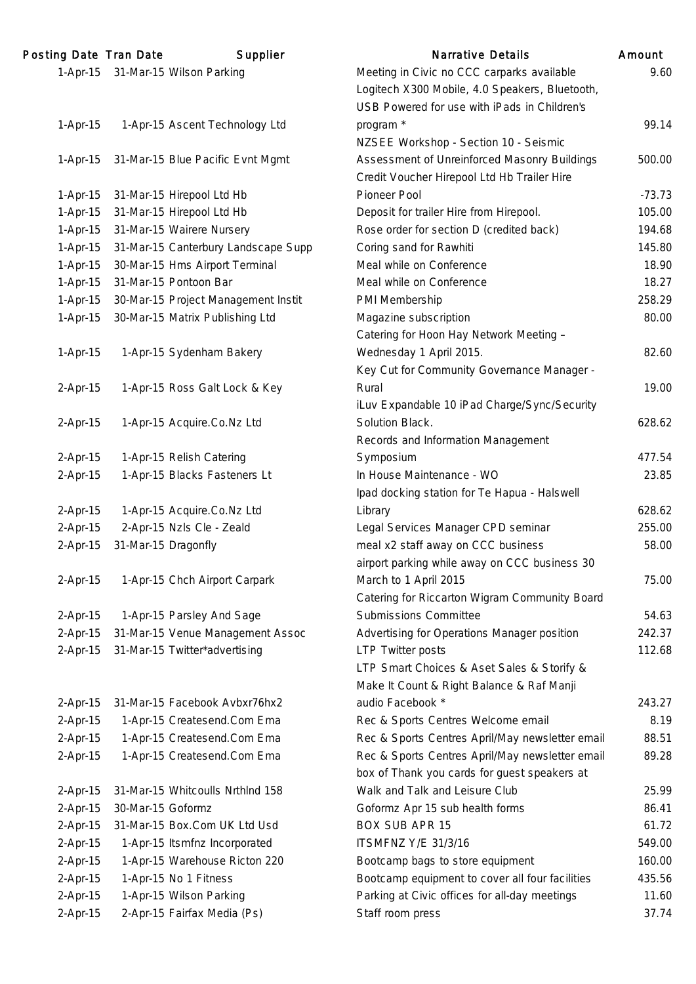| Posting Date Tran Date |                     | Supplier                            | <b>Narrative Details</b>                        | Amount   |
|------------------------|---------------------|-------------------------------------|-------------------------------------------------|----------|
| $1-Apr-15$             |                     | 31-Mar-15 Wilson Parking            | Meeting in Civic no CCC carparks available      | 9.60     |
|                        |                     |                                     | Logitech X300 Mobile, 4.0 Speakers, Bluetooth,  |          |
|                        |                     |                                     | USB Powered for use with iPads in Children's    |          |
| $1-Apr-15$             |                     | 1-Apr-15 Ascent Technology Ltd      | program *                                       | 99.14    |
|                        |                     |                                     | NZSEE Workshop - Section 10 - Seismic           |          |
| $1-Apr-15$             |                     | 31-Mar-15 Blue Pacific Evnt Mgmt    | Assessment of Unreinforced Masonry Buildings    | 500.00   |
|                        |                     |                                     | Credit Voucher Hirepool Ltd Hb Trailer Hire     |          |
| $1-Apr-15$             |                     | 31-Mar-15 Hirepool Ltd Hb           | Pioneer Pool                                    | $-73.73$ |
| $1-Apr-15$             |                     | 31-Mar-15 Hirepool Ltd Hb           | Deposit for trailer Hire from Hirepool.         | 105.00   |
| $1-Apr-15$             |                     | 31-Mar-15 Wairere Nursery           | Rose order for section D (credited back)        | 194.68   |
| $1-Apr-15$             |                     | 31-Mar-15 Canterbury Landscape Supp | Coring sand for Rawhiti                         | 145.80   |
| $1-Apr-15$             |                     | 30-Mar-15 Hms Airport Terminal      | Meal while on Conference                        | 18.90    |
| $1-Apr-15$             |                     | 31-Mar-15 Pontoon Bar               | Meal while on Conference                        | 18.27    |
| $1-Apr-15$             |                     | 30-Mar-15 Project Management Instit | PMI Membership                                  | 258.29   |
| $1-Apr-15$             |                     | 30-Mar-15 Matrix Publishing Ltd     | Magazine subscription                           | 80.00    |
|                        |                     |                                     | Catering for Hoon Hay Network Meeting -         |          |
| $1-Apr-15$             |                     | 1-Apr-15 Sydenham Bakery            | Wednesday 1 April 2015.                         | 82.60    |
|                        |                     |                                     | Key Cut for Community Governance Manager -      |          |
| $2-Apr-15$             |                     | 1-Apr-15 Ross Galt Lock & Key       | Rural                                           | 19.00    |
|                        |                     |                                     | iLuv Expandable 10 iPad Charge/Sync/Security    |          |
| $2-Apr-15$             |                     | 1-Apr-15 Acquire.Co.Nz Ltd          | Solution Black.                                 | 628.62   |
|                        |                     |                                     | Records and Information Management              |          |
| $2-Apr-15$             |                     | 1-Apr-15 Relish Catering            | Symposium                                       | 477.54   |
| $2-Apr-15$             |                     | 1-Apr-15 Blacks Fasteners Lt        | In House Maintenance - WO                       | 23.85    |
|                        |                     |                                     | Ipad docking station for Te Hapua - Halswell    |          |
| $2-Apr-15$             |                     | 1-Apr-15 Acquire.Co.Nz Ltd          | Library                                         | 628.62   |
| 2-Apr-15               |                     | 2-Apr-15 Nzls Cle - Zeald           | Legal Services Manager CPD seminar              | 255.00   |
| $2-Apr-15$             | 31-Mar-15 Dragonfly |                                     | meal x2 staff away on CCC business              | 58.00    |
|                        |                     |                                     | airport parking while away on CCC business 30   |          |
| $2-Apr-15$             |                     | 1-Apr-15 Chch Airport Carpark       | March to 1 April 2015                           | 75.00    |
|                        |                     |                                     | Catering for Riccarton Wigram Community Board   |          |
| $2-Apr-15$             |                     | 1-Apr-15 Parsley And Sage           | <b>Submissions Committee</b>                    | 54.63    |
| $2-Apr-15$             |                     | 31-Mar-15 Venue Management Assoc    | Advertising for Operations Manager position     | 242.37   |
| $2-Apr-15$             |                     | 31-Mar-15 Twitter*advertising       | <b>LTP Twitter posts</b>                        | 112.68   |
|                        |                     |                                     | LTP Smart Choices & Aset Sales & Storify &      |          |
|                        |                     |                                     | Make It Count & Right Balance & Raf Manji       |          |
| $2-Apr-15$             |                     | 31-Mar-15 Facebook Avbxr76hx2       | audio Facebook *                                | 243.27   |
| $2-Apr-15$             |                     | 1-Apr-15 Createsend.Com Ema         | Rec & Sports Centres Welcome email              | 8.19     |
| $2-Apr-15$             |                     | 1-Apr-15 Createsend.Com Ema         | Rec & Sports Centres April/May newsletter email | 88.51    |
| $2-Apr-15$             |                     | 1-Apr-15 Createsend.Com Ema         | Rec & Sports Centres April/May newsletter email | 89.28    |
|                        |                     |                                     | box of Thank you cards for guest speakers at    |          |
| $2-Apr-15$             |                     | 31-Mar-15 Whitcoulls NrthInd 158    | Walk and Talk and Leisure Club                  | 25.99    |
| $2-Apr-15$             | 30-Mar-15 Goformz   |                                     | Goformz Apr 15 sub health forms                 | 86.41    |
| $2-Apr-15$             |                     | 31-Mar-15 Box.Com UK Ltd Usd        | <b>BOX SUB APR 15</b>                           | 61.72    |
| $2-Apr-15$             |                     | 1-Apr-15 Itsmfnz Incorporated       | <b>ITSMFNZ Y/E 31/3/16</b>                      | 549.00   |
| $2-Apr-15$             |                     | 1-Apr-15 Warehouse Ricton 220       | Bootcamp bags to store equipment                | 160.00   |
| $2-Apr-15$             |                     | 1-Apr-15 No 1 Fitness               | Bootcamp equipment to cover all four facilities | 435.56   |
| $2-Apr-15$             |                     | 1-Apr-15 Wilson Parking             | Parking at Civic offices for all-day meetings   | 11.60    |
| 2-Apr-15               |                     | 2-Apr-15 Fairfax Media (Ps)         | Staff room press                                | 37.74    |
|                        |                     |                                     |                                                 |          |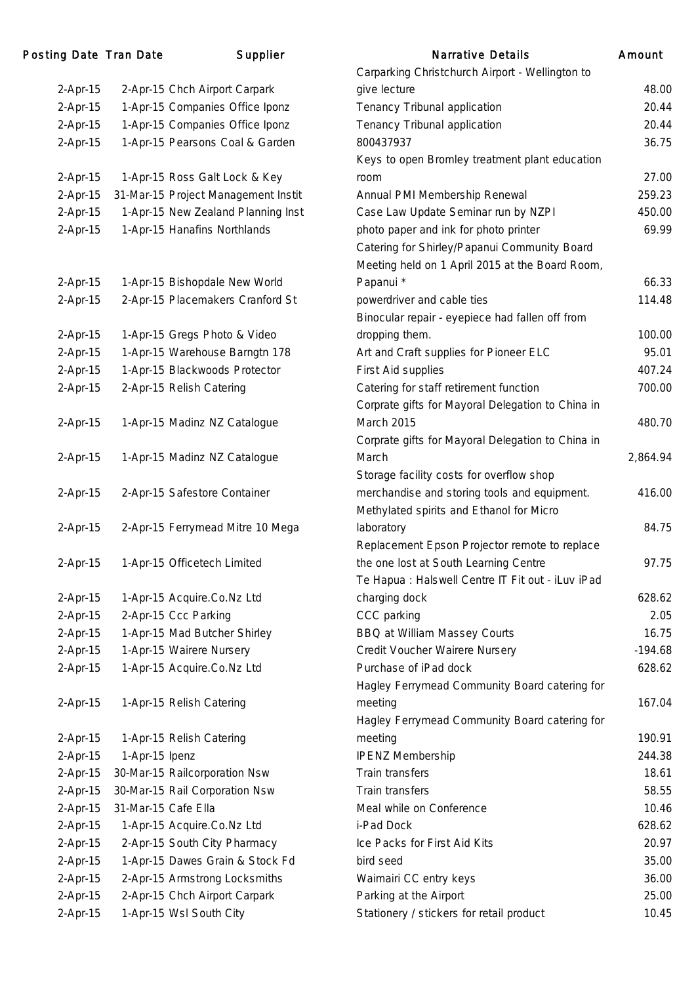| 2-Apr-15   |                     | 2-Apr-15 Chch Airport Carpark       |
|------------|---------------------|-------------------------------------|
| 2-Apr-15   |                     | 1-Apr-15 Companies Office Iponz     |
| 2-Apr-15   |                     | 1-Apr-15 Companies Office Iponz     |
| 2-Apr-15   |                     | 1-Apr-15 Pearsons Coal & Garden     |
|            |                     |                                     |
| $2-Apr-15$ |                     | 1-Apr-15 Ross Galt Lock & Key       |
| 2-Apr-15   |                     | 31-Mar-15 Project Management Instit |
| 2-Apr-15   |                     | 1-Apr-15 New Zealand Planning Inst  |
| 2-Apr-15   |                     | 1-Apr-15 Hanafins Northlands        |
|            |                     |                                     |
|            |                     |                                     |
| $2-Apr-15$ |                     | 1-Apr-15 Bishopdale New World       |
| 2-Apr-15   |                     | 2-Apr-15 Placemakers Cranford St    |
|            |                     |                                     |
| $2-Apr-15$ |                     | 1-Apr-15 Gregs Photo & Video        |
| 2-Apr-15   |                     | 1-Apr-15 Warehouse Barngtn 178      |
| 2-Apr-15   |                     | 1-Apr-15 Blackwoods Protector       |
| 2-Apr-15   |                     | 2-Apr-15 Relish Catering            |
|            |                     |                                     |
| 2-Apr-15   |                     | 1-Apr-15 Madinz NZ Catalogue        |
|            |                     |                                     |
| 2-Apr-15   |                     | 1-Apr-15 Madinz NZ Catalogue        |
|            |                     |                                     |
| 2-Apr-15   |                     | 2-Apr-15 Safestore Container        |
|            |                     |                                     |
| 2-Apr-15   |                     | 2-Apr-15 Ferrymead Mitre 10 Mega    |
|            |                     |                                     |
| 2-Apr-15   |                     | 1-Apr-15 Officetech Limited         |
|            |                     |                                     |
| 2-Apr-15   |                     | 1-Apr-15 Acquire.Co.Nz Ltd          |
| 2-Apr-15   |                     | 2-Apr-15 Ccc Parking                |
| 2-Apr-15   |                     | 1-Apr-15 Mad Butcher Shirley        |
| 2-Apr-15   |                     | 1-Apr-15 Wairere Nursery            |
| 2-Apr-15   |                     | 1-Apr-15 Acquire.Co.Nz Ltd          |
|            |                     |                                     |
| $2-Apr-15$ |                     | 1-Apr-15 Relish Catering            |
|            |                     |                                     |
| $2-Apr-15$ |                     | 1-Apr-15 Relish Catering            |
| $2-Apr-15$ | 1-Apr-15 Ipenz      |                                     |
| 2-Apr-15   |                     | 30-Mar-15 Railcorporation Nsw       |
| 2-Apr-15   |                     | 30-Mar-15 Rail Corporation Nsw      |
| 2-Apr-15   | 31-Mar-15 Cafe Ella |                                     |
| 2-Apr-15   |                     | 1-Apr-15 Acquire.Co.Nz Ltd          |
| 2-Apr-15   |                     | 2-Apr-15 South City Pharmacy        |
| 2-Apr-15   |                     | 1-Apr-15 Dawes Grain & Stock Fd     |
| $2-Apr-15$ |                     | 2-Apr-15 Armstrong Locksmiths       |
| 2-Apr-15   |                     | 2-Apr-15 Chch Airport Carpark       |
| 2-Apr-15   |                     | 1-Apr-15 Wsl South City             |

| Posting Date Tran Date |                     | Supplier                            | <b>Narrative Details</b>                          | Amount    |
|------------------------|---------------------|-------------------------------------|---------------------------------------------------|-----------|
|                        |                     |                                     | Carparking Christchurch Airport - Wellington to   |           |
| $2-Apr-15$             |                     | 2-Apr-15 Chch Airport Carpark       | give lecture                                      | 48.00     |
| 2-Apr-15               |                     | 1-Apr-15 Companies Office Iponz     | Tenancy Tribunal application                      | 20.44     |
| $2-Apr-15$             |                     | 1-Apr-15 Companies Office Iponz     | Tenancy Tribunal application                      | 20.44     |
| 2-Apr-15               |                     | 1-Apr-15 Pearsons Coal & Garden     | 800437937                                         | 36.75     |
|                        |                     |                                     | Keys to open Bromley treatment plant education    |           |
| 2-Apr-15               |                     | 1-Apr-15 Ross Galt Lock & Key       | room                                              | 27.00     |
| 2-Apr-15               |                     | 31-Mar-15 Project Management Instit | Annual PMI Membership Renewal                     | 259.23    |
| 2-Apr-15               |                     | 1-Apr-15 New Zealand Planning Inst  | Case Law Update Seminar run by NZPI               | 450.00    |
| $2-Apr-15$             |                     | 1-Apr-15 Hanafins Northlands        | photo paper and ink for photo printer             | 69.99     |
|                        |                     |                                     | Catering for Shirley/Papanui Community Board      |           |
|                        |                     |                                     | Meeting held on 1 April 2015 at the Board Room,   |           |
| 2-Apr-15               |                     | 1-Apr-15 Bishopdale New World       | Papanui *                                         | 66.33     |
| 2-Apr-15               |                     | 2-Apr-15 Placemakers Cranford St    | powerdriver and cable ties                        | 114.48    |
|                        |                     |                                     | Binocular repair - eyepiece had fallen off from   |           |
| $2-Apr-15$             |                     | 1-Apr-15 Gregs Photo & Video        | dropping them.                                    | 100.00    |
| $2-Apr-15$             |                     | 1-Apr-15 Warehouse Barngtn 178      | Art and Craft supplies for Pioneer ELC            | 95.01     |
| $2-Apr-15$             |                     | 1-Apr-15 Blackwoods Protector       | First Aid supplies                                | 407.24    |
| 2-Apr-15               |                     | 2-Apr-15 Relish Catering            | Catering for staff retirement function            | 700.00    |
|                        |                     |                                     | Corprate gifts for Mayoral Delegation to China in |           |
| 2-Apr-15               |                     | 1-Apr-15 Madinz NZ Catalogue        | <b>March 2015</b>                                 | 480.70    |
|                        |                     |                                     | Corprate gifts for Mayoral Delegation to China in |           |
| $2-Apr-15$             |                     | 1-Apr-15 Madinz NZ Catalogue        | March                                             | 2,864.94  |
|                        |                     |                                     | Storage facility costs for overflow shop          |           |
| 2-Apr-15               |                     | 2-Apr-15 Safestore Container        | merchandise and storing tools and equipment.      | 416.00    |
|                        |                     |                                     | Methylated spirits and Ethanol for Micro          |           |
| 2-Apr-15               |                     | 2-Apr-15 Ferrymead Mitre 10 Mega    | laboratory                                        | 84.75     |
|                        |                     |                                     | Replacement Epson Projector remote to replace     |           |
| $2-Apr-15$             |                     | 1-Apr-15 Officetech Limited         | the one lost at South Learning Centre             | 97.75     |
|                        |                     |                                     | Te Hapua : Halswell Centre IT Fit out - iLuv iPad |           |
| 2-Apr-15               |                     | 1-Apr-15 Acquire.Co.Nz Ltd          | charging dock                                     | 628.62    |
| $2-Apr-15$             |                     | 2-Apr-15 Ccc Parking                | CCC parking                                       | 2.05      |
| $2-Apr-15$             |                     | 1-Apr-15 Mad Butcher Shirley        | BBQ at William Massey Courts                      | 16.75     |
| $2-Apr-15$             |                     | 1-Apr-15 Wairere Nursery            | Credit Voucher Wairere Nursery                    | $-194.68$ |
| 2-Apr-15               |                     | 1-Apr-15 Acquire.Co.Nz Ltd          | Purchase of iPad dock                             | 628.62    |
|                        |                     |                                     | Hagley Ferrymead Community Board catering for     |           |
| 2-Apr-15               |                     | 1-Apr-15 Relish Catering            | meeting                                           | 167.04    |
|                        |                     |                                     | Hagley Ferrymead Community Board catering for     |           |
| $2-Apr-15$             |                     | 1-Apr-15 Relish Catering            | meeting                                           | 190.91    |
| $2-Apr-15$             | 1-Apr-15 Ipenz      |                                     | <b>IPENZ Membership</b>                           | 244.38    |
| 2-Apr-15               |                     | 30-Mar-15 Railcorporation Nsw       | Train transfers                                   | 18.61     |
| $2-Apr-15$             |                     | 30-Mar-15 Rail Corporation Nsw      | Train transfers                                   | 58.55     |
| 2-Apr-15               | 31-Mar-15 Cafe Ella |                                     | Meal while on Conference                          | 10.46     |
| $2-Apr-15$             |                     | 1-Apr-15 Acquire.Co.Nz Ltd          | i-Pad Dock                                        | 628.62    |
| $2-Apr-15$             |                     | 2-Apr-15 South City Pharmacy        | Ice Packs for First Aid Kits                      | 20.97     |
| $2-Apr-15$             |                     | 1-Apr-15 Dawes Grain & Stock Fd     | bird seed                                         | 35.00     |
| 2-Apr-15               |                     | 2-Apr-15 Armstrong Locksmiths       | Waimairi CC entry keys                            | 36.00     |
| $2-Apr-15$             |                     | 2-Apr-15 Chch Airport Carpark       | Parking at the Airport                            | 25.00     |
| 2-Apr-15               |                     | 1-Apr-15 Wsl South City             | Stationery / stickers for retail product          | 10.45     |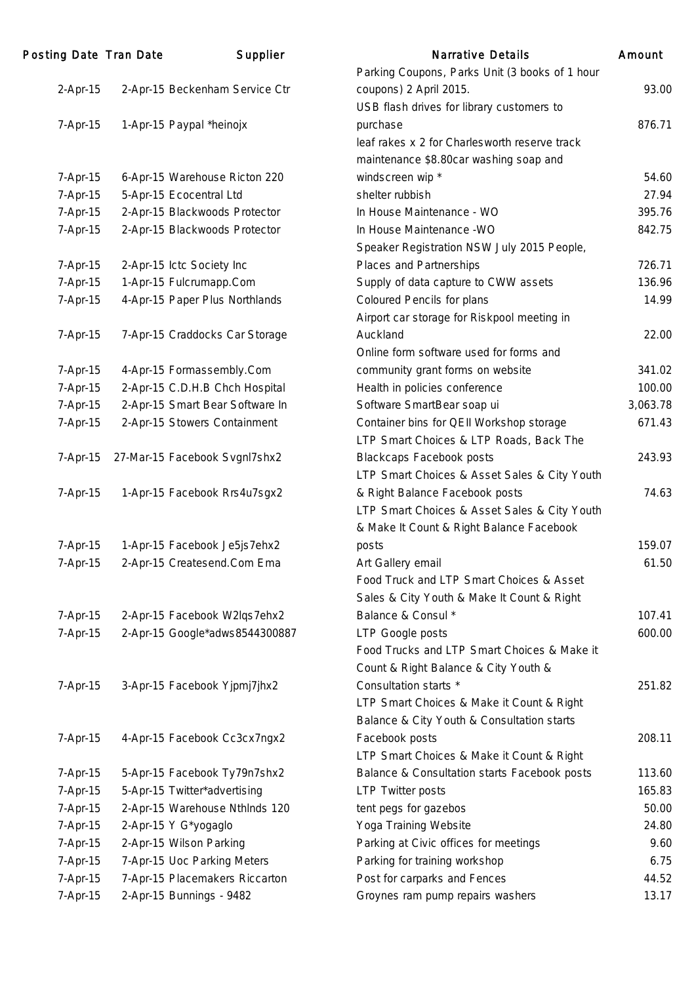| <b>Posting Date Tran Date</b> | Supplier                        | <b>Narrative Details</b>                       | Amount   |
|-------------------------------|---------------------------------|------------------------------------------------|----------|
|                               |                                 | Parking Coupons, Parks Unit (3 books of 1 hour |          |
| $2-Apr-15$                    | 2-Apr-15 Beckenham Service Ctr  | coupons) 2 April 2015.                         | 93.00    |
|                               |                                 | USB flash drives for library customers to      |          |
| 7-Apr-15                      | 1-Apr-15 Paypal *heinojx        | purchase                                       | 876.71   |
|                               |                                 | leaf rakes x 2 for Charlesworth reserve track  |          |
|                               |                                 | maintenance \$8.80car washing soap and         |          |
| 7-Apr-15                      | 6-Apr-15 Warehouse Ricton 220   | windscreen wip *                               | 54.60    |
| 7-Apr-15                      | 5-Apr-15 Ecocentral Ltd         | shelter rubbish                                | 27.94    |
| 7-Apr-15                      | 2-Apr-15 Blackwoods Protector   | In House Maintenance - WO                      | 395.76   |
| 7-Apr-15                      | 2-Apr-15 Blackwoods Protector   | In House Maintenance - WO                      | 842.75   |
|                               |                                 | Speaker Registration NSW July 2015 People,     |          |
| 7-Apr-15                      | 2-Apr-15 Ictc Society Inc       | Places and Partnerships                        | 726.71   |
| 7-Apr-15                      | 1-Apr-15 Fulcrumapp.Com         | Supply of data capture to CWW assets           | 136.96   |
| 7-Apr-15                      | 4-Apr-15 Paper Plus Northlands  | <b>Coloured Pencils for plans</b>              | 14.99    |
|                               |                                 | Airport car storage for Riskpool meeting in    |          |
| 7-Apr-15                      | 7-Apr-15 Craddocks Car Storage  | Auckland                                       | 22.00    |
|                               |                                 | Online form software used for forms and        |          |
| 7-Apr-15                      | 4-Apr-15 Formassembly.Com       | community grant forms on website               | 341.02   |
| 7-Apr-15                      | 2-Apr-15 C.D.H.B Chch Hospital  | Health in policies conference                  | 100.00   |
| 7-Apr-15                      | 2-Apr-15 Smart Bear Software In | Software SmartBear soap ui                     | 3,063.78 |
| 7-Apr-15                      | 2-Apr-15 Stowers Containment    | Container bins for QEII Workshop storage       | 671.43   |
|                               |                                 | LTP Smart Choices & LTP Roads, Back The        |          |
| $7-Apr-15$                    | 27-Mar-15 Facebook Svgnl7shx2   | <b>Blackcaps Facebook posts</b>                | 243.93   |
|                               |                                 | LTP Smart Choices & Asset Sales & City Youth   |          |
| 7-Apr-15                      | 1-Apr-15 Facebook Rrs4u7sgx2    | & Right Balance Facebook posts                 | 74.63    |
|                               |                                 | LTP Smart Choices & Asset Sales & City Youth   |          |
|                               |                                 | & Make It Count & Right Balance Facebook       |          |
| 7-Apr-15                      | 1-Apr-15 Facebook Je5js7ehx2    | posts                                          | 159.07   |
| 7-Apr-15                      | 2-Apr-15 Createsend.Com Ema     | Art Gallery email                              | 61.50    |
|                               |                                 | Food Truck and LTP Smart Choices & Asset       |          |
|                               |                                 | Sales & City Youth & Make It Count & Right     |          |
| 7-Apr-15                      | 2-Apr-15 Facebook W2lqs7ehx2    | Balance & Consul *                             | 107.41   |
| 7-Apr-15                      | 2-Apr-15 Google*adws8544300887  | LTP Google posts                               | 600.00   |
|                               |                                 | Food Trucks and LTP Smart Choices & Make it    |          |
|                               |                                 | Count & Right Balance & City Youth &           |          |
| 7-Apr-15                      | 3-Apr-15 Facebook Yjpmj7jhx2    | Consultation starts *                          | 251.82   |
|                               |                                 | LTP Smart Choices & Make it Count & Right      |          |
|                               |                                 | Balance & City Youth & Consultation starts     |          |
| 7-Apr-15                      | 4-Apr-15 Facebook Cc3cx7ngx2    | Facebook posts                                 | 208.11   |
|                               |                                 | LTP Smart Choices & Make it Count & Right      |          |
| 7-Apr-15                      | 5-Apr-15 Facebook Ty79n7shx2    | Balance & Consultation starts Facebook posts   | 113.60   |
| 7-Apr-15                      | 5-Apr-15 Twitter*advertising    | <b>LTP Twitter posts</b>                       | 165.83   |
| 7-Apr-15                      | 2-Apr-15 Warehouse NthInds 120  | tent pegs for gazebos                          | 50.00    |
| 7-Apr-15                      | 2-Apr-15 Y G*yogaglo            | Yoga Training Website                          | 24.80    |
| 7-Apr-15                      | 2-Apr-15 Wilson Parking         | Parking at Civic offices for meetings          | 9.60     |
| 7-Apr-15                      | 7-Apr-15 Uoc Parking Meters     | Parking for training workshop                  | 6.75     |
| 7-Apr-15                      | 7-Apr-15 Placemakers Riccarton  | Post for carparks and Fences                   | 44.52    |
| 7-Apr-15                      | 2-Apr-15 Bunnings - 9482        | Groynes ram pump repairs washers               | 13.17    |
|                               |                                 |                                                |          |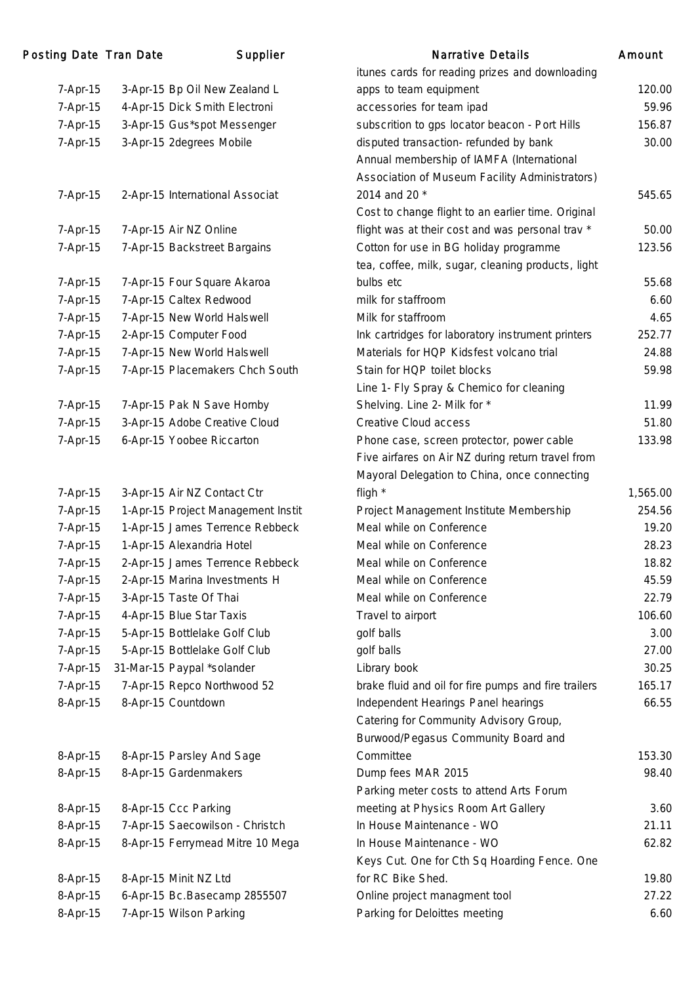| Posting Date Tran Date |                       | Supplier                           | <b>Narrative Details</b>                             | Amount   |
|------------------------|-----------------------|------------------------------------|------------------------------------------------------|----------|
|                        |                       |                                    | itunes cards for reading prizes and downloading      |          |
| 7-Apr-15               |                       | 3-Apr-15 Bp Oil New Zealand L      | apps to team equipment                               | 120.00   |
| 7-Apr-15               |                       | 4-Apr-15 Dick Smith Electroni      | accessories for team ipad                            | 59.96    |
| 7-Apr-15               |                       | 3-Apr-15 Gus*spot Messenger        | subscrition to gps locator beacon - Port Hills       | 156.87   |
| 7-Apr-15               |                       | 3-Apr-15 2degrees Mobile           | disputed transaction-refunded by bank                | 30.00    |
|                        |                       |                                    | Annual membership of IAMFA (International            |          |
|                        |                       |                                    | Association of Museum Facility Administrators)       |          |
| 7-Apr-15               |                       | 2-Apr-15 International Associat    | 2014 and 20 *                                        | 545.65   |
|                        |                       |                                    | Cost to change flight to an earlier time. Original   |          |
| 7-Apr-15               |                       | 7-Apr-15 Air NZ Online             | flight was at their cost and was personal trav *     | 50.00    |
| 7-Apr-15               |                       | 7-Apr-15 Backstreet Bargains       | Cotton for use in BG holiday programme               | 123.56   |
|                        |                       |                                    | tea, coffee, milk, sugar, cleaning products, light   |          |
| 7-Apr-15               |                       | 7-Apr-15 Four Square Akaroa        | bulbs etc                                            | 55.68    |
| 7-Apr-15               |                       | 7-Apr-15 Caltex Redwood            | milk for staffroom                                   | 6.60     |
| 7-Apr-15               |                       | 7-Apr-15 New World Halswell        | Milk for staffroom                                   | 4.65     |
| 7-Apr-15               |                       | 2-Apr-15 Computer Food             | Ink cartridges for laboratory instrument printers    | 252.77   |
| 7-Apr-15               |                       | 7-Apr-15 New World Halswell        | Materials for HQP Kidsfest volcano trial             | 24.88    |
| 7-Apr-15               |                       | 7-Apr-15 Placemakers Chch South    | Stain for HQP toilet blocks                          | 59.98    |
|                        |                       |                                    | Line 1- Fly Spray & Chemico for cleaning             |          |
| 7-Apr-15               |                       | 7-Apr-15 Pak N Save Hornby         | Shelving. Line 2- Milk for *                         | 11.99    |
| 7-Apr-15               |                       | 3-Apr-15 Adobe Creative Cloud      | Creative Cloud access                                | 51.80    |
| 7-Apr-15               |                       | 6-Apr-15 Yoobee Riccarton          | Phone case, screen protector, power cable            | 133.98   |
|                        |                       |                                    | Five airfares on Air NZ during return travel from    |          |
|                        |                       |                                    | Mayoral Delegation to China, once connecting         |          |
| 7-Apr-15               |                       | 3-Apr-15 Air NZ Contact Ctr        | fligh *                                              | 1,565.00 |
| 7-Apr-15               |                       | 1-Apr-15 Project Management Instit | Project Management Institute Membership              | 254.56   |
| 7-Apr-15               |                       | 1-Apr-15 James Terrence Rebbeck    | Meal while on Conference                             | 19.20    |
| 7-Apr-15               |                       | 1-Apr-15 Alexandria Hotel          | Meal while on Conference                             | 28.23    |
| 7-Apr-15               |                       | 2-Apr-15 James Terrence Rebbeck    | Meal while on Conference                             | 18.82    |
| 7-Apr-15               |                       | 2-Apr-15 Marina Investments H      | Meal while on Conference                             | 45.59    |
| 7-Apr-15               |                       | 3-Apr-15 Taste Of Thai             | Meal while on Conference                             | 22.79    |
| 7-Apr-15               |                       | 4-Apr-15 Blue Star Taxis           | Travel to airport                                    | 106.60   |
| 7-Apr-15               |                       | 5-Apr-15 Bottlelake Golf Club      | golf balls                                           | 3.00     |
| 7-Apr-15               |                       | 5-Apr-15 Bottlelake Golf Club      | golf balls                                           | 27.00    |
| 7-Apr-15               |                       | 31-Mar-15 Paypal *solander         | Library book                                         | 30.25    |
| 7-Apr-15               |                       | 7-Apr-15 Repco Northwood 52        | brake fluid and oil for fire pumps and fire trailers | 165.17   |
| 8-Apr-15               | 8-Apr-15 Countdown    |                                    | Independent Hearings Panel hearings                  | 66.55    |
|                        |                       |                                    | Catering for Community Advisory Group,               |          |
|                        |                       |                                    | Burwood/Pegasus Community Board and                  |          |
| 8-Apr-15               |                       | 8-Apr-15 Parsley And Sage          | Committee                                            | 153.30   |
| 8-Apr-15               |                       | 8-Apr-15 Gardenmakers              | Dump fees MAR 2015                                   | 98.40    |
|                        |                       |                                    | Parking meter costs to attend Arts Forum             |          |
| 8-Apr-15               | 8-Apr-15 Ccc Parking  |                                    | meeting at Physics Room Art Gallery                  | 3.60     |
| 8-Apr-15               |                       | 7-Apr-15 Saecowilson - Christch    | In House Maintenance - WO                            | 21.11    |
| 8-Apr-15               |                       | 8-Apr-15 Ferrymead Mitre 10 Mega   | In House Maintenance - WO                            | 62.82    |
|                        |                       |                                    | Keys Cut. One for Cth Sq Hoarding Fence. One         |          |
| 8-Apr-15               | 8-Apr-15 Minit NZ Ltd |                                    | for RC Bike Shed.                                    | 19.80    |
| 8-Apr-15               |                       | 6-Apr-15 Bc.Basecamp 2855507       | Online project managment tool                        | 27.22    |
| 8-Apr-15               |                       | 7-Apr-15 Wilson Parking            | Parking for Deloittes meeting                        | 6.60     |
|                        |                       |                                    |                                                      |          |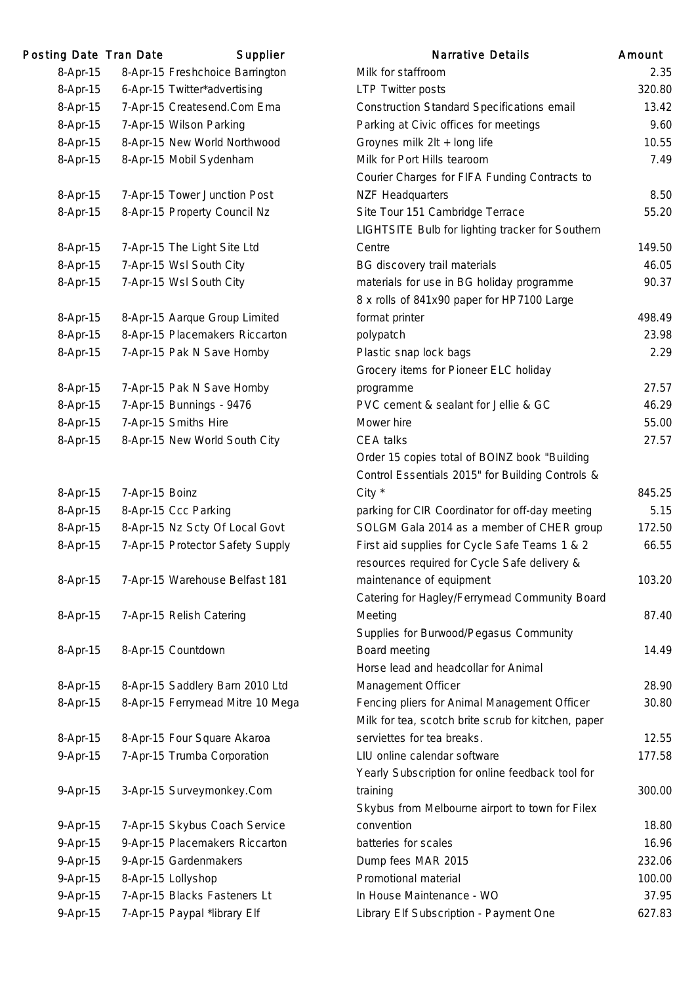| Posting Date Tran Date |                | Supplier                         | <b>Narrative Details</b>                            | Amount |
|------------------------|----------------|----------------------------------|-----------------------------------------------------|--------|
| 8-Apr-15               |                | 8-Apr-15 Freshchoice Barrington  | Milk for staffroom                                  | 2.35   |
| 8-Apr-15               |                | 6-Apr-15 Twitter*advertising     | <b>LTP Twitter posts</b>                            | 320.80 |
| 8-Apr-15               |                | 7-Apr-15 Createsend.Com Ema      | <b>Construction Standard Specifications email</b>   | 13.42  |
| 8-Apr-15               |                | 7-Apr-15 Wilson Parking          | Parking at Civic offices for meetings               | 9.60   |
| 8-Apr-15               |                | 8-Apr-15 New World Northwood     | Groynes milk 2lt + long life                        | 10.55  |
| 8-Apr-15               |                | 8-Apr-15 Mobil Sydenham          | Milk for Port Hills tearoom                         | 7.49   |
|                        |                |                                  | Courier Charges for FIFA Funding Contracts to       |        |
| 8-Apr-15               |                | 7-Apr-15 Tower Junction Post     | <b>NZF Headquarters</b>                             | 8.50   |
| 8-Apr-15               |                | 8-Apr-15 Property Council Nz     | Site Tour 151 Cambridge Terrace                     | 55.20  |
|                        |                |                                  | LIGHTSITE Bulb for lighting tracker for Southern    |        |
| 8-Apr-15               |                | 7-Apr-15 The Light Site Ltd      | Centre                                              | 149.50 |
| 8-Apr-15               |                | 7-Apr-15 Wsl South City          | BG discovery trail materials                        | 46.05  |
| 8-Apr-15               |                | 7-Apr-15 Wsl South City          | materials for use in BG holiday programme           | 90.37  |
|                        |                |                                  | 8 x rolls of 841x90 paper for HP7100 Large          |        |
| 8-Apr-15               |                | 8-Apr-15 Aarque Group Limited    | format printer                                      | 498.49 |
| 8-Apr-15               |                | 8-Apr-15 Placemakers Riccarton   | polypatch                                           | 23.98  |
| 8-Apr-15               |                | 7-Apr-15 Pak N Save Hornby       | Plastic snap lock bags                              | 2.29   |
|                        |                |                                  | Grocery items for Pioneer ELC holiday               |        |
| 8-Apr-15               |                | 7-Apr-15 Pak N Save Hornby       | programme                                           | 27.57  |
| 8-Apr-15               |                | 7-Apr-15 Bunnings - 9476         | PVC cement & sealant for Jellie & GC                | 46.29  |
| 8-Apr-15               |                | 7-Apr-15 Smiths Hire             | Mower hire                                          | 55.00  |
| 8-Apr-15               |                | 8-Apr-15 New World South City    | CEA talks                                           | 27.57  |
|                        |                |                                  | Order 15 copies total of BOINZ book "Building       |        |
|                        |                |                                  | Control Essentials 2015" for Building Controls &    |        |
| 8-Apr-15               | 7-Apr-15 Boinz |                                  | City *                                              | 845.25 |
| 8-Apr-15               |                | 8-Apr-15 Ccc Parking             | parking for CIR Coordinator for off-day meeting     | 5.15   |
| 8-Apr-15               |                | 8-Apr-15 Nz Scty Of Local Govt   | SOLGM Gala 2014 as a member of CHER group           | 172.50 |
| 8-Apr-15               |                | 7-Apr-15 Protector Safety Supply | First aid supplies for Cycle Safe Teams 1 & 2       | 66.55  |
|                        |                |                                  | resources required for Cycle Safe delivery &        |        |
| 8-Apr-15               |                | 7-Apr-15 Warehouse Belfast 181   | maintenance of equipment                            | 103.20 |
|                        |                |                                  | Catering for Hagley/Ferrymead Community Board       |        |
| 8-Apr-15               |                | 7-Apr-15 Relish Catering         | Meeting                                             | 87.40  |
|                        |                |                                  | Supplies for Burwood/Pegasus Community              |        |
| 8-Apr-15               |                | 8-Apr-15 Countdown               | Board meeting                                       | 14.49  |
|                        |                |                                  | Horse lead and headcollar for Animal                |        |
| 8-Apr-15               |                | 8-Apr-15 Saddlery Barn 2010 Ltd  | Management Officer                                  | 28.90  |
| 8-Apr-15               |                | 8-Apr-15 Ferrymead Mitre 10 Mega | Fencing pliers for Animal Management Officer        | 30.80  |
|                        |                |                                  | Milk for tea, scotch brite scrub for kitchen, paper |        |
| 8-Apr-15               |                | 8-Apr-15 Four Square Akaroa      | serviettes for tea breaks.                          | 12.55  |
| 9-Apr-15               |                | 7-Apr-15 Trumba Corporation      | LIU online calendar software                        | 177.58 |
|                        |                |                                  | Yearly Subscription for online feedback tool for    |        |
| 9-Apr-15               |                | 3-Apr-15 Surveymonkey.Com        | training                                            | 300.00 |
|                        |                |                                  | Skybus from Melbourne airport to town for Filex     |        |
| 9-Apr-15               |                | 7-Apr-15 Skybus Coach Service    | convention                                          | 18.80  |
| 9-Apr-15               |                | 9-Apr-15 Placemakers Riccarton   | batteries for scales                                | 16.96  |
| 9-Apr-15               |                | 9-Apr-15 Gardenmakers            | Dump fees MAR 2015                                  | 232.06 |
| 9-Apr-15               |                | 8-Apr-15 Lollyshop               | Promotional material                                | 100.00 |
| 9-Apr-15               |                | 7-Apr-15 Blacks Fasteners Lt     | In House Maintenance - WO                           | 37.95  |
| 9-Apr-15               |                | 7-Apr-15 Paypal *library Elf     | Library Elf Subscription - Payment One              | 627.83 |
|                        |                |                                  |                                                     |        |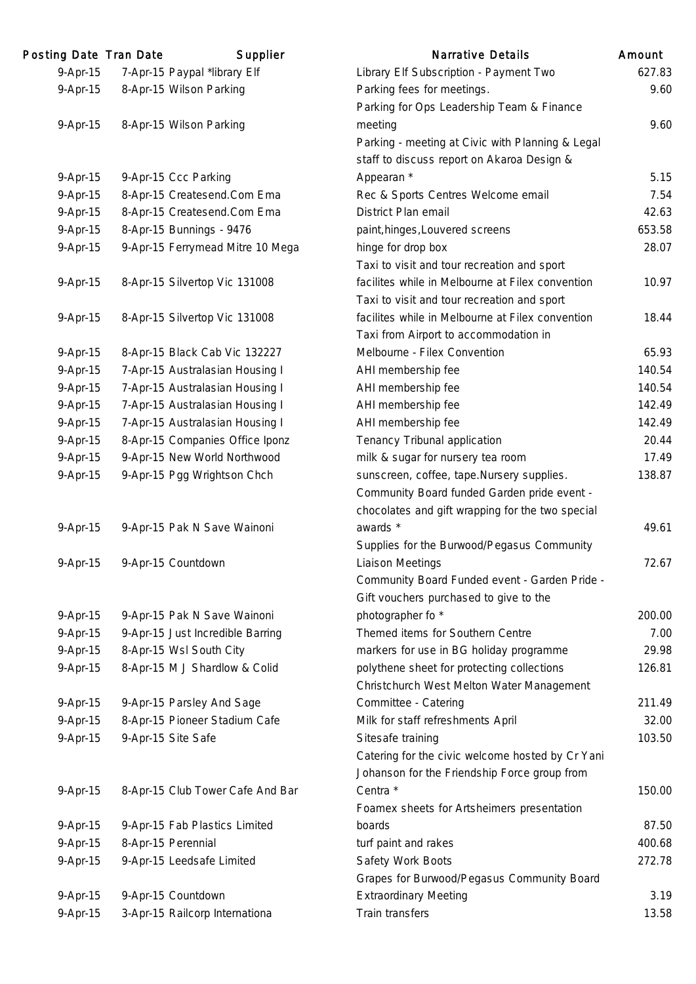| Posting Date Tran Date | Supplier                         | <b>Narrative Details</b>                         | Amount |
|------------------------|----------------------------------|--------------------------------------------------|--------|
| 9-Apr-15               | 7-Apr-15 Paypal *library Elf     | Library Elf Subscription - Payment Two           | 627.83 |
| 9-Apr-15               | 8-Apr-15 Wilson Parking          | Parking fees for meetings.                       | 9.60   |
|                        |                                  | Parking for Ops Leadership Team & Finance        |        |
| 9-Apr-15               | 8-Apr-15 Wilson Parking          | meeting                                          | 9.60   |
|                        |                                  | Parking - meeting at Civic with Planning & Legal |        |
|                        |                                  | staff to discuss report on Akaroa Design &       |        |
| 9-Apr-15               | 9-Apr-15 Ccc Parking             | Appearan *                                       | 5.15   |
| 9-Apr-15               | 8-Apr-15 Createsend.Com Ema      | Rec & Sports Centres Welcome email               | 7.54   |
| 9-Apr-15               | 8-Apr-15 Createsend.Com Ema      | District Plan email                              | 42.63  |
| 9-Apr-15               | 8-Apr-15 Bunnings - 9476         | paint, hinges, Louvered screens                  | 653.58 |
| 9-Apr-15               | 9-Apr-15 Ferrymead Mitre 10 Mega | hinge for drop box                               | 28.07  |
|                        |                                  | Taxi to visit and tour recreation and sport      |        |
| 9-Apr-15               | 8-Apr-15 Silvertop Vic 131008    | facilites while in Melbourne at Filex convention | 10.97  |
|                        |                                  | Taxi to visit and tour recreation and sport      |        |
| 9-Apr-15               | 8-Apr-15 Silvertop Vic 131008    | facilites while in Melbourne at Filex convention | 18.44  |
|                        |                                  | Taxi from Airport to accommodation in            |        |
| 9-Apr-15               | 8-Apr-15 Black Cab Vic 132227    | Melbourne - Filex Convention                     | 65.93  |
| 9-Apr-15               | 7-Apr-15 Australasian Housing I  | AHI membership fee                               | 140.54 |
| 9-Apr-15               | 7-Apr-15 Australasian Housing I  | AHI membership fee                               | 140.54 |
| 9-Apr-15               | 7-Apr-15 Australasian Housing I  | AHI membership fee                               | 142.49 |
| 9-Apr-15               | 7-Apr-15 Australasian Housing I  | AHI membership fee                               | 142.49 |
| 9-Apr-15               | 8-Apr-15 Companies Office Iponz  | Tenancy Tribunal application                     | 20.44  |
| 9-Apr-15               | 9-Apr-15 New World Northwood     | milk & sugar for nursery tea room                | 17.49  |
| 9-Apr-15               | 9-Apr-15 Pgg Wrightson Chch      | sunscreen, coffee, tape.Nursery supplies.        | 138.87 |
|                        |                                  | Community Board funded Garden pride event -      |        |
|                        |                                  | chocolates and gift wrapping for the two special |        |
| 9-Apr-15               | 9-Apr-15 Pak N Save Wainoni      | awards *                                         | 49.61  |
|                        |                                  | Supplies for the Burwood/Pegasus Community       |        |
| 9-Apr-15               | 9-Apr-15 Countdown               | <b>Liaison Meetings</b>                          | 72.67  |
|                        |                                  | Community Board Funded event - Garden Pride -    |        |
|                        |                                  | Gift vouchers purchased to give to the           |        |
| 9-Apr-15               | 9-Apr-15 Pak N Save Wainoni      | photographer fo *                                | 200.00 |
| 9-Apr-15               | 9-Apr-15 Just Incredible Barring | Themed items for Southern Centre                 | 7.00   |
| 9-Apr-15               | 8-Apr-15 Wsl South City          | markers for use in BG holiday programme          | 29.98  |
| 9-Apr-15               | 8-Apr-15 M J Shardlow & Colid    | polythene sheet for protecting collections       | 126.81 |
|                        |                                  | Christchurch West Melton Water Management        |        |
| 9-Apr-15               | 9-Apr-15 Parsley And Sage        | Committee - Catering                             | 211.49 |
| 9-Apr-15               | 8-Apr-15 Pioneer Stadium Cafe    | Milk for staff refreshments April                | 32.00  |
| 9-Apr-15               | 9-Apr-15 Site Safe               | Sitesafe training                                | 103.50 |
|                        |                                  | Catering for the civic welcome hosted by Cr Yani |        |
|                        |                                  | Johanson for the Friendship Force group from     |        |
| 9-Apr-15               | 8-Apr-15 Club Tower Cafe And Bar | Centra *                                         | 150.00 |
|                        |                                  | Foamex sheets for Artsheimers presentation       |        |
| 9-Apr-15               | 9-Apr-15 Fab Plastics Limited    | boards                                           | 87.50  |
| 9-Apr-15               | 8-Apr-15 Perennial               | turf paint and rakes                             | 400.68 |
| 9-Apr-15               | 9-Apr-15 Leedsafe Limited        | Safety Work Boots                                | 272.78 |
|                        |                                  | Grapes for Burwood/Pegasus Community Board       |        |
| 9-Apr-15               | 9-Apr-15 Countdown               | <b>Extraordinary Meeting</b>                     | 3.19   |
| 9-Apr-15               | 3-Apr-15 Railcorp Internationa   | Train transfers                                  | 13.58  |
|                        |                                  |                                                  |        |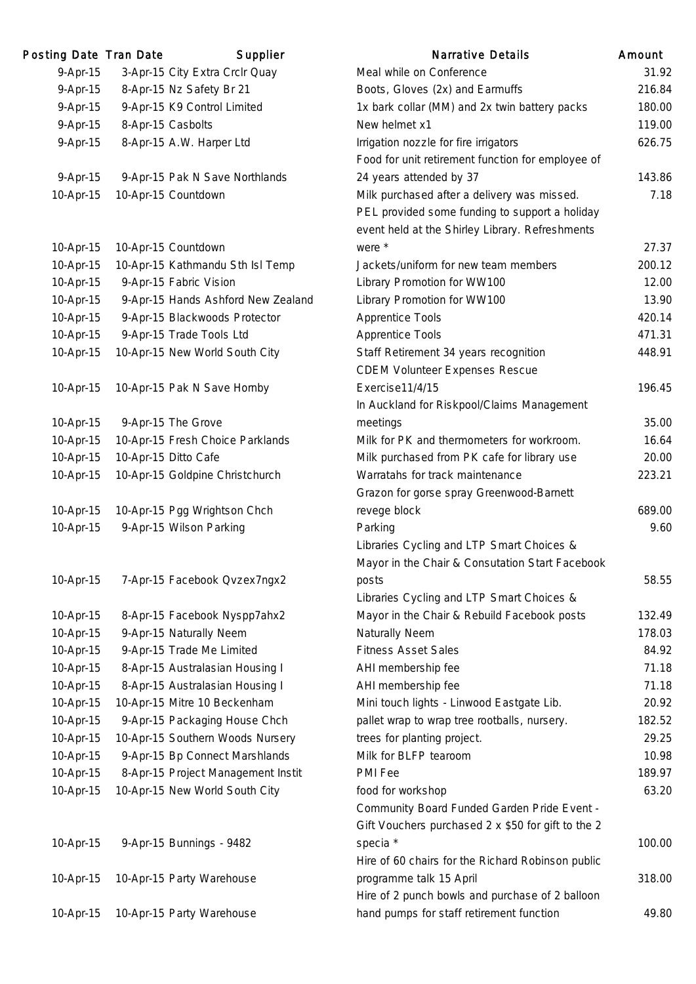| Posting Date Tran Date | Supplier                           | <b>Narrative Details</b>                           | Amount |
|------------------------|------------------------------------|----------------------------------------------------|--------|
| 9-Apr-15               | 3-Apr-15 City Extra Crclr Quay     | Meal while on Conference                           | 31.92  |
| 9-Apr-15               | 8-Apr-15 Nz Safety Br 21           | Boots, Gloves (2x) and Earmuffs                    | 216.84 |
| 9-Apr-15               | 9-Apr-15 K9 Control Limited        | 1x bark collar (MM) and 2x twin battery packs      | 180.00 |
| 9-Apr-15               | 8-Apr-15 Casbolts                  | New helmet x1                                      | 119.00 |
| 9-Apr-15               | 8-Apr-15 A.W. Harper Ltd           | Irrigation nozzle for fire irrigators              | 626.75 |
|                        |                                    | Food for unit retirement function for employee of  |        |
| 9-Apr-15               | 9-Apr-15 Pak N Save Northlands     | 24 years attended by 37                            | 143.86 |
| 10-Apr-15              | 10-Apr-15 Countdown                | Milk purchased after a delivery was missed.        | 7.18   |
|                        |                                    | PEL provided some funding to support a holiday     |        |
|                        |                                    | event held at the Shirley Library. Refreshments    |        |
| 10-Apr-15              | 10-Apr-15 Countdown                | were *                                             | 27.37  |
| 10-Apr-15              | 10-Apr-15 Kathmandu Sth Isl Temp   | Jackets/uniform for new team members               | 200.12 |
| 10-Apr-15              | 9-Apr-15 Fabric Vision             | Library Promotion for WW100                        | 12.00  |
| 10-Apr-15              | 9-Apr-15 Hands Ashford New Zealand | Library Promotion for WW100                        | 13.90  |
| 10-Apr-15              | 9-Apr-15 Blackwoods Protector      | <b>Apprentice Tools</b>                            | 420.14 |
| 10-Apr-15              | 9-Apr-15 Trade Tools Ltd           | <b>Apprentice Tools</b>                            | 471.31 |
| 10-Apr-15              | 10-Apr-15 New World South City     | Staff Retirement 34 years recognition              | 448.91 |
|                        |                                    | <b>CDEM Volunteer Expenses Rescue</b>              |        |
| 10-Apr-15              | 10-Apr-15 Pak N Save Hornby        | Exercise11/4/15                                    | 196.45 |
|                        |                                    | In Auckland for Riskpool/Claims Management         |        |
| 10-Apr-15              | 9-Apr-15 The Grove                 | meetings                                           | 35.00  |
| 10-Apr-15              | 10-Apr-15 Fresh Choice Parklands   | Milk for PK and thermometers for workroom.         | 16.64  |
| 10-Apr-15              | 10-Apr-15 Ditto Cafe               | Milk purchased from PK cafe for library use        | 20.00  |
| 10-Apr-15              | 10-Apr-15 Goldpine Christchurch    | Warratahs for track maintenance                    | 223.21 |
|                        |                                    | Grazon for gorse spray Greenwood-Barnett           |        |
| 10-Apr-15              | 10-Apr-15 Pgg Wrightson Chch       | revege block                                       | 689.00 |
| 10-Apr-15              | 9-Apr-15 Wilson Parking            | Parking                                            | 9.60   |
|                        |                                    | Libraries Cycling and LTP Smart Choices &          |        |
|                        |                                    | Mayor in the Chair & Consutation Start Facebook    |        |
| 10-Apr-15              | 7-Apr-15 Facebook Qvzex7ngx2       | posts                                              | 58.55  |
|                        |                                    | Libraries Cycling and LTP Smart Choices &          |        |
| 10-Apr-15              | 8-Apr-15 Facebook Nyspp7ahx2       | Mayor in the Chair & Rebuild Facebook posts        | 132.49 |
| 10-Apr-15              | 9-Apr-15 Naturally Neem            | Naturally Neem                                     | 178.03 |
| 10-Apr-15              | 9-Apr-15 Trade Me Limited          | <b>Fitness Asset Sales</b>                         | 84.92  |
| 10-Apr-15              | 8-Apr-15 Australasian Housing I    | AHI membership fee                                 | 71.18  |
| 10-Apr-15              | 8-Apr-15 Australasian Housing I    | AHI membership fee                                 | 71.18  |
| 10-Apr-15              | 10-Apr-15 Mitre 10 Beckenham       | Mini touch lights - Linwood Eastgate Lib.          | 20.92  |
| 10-Apr-15              | 9-Apr-15 Packaging House Chch      | pallet wrap to wrap tree rootballs, nursery.       | 182.52 |
| 10-Apr-15              | 10-Apr-15 Southern Woods Nursery   | trees for planting project.                        | 29.25  |
| 10-Apr-15              | 9-Apr-15 Bp Connect Marshlands     | Milk for BLFP tearoom                              | 10.98  |
| 10-Apr-15              | 8-Apr-15 Project Management Instit | PMI Fee                                            | 189.97 |
| 10-Apr-15              | 10-Apr-15 New World South City     | food for workshop                                  | 63.20  |
|                        |                                    | Community Board Funded Garden Pride Event -        |        |
|                        |                                    | Gift Vouchers purchased 2 x \$50 for gift to the 2 |        |
| 10-Apr-15              | 9-Apr-15 Bunnings - 9482           | specia *                                           | 100.00 |
|                        |                                    | Hire of 60 chairs for the Richard Robinson public  |        |
| 10-Apr-15              | 10-Apr-15 Party Warehouse          | programme talk 15 April                            | 318.00 |
|                        |                                    | Hire of 2 punch bowls and purchase of 2 balloon    |        |
| 10-Apr-15              | 10-Apr-15 Party Warehouse          | hand pumps for staff retirement function           | 49.80  |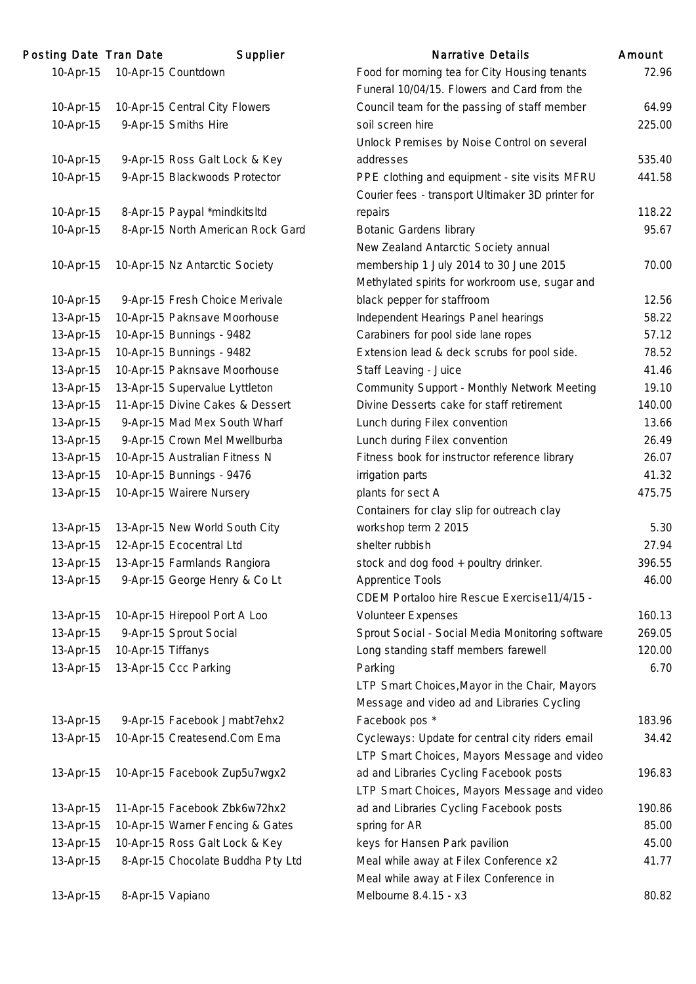| Posting Date Tran Date |                    | Supplier                          | <b>Narrative Details</b>                          | Amount |
|------------------------|--------------------|-----------------------------------|---------------------------------------------------|--------|
| 10-Apr-15              |                    | 10-Apr-15 Countdown               | Food for morning tea for City Housing tenants     | 72.96  |
|                        |                    |                                   | Funeral 10/04/15. Flowers and Card from the       |        |
| 10-Apr-15              |                    | 10-Apr-15 Central City Flowers    | Council team for the passing of staff member      | 64.99  |
| 10-Apr-15              |                    | 9-Apr-15 Smiths Hire              | soil screen hire                                  | 225.00 |
|                        |                    |                                   | Unlock Premises by Noise Control on several       |        |
| 10-Apr-15              |                    | 9-Apr-15 Ross Galt Lock & Key     | addresses                                         | 535.40 |
| 10-Apr-15              |                    | 9-Apr-15 Blackwoods Protector     | PPE clothing and equipment - site visits MFRU     | 441.58 |
|                        |                    |                                   | Courier fees - transport Ultimaker 3D printer for |        |
| 10-Apr-15              |                    | 8-Apr-15 Paypal *mindkitsltd      | repairs                                           | 118.22 |
| 10-Apr-15              |                    | 8-Apr-15 North American Rock Gard | <b>Botanic Gardens library</b>                    | 95.67  |
|                        |                    |                                   | New Zealand Antarctic Society annual              |        |
| 10-Apr-15              |                    | 10-Apr-15 Nz Antarctic Society    | membership 1 July 2014 to 30 June 2015            | 70.00  |
|                        |                    |                                   | Methylated spirits for workroom use, sugar and    |        |
| 10-Apr-15              |                    | 9-Apr-15 Fresh Choice Merivale    | black pepper for staffroom                        | 12.56  |
| 13-Apr-15              |                    | 10-Apr-15 Paknsave Moorhouse      | Independent Hearings Panel hearings               | 58.22  |
| 13-Apr-15              |                    | 10-Apr-15 Bunnings - 9482         | Carabiners for pool side lane ropes               | 57.12  |
| 13-Apr-15              |                    | 10-Apr-15 Bunnings - 9482         | Extension lead & deck scrubs for pool side.       | 78.52  |
| 13-Apr-15              |                    | 10-Apr-15 Paknsave Moorhouse      | Staff Leaving - Juice                             | 41.46  |
| 13-Apr-15              |                    | 13-Apr-15 Supervalue Lyttleton    | Community Support - Monthly Network Meeting       | 19.10  |
| 13-Apr-15              |                    | 11-Apr-15 Divine Cakes & Dessert  | Divine Desserts cake for staff retirement         | 140.00 |
| 13-Apr-15              |                    | 9-Apr-15 Mad Mex South Wharf      | Lunch during Filex convention                     | 13.66  |
| 13-Apr-15              |                    | 9-Apr-15 Crown Mel Mwellburba     | Lunch during Filex convention                     | 26.49  |
| 13-Apr-15              |                    | 10-Apr-15 Australian Fitness N    | Fitness book for instructor reference library     | 26.07  |
| 13-Apr-15              |                    | 10-Apr-15 Bunnings - 9476         | irrigation parts                                  | 41.32  |
| 13-Apr-15              |                    | 10-Apr-15 Wairere Nursery         | plants for sect A                                 | 475.75 |
|                        |                    |                                   | Containers for clay slip for outreach clay        |        |
| 13-Apr-15              |                    | 13-Apr-15 New World South City    | workshop term 2 2015                              | 5.30   |
| 13-Apr-15              |                    | 12-Apr-15 Ecocentral Ltd          | shelter rubbish                                   | 27.94  |
| 13-Apr-15              |                    | 13-Apr-15 Farmlands Rangiora      | stock and dog food + poultry drinker.             | 396.55 |
| 13-Apr-15              |                    | 9-Apr-15 George Henry & Co Lt     | <b>Apprentice Tools</b>                           | 46.00  |
|                        |                    |                                   | CDEM Portaloo hire Rescue Exercise11/4/15 -       |        |
| 13-Apr-15              |                    | 10-Apr-15 Hirepool Port A Loo     | <b>Volunteer Expenses</b>                         | 160.13 |
| 13-Apr-15              |                    | 9-Apr-15 Sprout Social            | Sprout Social - Social Media Monitoring software  | 269.05 |
| 13-Apr-15              | 10-Apr-15 Tiffanys |                                   | Long standing staff members farewell              | 120.00 |
| 13-Apr-15              |                    | 13-Apr-15 Ccc Parking             | Parking                                           | 6.70   |
|                        |                    |                                   | LTP Smart Choices, Mayor in the Chair, Mayors     |        |
|                        |                    |                                   | Message and video ad and Libraries Cycling        |        |
| 13-Apr-15              |                    | 9-Apr-15 Facebook Jmabt7ehx2      | Facebook pos *                                    | 183.96 |
| 13-Apr-15              |                    | 10-Apr-15 Createsend.Com Ema      | Cycleways: Update for central city riders email   | 34.42  |
|                        |                    |                                   | LTP Smart Choices, Mayors Message and video       |        |
| 13-Apr-15              |                    | 10-Apr-15 Facebook Zup5u7wgx2     | ad and Libraries Cycling Facebook posts           | 196.83 |
|                        |                    |                                   | LTP Smart Choices, Mayors Message and video       |        |
| 13-Apr-15              |                    | 11-Apr-15 Facebook Zbk6w72hx2     | ad and Libraries Cycling Facebook posts           | 190.86 |
| 13-Apr-15              |                    | 10-Apr-15 Warner Fencing & Gates  | spring for AR                                     | 85.00  |
| 13-Apr-15              |                    | 10-Apr-15 Ross Galt Lock & Key    | keys for Hansen Park pavilion                     | 45.00  |
| 13-Apr-15              |                    | 8-Apr-15 Chocolate Buddha Pty Ltd | Meal while away at Filex Conference x2            | 41.77  |
|                        |                    |                                   | Meal while away at Filex Conference in            |        |
| 13-Apr-15              | 8-Apr-15 Vapiano   |                                   | Melbourne 8.4.15 - x3                             | 80.82  |

535.40

160.13

183.96

196.83

190.86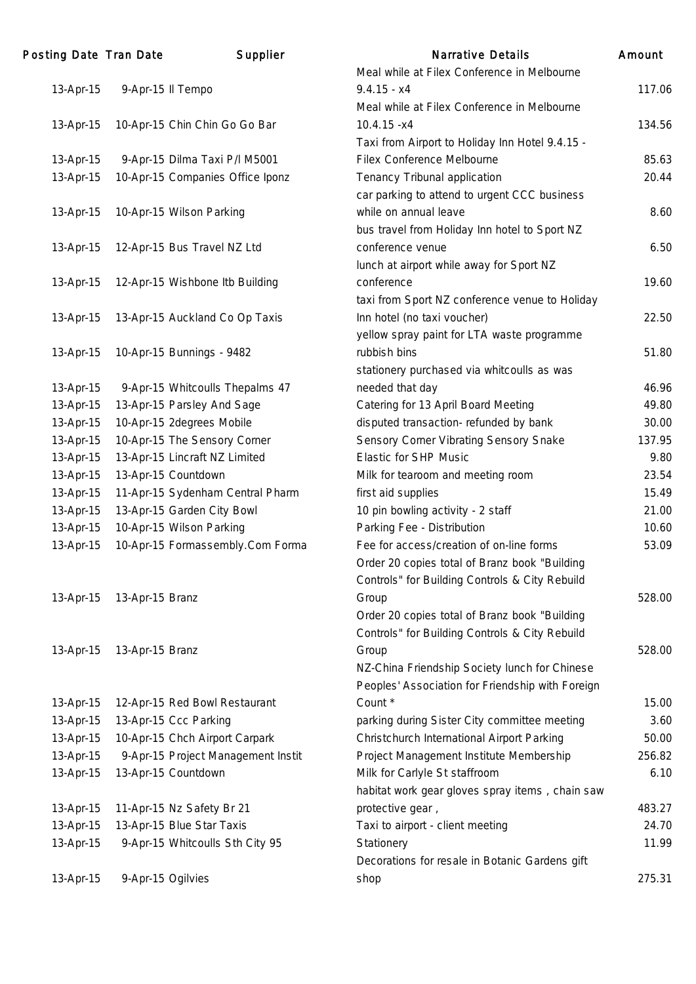| Posting Date Tran Date |                   | Supplier                           | <b>Narrative Details</b>                         | Amount |
|------------------------|-------------------|------------------------------------|--------------------------------------------------|--------|
|                        |                   |                                    | Meal while at Filex Conference in Melbourne      |        |
| 13-Apr-15              | 9-Apr-15 II Tempo |                                    | $9.4.15 - x4$                                    | 117.06 |
|                        |                   |                                    | Meal while at Filex Conference in Melbourne      |        |
| 13-Apr-15              |                   | 10-Apr-15 Chin Chin Go Go Bar      | $10.4.15 - x4$                                   | 134.56 |
|                        |                   |                                    | Taxi from Airport to Holiday Inn Hotel 9.4.15 -  |        |
| 13-Apr-15              |                   | 9-Apr-15 Dilma Taxi P/I M5001      | Filex Conference Melbourne                       | 85.63  |
| 13-Apr-15              |                   | 10-Apr-15 Companies Office Iponz   | Tenancy Tribunal application                     | 20.44  |
|                        |                   |                                    | car parking to attend to urgent CCC business     |        |
| 13-Apr-15              |                   | 10-Apr-15 Wilson Parking           | while on annual leave                            | 8.60   |
|                        |                   |                                    | bus travel from Holiday Inn hotel to Sport NZ    |        |
| 13-Apr-15              |                   | 12-Apr-15 Bus Travel NZ Ltd        | conference venue                                 | 6.50   |
|                        |                   |                                    | lunch at airport while away for Sport NZ         |        |
| 13-Apr-15              |                   | 12-Apr-15 Wishbone Itb Building    | conference                                       | 19.60  |
|                        |                   |                                    | taxi from Sport NZ conference venue to Holiday   |        |
| 13-Apr-15              |                   | 13-Apr-15 Auckland Co Op Taxis     | Inn hotel (no taxi voucher)                      | 22.50  |
|                        |                   |                                    | yellow spray paint for LTA waste programme       |        |
| 13-Apr-15              |                   | 10-Apr-15 Bunnings - 9482          | rubbish bins                                     | 51.80  |
|                        |                   |                                    | stationery purchased via whitcoulls as was       |        |
| 13-Apr-15              |                   | 9-Apr-15 Whitcoulls Thepalms 47    | needed that day                                  | 46.96  |
| 13-Apr-15              |                   | 13-Apr-15 Parsley And Sage         | Catering for 13 April Board Meeting              | 49.80  |
| 13-Apr-15              |                   | 10-Apr-15 2degrees Mobile          | disputed transaction-refunded by bank            | 30.00  |
| 13-Apr-15              |                   | 10-Apr-15 The Sensory Corner       | Sensory Corner Vibrating Sensory Snake           | 137.95 |
| 13-Apr-15              |                   | 13-Apr-15 Lincraft NZ Limited      | <b>Elastic for SHP Music</b>                     | 9.80   |
| 13-Apr-15              |                   | 13-Apr-15 Countdown                | Milk for tearoom and meeting room                | 23.54  |
| 13-Apr-15              |                   | 11-Apr-15 Sydenham Central Pharm   | first aid supplies                               | 15.49  |
| 13-Apr-15              |                   | 13-Apr-15 Garden City Bowl         | 10 pin bowling activity - 2 staff                | 21.00  |
| 13-Apr-15              |                   | 10-Apr-15 Wilson Parking           | Parking Fee - Distribution                       | 10.60  |
| 13-Apr-15              |                   | 10-Apr-15 Formassembly.Com Forma   | Fee for access/creation of on-line forms         | 53.09  |
|                        |                   |                                    | Order 20 copies total of Branz book "Building    |        |
|                        |                   |                                    | Controls" for Building Controls & City Rebuild   |        |
| 13-Apr-15              | 13-Apr-15 Branz   |                                    | Group                                            | 528.00 |
|                        |                   |                                    | Order 20 copies total of Branz book "Building    |        |
|                        |                   |                                    | Controls" for Building Controls & City Rebuild   |        |
|                        |                   |                                    |                                                  |        |
| 13-Apr-15              | 13-Apr-15 Branz   |                                    | Group                                            | 528.00 |
|                        |                   |                                    | NZ-China Friendship Society lunch for Chinese    |        |
|                        |                   |                                    | Peoples' Association for Friendship with Foreign |        |
| 13-Apr-15              |                   | 12-Apr-15 Red Bowl Restaurant      | Count *                                          | 15.00  |
| 13-Apr-15              |                   | 13-Apr-15 Ccc Parking              | parking during Sister City committee meeting     | 3.60   |
| 13-Apr-15              |                   | 10-Apr-15 Chch Airport Carpark     | Christchurch International Airport Parking       | 50.00  |
| 13-Apr-15              |                   | 9-Apr-15 Project Management Instit | Project Management Institute Membership          | 256.82 |
| 13-Apr-15              |                   | 13-Apr-15 Countdown                | Milk for Carlyle St staffroom                    | 6.10   |
|                        |                   |                                    | habitat work gear gloves spray items, chain saw  |        |
| 13-Apr-15              |                   | 11-Apr-15 Nz Safety Br 21          | protective gear,                                 | 483.27 |
| 13-Apr-15              |                   | 13-Apr-15 Blue Star Taxis          | Taxi to airport - client meeting                 | 24.70  |
| 13-Apr-15              |                   | 9-Apr-15 Whitcoulls Sth City 95    | Stationery                                       | 11.99  |
|                        |                   |                                    | Decorations for resale in Botanic Gardens gift   |        |
| 13-Apr-15              | 9-Apr-15 Ogilvies |                                    | shop                                             | 275.31 |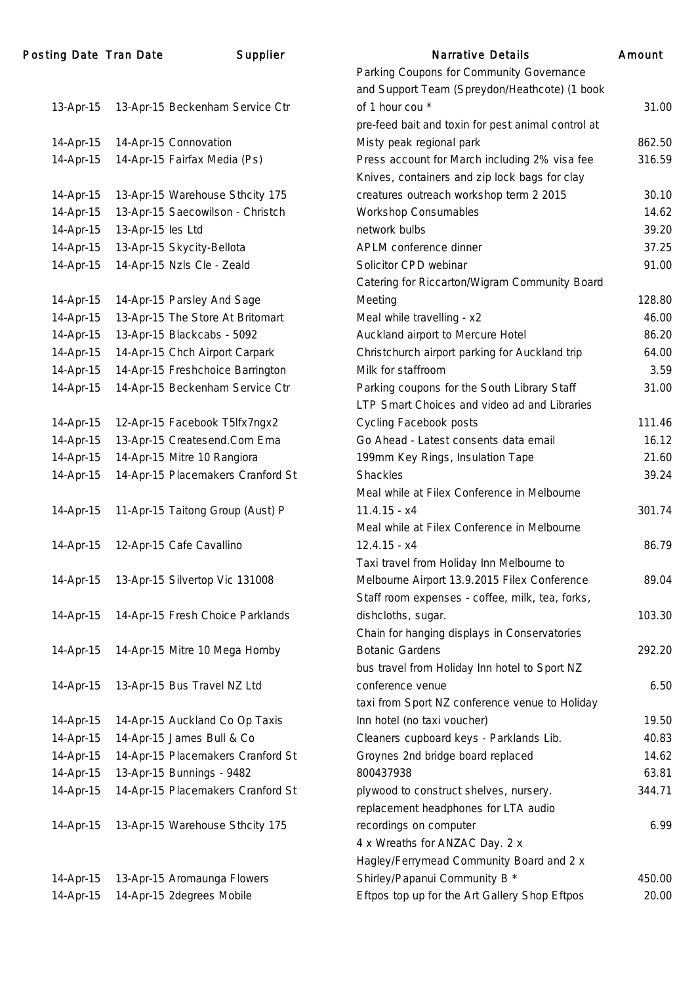| 13-Apr-15 | 13-Apr-15 Beckenham Service Ctr   |
|-----------|-----------------------------------|
| 14-Apr-15 | 14-Apr-15 Connovation             |
| 14-Apr-15 | 14-Apr-15 Fairfax Media (Ps)      |
|           |                                   |
| 14-Apr-15 | 13-Apr-15 Warehouse Sthcity 175   |
| 14-Apr-15 | 13-Apr-15 Saecowilson - Christch  |
| 14-Apr-15 | 13-Apr-15 les Ltd                 |
| 14-Apr-15 | 13-Apr-15 Skycity-Bellota         |
| 14-Apr-15 | 14-Apr-15 Nzls Cle - Zeald        |
|           |                                   |
| 14-Apr-15 | 14-Apr-15 Parsley And Sage        |
| 14-Apr-15 | 13-Apr-15 The Store At Britomart  |
| 14-Apr-15 | 13-Apr-15 Blackcabs - 5092        |
| 14-Apr-15 | 14-Apr-15 Chch Airport Carpark    |
| 14-Apr-15 | 14-Apr-15 Freshchoice Barrington  |
| 14-Apr-15 | 14-Apr-15 Beckenham Service Ctr   |
|           |                                   |
| 14-Apr-15 | 12-Apr-15 Facebook T5lfx7ngx2     |
| 14-Apr-15 | 13-Apr-15 Createsend.Com Ema      |
| 14-Apr-15 | 14-Apr-15 Mitre 10 Rangiora       |
| 14-Apr-15 | 14-Apr-15 Placemakers Cranford St |
| 14-Apr-15 | 11-Apr-15 Taitong Group (Aust) P  |
| 14-Apr-15 | 12-Apr-15 Cafe Cavallino          |
| 14-Apr-15 | 13-Apr-15 Silvertop Vic 131008    |
| 14-Apr-15 | 14-Apr-15 Fresh Choice Parklands  |
| 14-Apr-15 | 14-Apr-15 Mitre 10 Mega Hornby    |
| 14-Apr-15 | 13-Apr-15 Bus Travel NZ Ltd       |
| 14-Apr-15 | 14-Apr-15 Auckland Co Op Taxis    |
| 14-Apr-15 | 14-Apr-15 James Bull & Co         |
| 14-Apr-15 | 14-Apr-15 Placemakers Cranford St |
| 14-Apr-15 | 13-Apr-15 Bunnings - 9482         |
| 14-Apr-15 | 14-Apr-15 Placemakers Cranford St |
| 14-Apr-15 | 13-Apr-15 Warehouse Sthcity 175   |
| 14-Apr-15 | 13-Apr-15 Aromaunga Flowers       |

|           | ing Date Tran Date | Supplier                          | <b>Narrative Details</b>                           | Amount |
|-----------|--------------------|-----------------------------------|----------------------------------------------------|--------|
|           |                    |                                   | Parking Coupons for Community Governance           |        |
|           |                    |                                   | and Support Team (Spreydon/Heathcote) (1 book      |        |
| 13-Apr-15 |                    | 13-Apr-15 Beckenham Service Ctr   | of 1 hour cou *                                    | 31.00  |
|           |                    |                                   | pre-feed bait and toxin for pest animal control at |        |
| 14-Apr-15 |                    | 14-Apr-15 Connovation             | Misty peak regional park                           | 862.50 |
| 14-Apr-15 |                    | 14-Apr-15 Fairfax Media (Ps)      | Press account for March including 2% visa fee      | 316.59 |
|           |                    |                                   | Knives, containers and zip lock bags for clay      |        |
| 14-Apr-15 |                    | 13-Apr-15 Warehouse Sthcity 175   | creatures outreach workshop term 2 2015            | 30.10  |
| 14-Apr-15 |                    | 13-Apr-15 Saecowilson - Christch  | <b>Workshop Consumables</b>                        | 14.62  |
| 14-Apr-15 | 13-Apr-15 les Ltd  |                                   | network bulbs                                      | 39.20  |
| 14-Apr-15 |                    | 13-Apr-15 Skycity-Bellota         | APLM conference dinner                             | 37.25  |
| 14-Apr-15 |                    | 14-Apr-15 Nzls Cle - Zeald        | Solicitor CPD webinar                              | 91.00  |
|           |                    |                                   | Catering for Riccarton/Wigram Community Board      |        |
| 14-Apr-15 |                    | 14-Apr-15 Parsley And Sage        | Meeting                                            | 128.80 |
| 14-Apr-15 |                    | 13-Apr-15 The Store At Britomart  | Meal while travelling - x2                         | 46.00  |
| 14-Apr-15 |                    | 13-Apr-15 Blackcabs - 5092        | Auckland airport to Mercure Hotel                  | 86.20  |
| 14-Apr-15 |                    | 14-Apr-15 Chch Airport Carpark    | Christchurch airport parking for Auckland trip     | 64.00  |
| 14-Apr-15 |                    | 14-Apr-15 Freshchoice Barrington  | Milk for staffroom                                 | 3.59   |
| 14-Apr-15 |                    | 14-Apr-15 Beckenham Service Ctr   | Parking coupons for the South Library Staff        | 31.00  |
|           |                    |                                   | LTP Smart Choices and video ad and Libraries       |        |
| 14-Apr-15 |                    | 12-Apr-15 Facebook T5lfx7ngx2     | <b>Cycling Facebook posts</b>                      | 111.46 |
| 14-Apr-15 |                    | 13-Apr-15 Createsend.Com Ema      | Go Ahead - Latest consents data email              | 16.12  |
| 14-Apr-15 |                    | 14-Apr-15 Mitre 10 Rangiora       | 199mm Key Rings, Insulation Tape                   | 21.60  |
| 14-Apr-15 |                    | 14-Apr-15 Placemakers Cranford St | <b>Shackles</b>                                    | 39.24  |
|           |                    |                                   | Meal while at Filex Conference in Melbourne        |        |
| 14-Apr-15 |                    | 11-Apr-15 Taitong Group (Aust) P  | $11.4.15 - x4$                                     | 301.74 |
|           |                    |                                   | Meal while at Filex Conference in Melbourne        |        |
| 14-Apr-15 |                    | 12-Apr-15 Cafe Cavallino          | $12.4.15 - x4$                                     | 86.79  |
|           |                    |                                   | Taxi travel from Holiday Inn Melbourne to          |        |
| 14-Apr-15 |                    | 13-Apr-15 Silvertop Vic 131008    | Melbourne Airport 13.9.2015 Filex Conference       | 89.04  |
|           |                    |                                   | Staff room expenses - coffee, milk, tea, forks,    |        |
| 14-Apr-15 |                    | 14-Apr-15 Fresh Choice Parklands  | dishcloths, sugar.                                 | 103.30 |
|           |                    |                                   | Chain for hanging displays in Conservatories       |        |
| 14-Apr-15 |                    | 14-Apr-15 Mitre 10 Mega Hornby    | <b>Botanic Gardens</b>                             | 292.20 |
|           |                    |                                   | bus travel from Holiday Inn hotel to Sport NZ      |        |
| 14-Apr-15 |                    | 13-Apr-15 Bus Travel NZ Ltd       | conference venue                                   | 6.50   |
|           |                    |                                   | taxi from Sport NZ conference venue to Holiday     |        |
| 14-Apr-15 |                    | 14-Apr-15 Auckland Co Op Taxis    | Inn hotel (no taxi voucher)                        | 19.50  |
| 14-Apr-15 |                    | 14-Apr-15 James Bull & Co         | Cleaners cupboard keys - Parklands Lib.            | 40.83  |
| 14-Apr-15 |                    | 14-Apr-15 Placemakers Cranford St | Groynes 2nd bridge board replaced                  | 14.62  |
| 14-Apr-15 |                    | 13-Apr-15 Bunnings - 9482         | 800437938                                          | 63.81  |
| 14-Apr-15 |                    | 14-Apr-15 Placemakers Cranford St | plywood to construct shelves, nursery.             | 344.71 |
|           |                    |                                   | replacement headphones for LTA audio               |        |
| 14-Apr-15 |                    | 13-Apr-15 Warehouse Sthcity 175   | recordings on computer                             | 6.99   |
|           |                    |                                   | 4 x Wreaths for ANZAC Day. 2 x                     |        |
|           |                    |                                   | Hagley/Ferrymead Community Board and 2 x           |        |
| 14-Apr-15 |                    | 13-Apr-15 Aromaunga Flowers       | Shirley/Papanui Community B *                      | 450.00 |
| 14-Apr-15 |                    | 14-Apr-15 2degrees Mobile         | Eftpos top up for the Art Gallery Shop Eftpos      | 20.00  |
|           |                    |                                   |                                                    |        |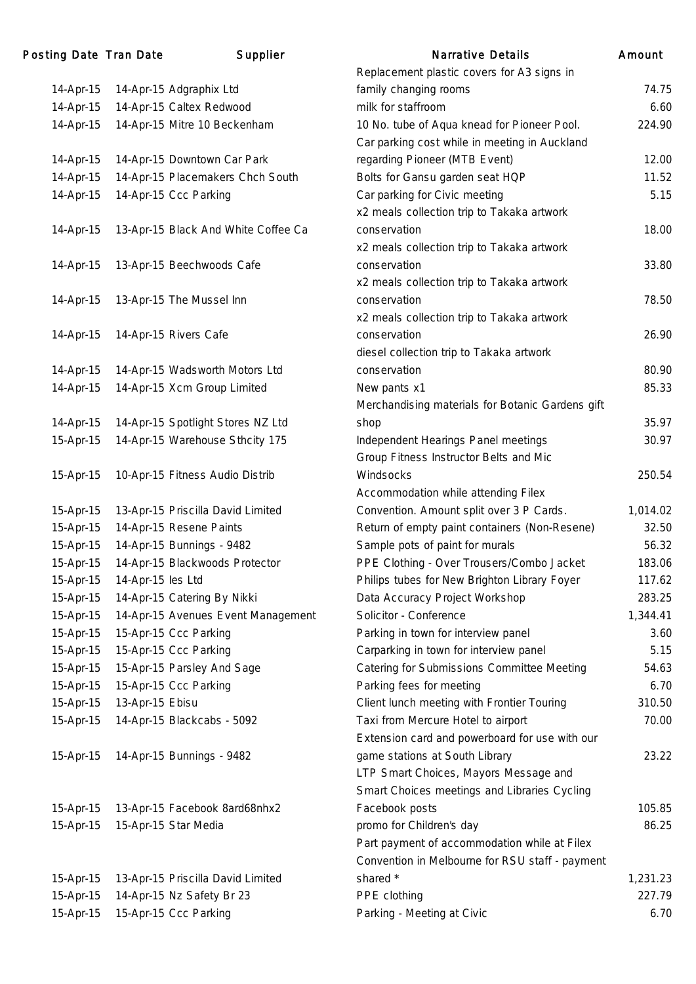| 14-Apr-15<br>14-Apr-15 Adgraphix Ltd<br>14-Apr-15<br>14-Apr-15 Caltex Redwood<br>14-Apr-15<br>14-Apr-15 Mitre 10 Beckenham<br>14-Apr-15 Downtown Car Park<br>14-Apr-15<br>14-Apr-15 Placemakers Chch South<br>14-Apr-15<br>14-Apr-15<br>14-Apr-15 Ccc Parking<br>13-Apr-15 Black And White Coffee Ca<br>14-Apr-15<br>13-Apr-15 Beechwoods Cafe<br>14-Apr-15<br>13-Apr-15 The Mussel Inn<br>14-Apr-15<br>14-Apr-15<br>14-Apr-15 Rivers Cafe<br>14-Apr-15 Wadsworth Motors Ltd<br>14-Apr-15<br>14-Apr-15<br>14-Apr-15 Xcm Group Limited<br>14-Apr-15<br>14-Apr-15 Spotlight Stores NZ Ltd<br>14-Apr-15 Warehouse Sthcity 175<br>15-Apr-15<br>10-Apr-15 Fitness Audio Distrib<br>15-Apr-15<br>13-Apr-15 Priscilla David Limited<br>15-Apr-15<br>15-Apr-15<br>14-Apr-15 Resene Paints<br>15-Apr-15<br>14-Apr-15 Bunnings - 9482<br>15-Apr-15<br>14-Apr-15 Blackwoods Protector<br>15-Apr-15<br>14-Apr-15 les Ltd<br>14-Apr-15 Catering By Nikki<br>15-Apr-15<br>15-Apr-15<br>15-Apr-15<br>15-Apr-15 Ccc Parking<br>15-Apr-15 Ccc Parking<br>15-Apr-15<br>15-Apr-15<br>15-Apr-15 Parsley And Sage<br>15-Apr-15 Ccc Parking<br>15-Apr-15<br>15-Apr-15<br>13-Apr-15 Ebisu<br>14-Apr-15 Blackcabs - 5092<br>15-Apr-15<br>14-Apr-15 Bunnings - 9482<br>15-Apr-15<br>15-Apr-15<br>13-Apr-15 Facebook 8ard68nhx2<br>15-Apr-15 Star Media<br>15-Apr-15<br>13-Apr-15 Priscilla David Limited<br>15-Apr-15 | 14-Apr-15 Nz Safety Br 23<br>15-Apr-15        |                                    |
|----------------------------------------------------------------------------------------------------------------------------------------------------------------------------------------------------------------------------------------------------------------------------------------------------------------------------------------------------------------------------------------------------------------------------------------------------------------------------------------------------------------------------------------------------------------------------------------------------------------------------------------------------------------------------------------------------------------------------------------------------------------------------------------------------------------------------------------------------------------------------------------------------------------------------------------------------------------------------------------------------------------------------------------------------------------------------------------------------------------------------------------------------------------------------------------------------------------------------------------------------------------------------------------------------------------------------------------------------------------------------------------------|-----------------------------------------------|------------------------------------|
|                                                                                                                                                                                                                                                                                                                                                                                                                                                                                                                                                                                                                                                                                                                                                                                                                                                                                                                                                                                                                                                                                                                                                                                                                                                                                                                                                                                              |                                               |                                    |
|                                                                                                                                                                                                                                                                                                                                                                                                                                                                                                                                                                                                                                                                                                                                                                                                                                                                                                                                                                                                                                                                                                                                                                                                                                                                                                                                                                                              |                                               |                                    |
|                                                                                                                                                                                                                                                                                                                                                                                                                                                                                                                                                                                                                                                                                                                                                                                                                                                                                                                                                                                                                                                                                                                                                                                                                                                                                                                                                                                              |                                               |                                    |
|                                                                                                                                                                                                                                                                                                                                                                                                                                                                                                                                                                                                                                                                                                                                                                                                                                                                                                                                                                                                                                                                                                                                                                                                                                                                                                                                                                                              |                                               |                                    |
|                                                                                                                                                                                                                                                                                                                                                                                                                                                                                                                                                                                                                                                                                                                                                                                                                                                                                                                                                                                                                                                                                                                                                                                                                                                                                                                                                                                              |                                               |                                    |
|                                                                                                                                                                                                                                                                                                                                                                                                                                                                                                                                                                                                                                                                                                                                                                                                                                                                                                                                                                                                                                                                                                                                                                                                                                                                                                                                                                                              |                                               |                                    |
|                                                                                                                                                                                                                                                                                                                                                                                                                                                                                                                                                                                                                                                                                                                                                                                                                                                                                                                                                                                                                                                                                                                                                                                                                                                                                                                                                                                              |                                               |                                    |
|                                                                                                                                                                                                                                                                                                                                                                                                                                                                                                                                                                                                                                                                                                                                                                                                                                                                                                                                                                                                                                                                                                                                                                                                                                                                                                                                                                                              |                                               |                                    |
|                                                                                                                                                                                                                                                                                                                                                                                                                                                                                                                                                                                                                                                                                                                                                                                                                                                                                                                                                                                                                                                                                                                                                                                                                                                                                                                                                                                              |                                               |                                    |
|                                                                                                                                                                                                                                                                                                                                                                                                                                                                                                                                                                                                                                                                                                                                                                                                                                                                                                                                                                                                                                                                                                                                                                                                                                                                                                                                                                                              |                                               |                                    |
|                                                                                                                                                                                                                                                                                                                                                                                                                                                                                                                                                                                                                                                                                                                                                                                                                                                                                                                                                                                                                                                                                                                                                                                                                                                                                                                                                                                              |                                               |                                    |
|                                                                                                                                                                                                                                                                                                                                                                                                                                                                                                                                                                                                                                                                                                                                                                                                                                                                                                                                                                                                                                                                                                                                                                                                                                                                                                                                                                                              |                                               |                                    |
|                                                                                                                                                                                                                                                                                                                                                                                                                                                                                                                                                                                                                                                                                                                                                                                                                                                                                                                                                                                                                                                                                                                                                                                                                                                                                                                                                                                              |                                               |                                    |
|                                                                                                                                                                                                                                                                                                                                                                                                                                                                                                                                                                                                                                                                                                                                                                                                                                                                                                                                                                                                                                                                                                                                                                                                                                                                                                                                                                                              |                                               |                                    |
|                                                                                                                                                                                                                                                                                                                                                                                                                                                                                                                                                                                                                                                                                                                                                                                                                                                                                                                                                                                                                                                                                                                                                                                                                                                                                                                                                                                              |                                               |                                    |
|                                                                                                                                                                                                                                                                                                                                                                                                                                                                                                                                                                                                                                                                                                                                                                                                                                                                                                                                                                                                                                                                                                                                                                                                                                                                                                                                                                                              |                                               |                                    |
|                                                                                                                                                                                                                                                                                                                                                                                                                                                                                                                                                                                                                                                                                                                                                                                                                                                                                                                                                                                                                                                                                                                                                                                                                                                                                                                                                                                              |                                               |                                    |
|                                                                                                                                                                                                                                                                                                                                                                                                                                                                                                                                                                                                                                                                                                                                                                                                                                                                                                                                                                                                                                                                                                                                                                                                                                                                                                                                                                                              |                                               |                                    |
|                                                                                                                                                                                                                                                                                                                                                                                                                                                                                                                                                                                                                                                                                                                                                                                                                                                                                                                                                                                                                                                                                                                                                                                                                                                                                                                                                                                              |                                               |                                    |
|                                                                                                                                                                                                                                                                                                                                                                                                                                                                                                                                                                                                                                                                                                                                                                                                                                                                                                                                                                                                                                                                                                                                                                                                                                                                                                                                                                                              |                                               |                                    |
|                                                                                                                                                                                                                                                                                                                                                                                                                                                                                                                                                                                                                                                                                                                                                                                                                                                                                                                                                                                                                                                                                                                                                                                                                                                                                                                                                                                              |                                               |                                    |
|                                                                                                                                                                                                                                                                                                                                                                                                                                                                                                                                                                                                                                                                                                                                                                                                                                                                                                                                                                                                                                                                                                                                                                                                                                                                                                                                                                                              |                                               |                                    |
|                                                                                                                                                                                                                                                                                                                                                                                                                                                                                                                                                                                                                                                                                                                                                                                                                                                                                                                                                                                                                                                                                                                                                                                                                                                                                                                                                                                              |                                               |                                    |
|                                                                                                                                                                                                                                                                                                                                                                                                                                                                                                                                                                                                                                                                                                                                                                                                                                                                                                                                                                                                                                                                                                                                                                                                                                                                                                                                                                                              |                                               |                                    |
|                                                                                                                                                                                                                                                                                                                                                                                                                                                                                                                                                                                                                                                                                                                                                                                                                                                                                                                                                                                                                                                                                                                                                                                                                                                                                                                                                                                              |                                               |                                    |
|                                                                                                                                                                                                                                                                                                                                                                                                                                                                                                                                                                                                                                                                                                                                                                                                                                                                                                                                                                                                                                                                                                                                                                                                                                                                                                                                                                                              |                                               |                                    |
|                                                                                                                                                                                                                                                                                                                                                                                                                                                                                                                                                                                                                                                                                                                                                                                                                                                                                                                                                                                                                                                                                                                                                                                                                                                                                                                                                                                              |                                               |                                    |
|                                                                                                                                                                                                                                                                                                                                                                                                                                                                                                                                                                                                                                                                                                                                                                                                                                                                                                                                                                                                                                                                                                                                                                                                                                                                                                                                                                                              |                                               |                                    |
|                                                                                                                                                                                                                                                                                                                                                                                                                                                                                                                                                                                                                                                                                                                                                                                                                                                                                                                                                                                                                                                                                                                                                                                                                                                                                                                                                                                              |                                               |                                    |
|                                                                                                                                                                                                                                                                                                                                                                                                                                                                                                                                                                                                                                                                                                                                                                                                                                                                                                                                                                                                                                                                                                                                                                                                                                                                                                                                                                                              |                                               | 14-Apr-15 Avenues Event Management |
|                                                                                                                                                                                                                                                                                                                                                                                                                                                                                                                                                                                                                                                                                                                                                                                                                                                                                                                                                                                                                                                                                                                                                                                                                                                                                                                                                                                              |                                               |                                    |
|                                                                                                                                                                                                                                                                                                                                                                                                                                                                                                                                                                                                                                                                                                                                                                                                                                                                                                                                                                                                                                                                                                                                                                                                                                                                                                                                                                                              |                                               |                                    |
|                                                                                                                                                                                                                                                                                                                                                                                                                                                                                                                                                                                                                                                                                                                                                                                                                                                                                                                                                                                                                                                                                                                                                                                                                                                                                                                                                                                              |                                               |                                    |
|                                                                                                                                                                                                                                                                                                                                                                                                                                                                                                                                                                                                                                                                                                                                                                                                                                                                                                                                                                                                                                                                                                                                                                                                                                                                                                                                                                                              |                                               |                                    |
|                                                                                                                                                                                                                                                                                                                                                                                                                                                                                                                                                                                                                                                                                                                                                                                                                                                                                                                                                                                                                                                                                                                                                                                                                                                                                                                                                                                              |                                               |                                    |
|                                                                                                                                                                                                                                                                                                                                                                                                                                                                                                                                                                                                                                                                                                                                                                                                                                                                                                                                                                                                                                                                                                                                                                                                                                                                                                                                                                                              |                                               |                                    |
|                                                                                                                                                                                                                                                                                                                                                                                                                                                                                                                                                                                                                                                                                                                                                                                                                                                                                                                                                                                                                                                                                                                                                                                                                                                                                                                                                                                              |                                               |                                    |
|                                                                                                                                                                                                                                                                                                                                                                                                                                                                                                                                                                                                                                                                                                                                                                                                                                                                                                                                                                                                                                                                                                                                                                                                                                                                                                                                                                                              |                                               |                                    |
|                                                                                                                                                                                                                                                                                                                                                                                                                                                                                                                                                                                                                                                                                                                                                                                                                                                                                                                                                                                                                                                                                                                                                                                                                                                                                                                                                                                              |                                               |                                    |
|                                                                                                                                                                                                                                                                                                                                                                                                                                                                                                                                                                                                                                                                                                                                                                                                                                                                                                                                                                                                                                                                                                                                                                                                                                                                                                                                                                                              |                                               |                                    |
|                                                                                                                                                                                                                                                                                                                                                                                                                                                                                                                                                                                                                                                                                                                                                                                                                                                                                                                                                                                                                                                                                                                                                                                                                                                                                                                                                                                              |                                               |                                    |
|                                                                                                                                                                                                                                                                                                                                                                                                                                                                                                                                                                                                                                                                                                                                                                                                                                                                                                                                                                                                                                                                                                                                                                                                                                                                                                                                                                                              |                                               |                                    |
|                                                                                                                                                                                                                                                                                                                                                                                                                                                                                                                                                                                                                                                                                                                                                                                                                                                                                                                                                                                                                                                                                                                                                                                                                                                                                                                                                                                              |                                               |                                    |
|                                                                                                                                                                                                                                                                                                                                                                                                                                                                                                                                                                                                                                                                                                                                                                                                                                                                                                                                                                                                                                                                                                                                                                                                                                                                                                                                                                                              |                                               |                                    |
|                                                                                                                                                                                                                                                                                                                                                                                                                                                                                                                                                                                                                                                                                                                                                                                                                                                                                                                                                                                                                                                                                                                                                                                                                                                                                                                                                                                              |                                               |                                    |
|                                                                                                                                                                                                                                                                                                                                                                                                                                                                                                                                                                                                                                                                                                                                                                                                                                                                                                                                                                                                                                                                                                                                                                                                                                                                                                                                                                                              | $15$ -Anr- $15$<br>$15$ -Apr $15$ Ccc Darking |                                    |

|           | ing Date Tran Date | Supplier                            | <b>Narrative Details</b>                         | Amount   |
|-----------|--------------------|-------------------------------------|--------------------------------------------------|----------|
|           |                    |                                     | Replacement plastic covers for A3 signs in       |          |
| 14-Apr-15 |                    | 14-Apr-15 Adgraphix Ltd             | family changing rooms                            | 74.75    |
| 14-Apr-15 |                    | 14-Apr-15 Caltex Redwood            | milk for staffroom                               | 6.60     |
| 14-Apr-15 |                    | 14-Apr-15 Mitre 10 Beckenham        | 10 No. tube of Aqua knead for Pioneer Pool.      | 224.90   |
|           |                    |                                     | Car parking cost while in meeting in Auckland    |          |
| 14-Apr-15 |                    | 14-Apr-15 Downtown Car Park         | regarding Pioneer (MTB Event)                    | 12.00    |
| 14-Apr-15 |                    | 14-Apr-15 Placemakers Chch South    | Bolts for Gansu garden seat HQP                  | 11.52    |
| 14-Apr-15 |                    | 14-Apr-15 Ccc Parking               | Car parking for Civic meeting                    | 5.15     |
|           |                    |                                     | x2 meals collection trip to Takaka artwork       |          |
| 14-Apr-15 |                    | 13-Apr-15 Black And White Coffee Ca | conservation                                     | 18.00    |
|           |                    |                                     | x2 meals collection trip to Takaka artwork       |          |
| 14-Apr-15 |                    | 13-Apr-15 Beechwoods Cafe           | conservation                                     | 33.80    |
|           |                    |                                     | x2 meals collection trip to Takaka artwork       |          |
| 14-Apr-15 |                    | 13-Apr-15 The Mussel Inn            | conservation                                     | 78.50    |
|           |                    |                                     | x2 meals collection trip to Takaka artwork       |          |
| 14-Apr-15 |                    | 14-Apr-15 Rivers Cafe               | conservation                                     | 26.90    |
|           |                    |                                     | diesel collection trip to Takaka artwork         |          |
| 14-Apr-15 |                    | 14-Apr-15 Wadsworth Motors Ltd      | conservation                                     | 80.90    |
| 14-Apr-15 |                    | 14-Apr-15 Xcm Group Limited         | New pants x1                                     | 85.33    |
|           |                    |                                     | Merchandising materials for Botanic Gardens gift |          |
| 14-Apr-15 |                    | 14-Apr-15 Spotlight Stores NZ Ltd   | shop                                             | 35.97    |
| 15-Apr-15 |                    | 14-Apr-15 Warehouse Sthcity 175     | Independent Hearings Panel meetings              | 30.97    |
|           |                    |                                     | Group Fitness Instructor Belts and Mic           |          |
| 15-Apr-15 |                    | 10-Apr-15 Fitness Audio Distrib     | Windsocks                                        | 250.54   |
|           |                    |                                     | Accommodation while attending Filex              |          |
| 15-Apr-15 |                    | 13-Apr-15 Priscilla David Limited   | Convention. Amount split over 3 P Cards.         | 1,014.02 |
| 15-Apr-15 |                    | 14-Apr-15 Resene Paints             | Return of empty paint containers (Non-Resene)    | 32.50    |
| 15-Apr-15 |                    | 14-Apr-15 Bunnings - 9482           | Sample pots of paint for murals                  | 56.32    |
| 15-Apr-15 |                    | 14-Apr-15 Blackwoods Protector      | PPE Clothing - Over Trousers/Combo Jacket        | 183.06   |
| 15-Apr-15 | 14-Apr-15 les Ltd  |                                     | Philips tubes for New Brighton Library Foyer     | 117.62   |
| 15-Apr-15 |                    | 14-Apr-15 Catering By Nikki         | Data Accuracy Project Workshop                   | 283.25   |
| 15-Apr-15 |                    | 14-Apr-15 Avenues Event Management  | Solicitor - Conference                           | 1,344.41 |
| 15-Apr-15 |                    | 15-Apr-15 Ccc Parking               | Parking in town for interview panel              | 3.60     |
| 15-Apr-15 |                    | 15-Apr-15 Ccc Parking               | Carparking in town for interview panel           | 5.15     |
| 15-Apr-15 |                    | 15-Apr-15 Parsley And Sage          | Catering for Submissions Committee Meeting       | 54.63    |
| 15-Apr-15 |                    | 15-Apr-15 Ccc Parking               | Parking fees for meeting                         | 6.70     |
| 15-Apr-15 | 13-Apr-15 Ebisu    |                                     | Client lunch meeting with Frontier Touring       | 310.50   |
| 15-Apr-15 |                    | 14-Apr-15 Blackcabs - 5092          | Taxi from Mercure Hotel to airport               | 70.00    |
|           |                    |                                     | Extension card and powerboard for use with our   |          |
| 15-Apr-15 |                    | 14-Apr-15 Bunnings - 9482           | game stations at South Library                   | 23.22    |
|           |                    |                                     | LTP Smart Choices, Mayors Message and            |          |
|           |                    |                                     | Smart Choices meetings and Libraries Cycling     |          |
| 15-Apr-15 |                    | 13-Apr-15 Facebook 8ard68nhx2       | Facebook posts                                   | 105.85   |
| 15-Apr-15 |                    | 15-Apr-15 Star Media                | promo for Children's day                         | 86.25    |
|           |                    |                                     | Part payment of accommodation while at Filex     |          |
|           |                    |                                     | Convention in Melbourne for RSU staff - payment  |          |
| 15-Apr-15 |                    | 13-Apr-15 Priscilla David Limited   | shared *                                         | 1,231.23 |
| 15-Apr-15 |                    | 14-Apr-15 Nz Safety Br 23           | PPE clothing                                     | 227.79   |
| 15-Apr-15 |                    | 15-Apr-15 Ccc Parking               | Parking - Meeting at Civic                       | 6.70     |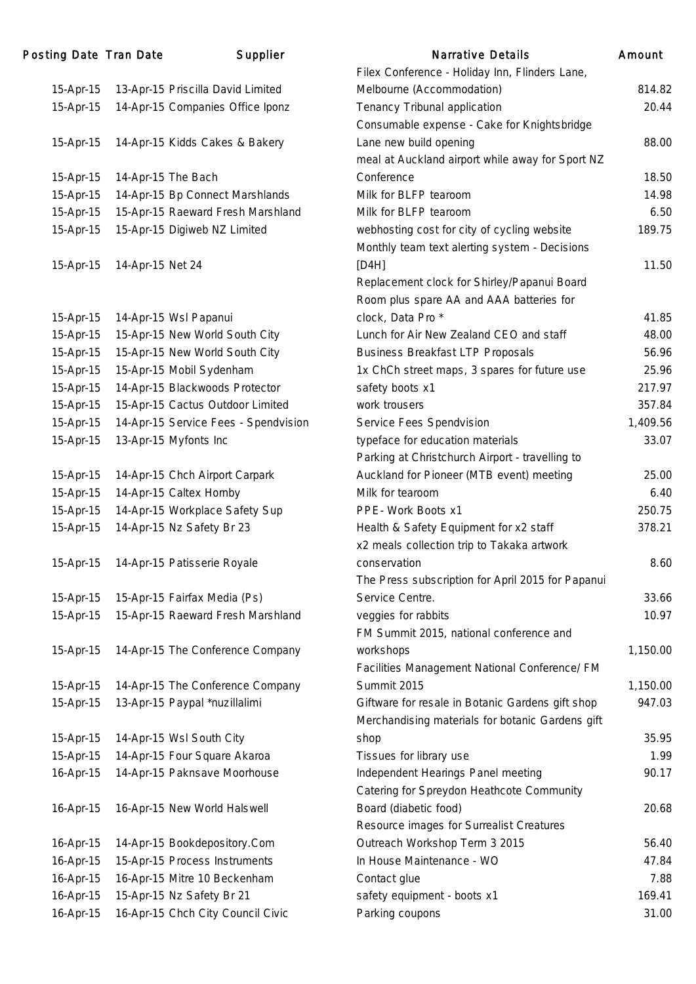| Posting Date Tran Date |                  | Supplier                             | <b>Narrative Details</b>                          | Amount   |
|------------------------|------------------|--------------------------------------|---------------------------------------------------|----------|
|                        |                  |                                      | Filex Conference - Holiday Inn, Flinders Lane,    |          |
| 15-Apr-15              |                  | 13-Apr-15 Priscilla David Limited    | Melbourne (Accommodation)                         | 814.82   |
| 15-Apr-15              |                  | 14-Apr-15 Companies Office Iponz     | Tenancy Tribunal application                      | 20.44    |
|                        |                  |                                      | Consumable expense - Cake for Knightsbridge       |          |
| 15-Apr-15              |                  | 14-Apr-15 Kidds Cakes & Bakery       | Lane new build opening                            | 88.00    |
|                        |                  |                                      | meal at Auckland airport while away for Sport NZ  |          |
| 15-Apr-15              |                  | 14-Apr-15 The Bach                   | Conference                                        | 18.50    |
| 15-Apr-15              |                  | 14-Apr-15 Bp Connect Marshlands      | Milk for BLFP tearoom                             | 14.98    |
| 15-Apr-15              |                  | 15-Apr-15 Raeward Fresh Marshland    | Milk for BLFP tearoom                             | 6.50     |
| 15-Apr-15              |                  | 15-Apr-15 Digiweb NZ Limited         | webhosting cost for city of cycling website       | 189.75   |
|                        |                  |                                      | Monthly team text alerting system - Decisions     |          |
| 15-Apr-15              | 14-Apr-15 Net 24 |                                      | [DAH]                                             | 11.50    |
|                        |                  |                                      | Replacement clock for Shirley/Papanui Board       |          |
|                        |                  |                                      | Room plus spare AA and AAA batteries for          |          |
| 15-Apr-15              |                  | 14-Apr-15 Wsl Papanui                | clock, Data Pro*                                  | 41.85    |
| 15-Apr-15              |                  | 15-Apr-15 New World South City       | Lunch for Air New Zealand CEO and staff           | 48.00    |
| 15-Apr-15              |                  | 15-Apr-15 New World South City       | <b>Business Breakfast LTP Proposals</b>           | 56.96    |
| 15-Apr-15              |                  | 15-Apr-15 Mobil Sydenham             | 1x ChCh street maps, 3 spares for future use      | 25.96    |
| 15-Apr-15              |                  | 14-Apr-15 Blackwoods Protector       | safety boots x1                                   | 217.97   |
| 15-Apr-15              |                  | 15-Apr-15 Cactus Outdoor Limited     | work trousers                                     | 357.84   |
| 15-Apr-15              |                  | 14-Apr-15 Service Fees - Spendvision | Service Fees Spendvision                          | 1,409.56 |
| 15-Apr-15              |                  | 13-Apr-15 Myfonts Inc                | typeface for education materials                  | 33.07    |
|                        |                  |                                      | Parking at Christchurch Airport - travelling to   |          |
| 15-Apr-15              |                  | 14-Apr-15 Chch Airport Carpark       | Auckland for Pioneer (MTB event) meeting          | 25.00    |
| 15-Apr-15              |                  | 14-Apr-15 Caltex Hornby              | Milk for tearoom                                  | 6.40     |
| 15-Apr-15              |                  | 14-Apr-15 Workplace Safety Sup       | PPE- Work Boots x1                                | 250.75   |
| 15-Apr-15              |                  | 14-Apr-15 Nz Safety Br 23            | Health & Safety Equipment for x2 staff            | 378.21   |
|                        |                  |                                      | x2 meals collection trip to Takaka artwork        |          |
| 15-Apr-15              |                  | 14-Apr-15 Patisserie Royale          | conservation                                      | 8.60     |
|                        |                  |                                      | The Press subscription for April 2015 for Papanui |          |
| 15-Apr-15              |                  | 15-Apr-15 Fairfax Media (Ps)         | Service Centre.                                   | 33.66    |
| 15-Apr-15              |                  | 15-Apr-15 Raeward Fresh Marshland    | veggies for rabbits                               | 10.97    |
|                        |                  |                                      | FM Summit 2015, national conference and           |          |
| 15-Apr-15              |                  | 14-Apr-15 The Conference Company     | workshops                                         | 1,150.00 |
|                        |                  |                                      | Facilities Management National Conference/ FM     |          |
| 15-Apr-15              |                  | 14-Apr-15 The Conference Company     | Summit 2015                                       | 1,150.00 |
| 15-Apr-15              |                  | 13-Apr-15 Paypal *nuzillalimi        | Giftware for resale in Botanic Gardens gift shop  | 947.03   |
|                        |                  |                                      | Merchandising materials for botanic Gardens gift  |          |
| 15-Apr-15              |                  | 14-Apr-15 Wsl South City             | shop                                              | 35.95    |
| 15-Apr-15              |                  | 14-Apr-15 Four Square Akaroa         | Tissues for library use                           | 1.99     |
| 16-Apr-15              |                  | 14-Apr-15 Paknsave Moorhouse         | Independent Hearings Panel meeting                | 90.17    |
|                        |                  |                                      | Catering for Spreydon Heathcote Community         |          |
| 16-Apr-15              |                  | 16-Apr-15 New World Halswell         | Board (diabetic food)                             | 20.68    |
|                        |                  |                                      | Resource images for Surrealist Creatures          |          |
| 16-Apr-15              |                  | 14-Apr-15 Bookdepository.Com         | Outreach Workshop Term 3 2015                     | 56.40    |
| 16-Apr-15              |                  | 15-Apr-15 Process Instruments        | In House Maintenance - WO                         | 47.84    |
| 16-Apr-15              |                  | 16-Apr-15 Mitre 10 Beckenham         | Contact glue                                      | 7.88     |
| 16-Apr-15              |                  | 15-Apr-15 Nz Safety Br 21            | safety equipment - boots x1                       | 169.41   |
| 16-Apr-15              |                  | 16-Apr-15 Chch City Council Civic    | Parking coupons                                   | 31.00    |
|                        |                  |                                      |                                                   |          |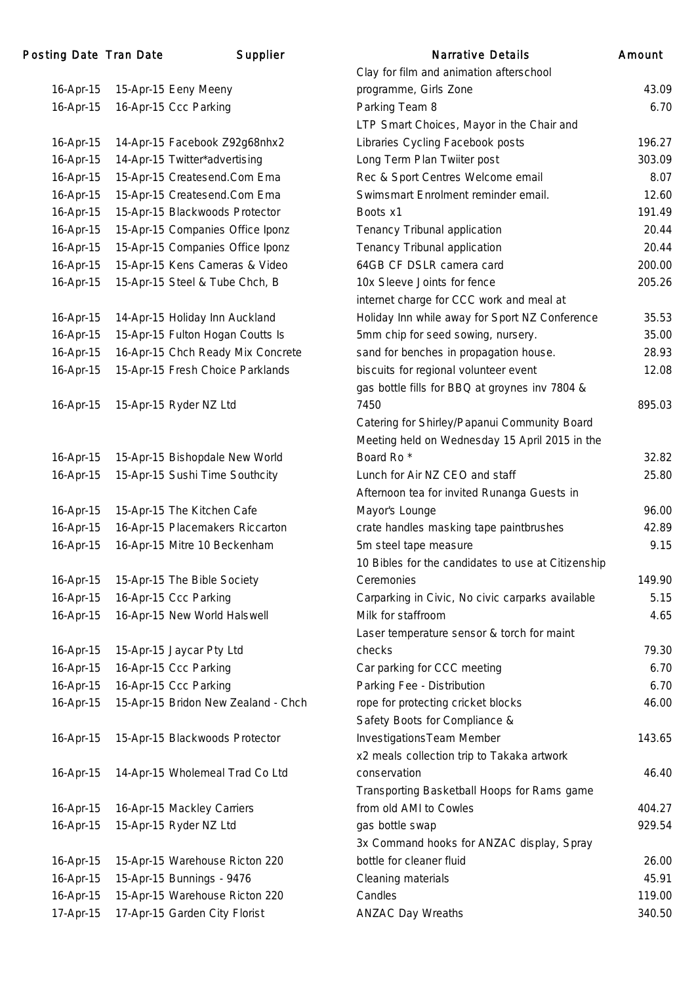| 16-Apr-15              | 15-Apr-15 Eeny Meeny                                            |
|------------------------|-----------------------------------------------------------------|
| 16-Apr-15              | 16-Apr-15 Ccc Parking                                           |
|                        |                                                                 |
| 16-Apr-15              | 14-Apr-15 Facebook Z92g68nhx2                                   |
| 16-Apr-15              | 14-Apr-15 Twitter*advertising                                   |
| 16-Apr-15              | 15-Apr-15 Createsend.Com Ema                                    |
| 16-Apr-15              | 15-Apr-15 Createsend.Com Ema                                    |
| 16-Apr-15              | 15-Apr-15 Blackwoods Protector                                  |
| 16-Apr-15              | 15-Apr-15 Companies Office Iponz                                |
| 16-Apr-15              | 15-Apr-15 Companies Office Iponz                                |
| 16-Apr-15              | 15-Apr-15 Kens Cameras & Video                                  |
| 16-Apr-15              | 15-Apr-15 Steel & Tube Chch, B                                  |
|                        |                                                                 |
| 16-Apr-15              | 14-Apr-15 Holiday Inn Auckland                                  |
| 16-Apr-15              | 15-Apr-15 Fulton Hogan Coutts Is                                |
| 16-Apr-15              | 16-Apr-15 Chch Ready Mix Concrete                               |
| 16-Apr-15              | 15-Apr-15 Fresh Choice Parklands                                |
| 16-Apr-15              | 15-Apr-15 Ryder NZ Ltd                                          |
|                        |                                                                 |
|                        |                                                                 |
| 16-Apr-15              | 15-Apr-15 Bishopdale New World                                  |
| 16-Apr-15              | 15-Apr-15 Sushi Time Southcity                                  |
|                        |                                                                 |
| 16-Apr-15              | 15-Apr-15 The Kitchen Cafe                                      |
| 16-Apr-15              | 16-Apr-15 Placemakers Riccarton                                 |
| 16-Apr-15              | 16-Apr-15 Mitre 10 Beckenham                                    |
| 16-Apr-15              | 15-Apr-15 The Bible Society                                     |
| 16-Apr-15              | 16-Apr-15 Ccc Parking                                           |
| 16-Apr-15              | 16-Apr-15 New World Halswell                                    |
|                        |                                                                 |
| 16-Apr-15              | 15-Apr-15 Jaycar Pty Ltd                                        |
| 16-Apr-15              | 16-Apr-15 Ccc Parking                                           |
| 16-Apr-15              | 16-Apr-15 Ccc Parking                                           |
| 16-Apr-15              | 15-Apr-15 Bridon New Zealand - Chch                             |
|                        |                                                                 |
| 16-Apr-15              | 15-Apr-15 Blackwoods Protector                                  |
| 16-Apr-15              | 14-Apr-15 Wholemeal Trad Co Ltd                                 |
|                        |                                                                 |
| 16-Apr-15              | 16-Apr-15 Mackley Carriers                                      |
| 16-Apr-15              | 15-Apr-15 Ryder NZ Ltd                                          |
|                        | 15-Apr-15 Warehouse Ricton 220                                  |
| 16-Apr-15              |                                                                 |
| 16-Apr-15              | 15-Apr-15 Bunnings - 9476                                       |
| 16-Apr-15<br>17-Apr-15 | 15-Apr-15 Warehouse Ricton 220<br>17-Apr-15 Garden City Florist |
|                        |                                                                 |

|                        | ng Date Tran Date | Supplier                                                    | <b>Narrative Details</b>                                              | Amount |
|------------------------|-------------------|-------------------------------------------------------------|-----------------------------------------------------------------------|--------|
|                        |                   |                                                             | Clay for film and animation afterschool                               |        |
| 16-Apr-15              |                   | 15-Apr-15 Eeny Meeny                                        | programme, Girls Zone                                                 | 43.09  |
| 16-Apr-15              |                   | 16-Apr-15 Ccc Parking                                       | Parking Team 8                                                        | 6.70   |
|                        |                   |                                                             | LTP Smart Choices, Mayor in the Chair and                             |        |
| 16-Apr-15              |                   | 14-Apr-15 Facebook Z92g68nhx2                               | Libraries Cycling Facebook posts                                      | 196.27 |
| 16-Apr-15              |                   | 14-Apr-15 Twitter*advertising                               | Long Term Plan Twiiter post                                           | 303.09 |
| 16-Apr-15              |                   | 15-Apr-15 Createsend.Com Ema                                | Rec & Sport Centres Welcome email                                     | 8.07   |
| 16-Apr-15              |                   | 15-Apr-15 Createsend.Com Ema                                | Swimsmart Enrolment reminder email.                                   | 12.60  |
| 16-Apr-15              |                   | 15-Apr-15 Blackwoods Protector                              | Boots x1                                                              | 191.49 |
| 16-Apr-15              |                   | 15-Apr-15 Companies Office Iponz                            | Tenancy Tribunal application                                          | 20.44  |
| 16-Apr-15              |                   | 15-Apr-15 Companies Office Iponz                            | Tenancy Tribunal application                                          | 20.44  |
| 16-Apr-15              |                   | 15-Apr-15 Kens Cameras & Video                              | 64GB CF DSLR camera card                                              | 200.00 |
| 16-Apr-15              |                   | 15-Apr-15 Steel & Tube Chch, B                              | 10x Sleeve Joints for fence                                           | 205.26 |
|                        |                   |                                                             | internet charge for CCC work and meal at                              |        |
| 16-Apr-15              |                   | 14-Apr-15 Holiday Inn Auckland                              | Holiday Inn while away for Sport NZ Conference                        | 35.53  |
| 16-Apr-15              |                   | 15-Apr-15 Fulton Hogan Coutts Is                            | 5mm chip for seed sowing, nursery.                                    | 35.00  |
| 16-Apr-15              |                   | 16-Apr-15 Chch Ready Mix Concrete                           | sand for benches in propagation house.                                | 28.93  |
| 16-Apr-15              |                   | 15-Apr-15 Fresh Choice Parklands                            | biscuits for regional volunteer event                                 | 12.08  |
|                        |                   |                                                             | gas bottle fills for BBQ at groynes inv 7804 &                        |        |
| 16-Apr-15              |                   | 15-Apr-15 Ryder NZ Ltd                                      | 7450                                                                  | 895.03 |
|                        |                   |                                                             | Catering for Shirley/Papanui Community Board                          |        |
|                        |                   |                                                             | Meeting held on Wednesday 15 April 2015 in the                        |        |
| 16-Apr-15              |                   | 15-Apr-15 Bishopdale New World                              | Board Ro <sup>*</sup>                                                 | 32.82  |
| 16-Apr-15              |                   | 15-Apr-15 Sushi Time Southcity                              | Lunch for Air NZ CEO and staff                                        | 25.80  |
|                        |                   |                                                             | Afternoon tea for invited Runanga Guests in                           |        |
| 16-Apr-15              |                   | 15-Apr-15 The Kitchen Cafe                                  | Mayor's Lounge                                                        | 96.00  |
| 16-Apr-15              |                   | 16-Apr-15 Placemakers Riccarton                             | crate handles masking tape paintbrushes                               | 42.89  |
| 16-Apr-15              |                   | 16-Apr-15 Mitre 10 Beckenham                                | 5m steel tape measure                                                 | 9.15   |
|                        |                   |                                                             | 10 Bibles for the candidates to use at Citizenship                    |        |
| 16-Apr-15              |                   | 15-Apr-15 The Bible Society                                 | Ceremonies                                                            | 149.90 |
| 16-Apr-15              |                   | 16-Apr-15 Ccc Parking                                       | Carparking in Civic, No civic carparks available                      | 5.15   |
| 16-Apr-15              |                   | 16-Apr-15 New World Halswell                                | Milk for staffroom                                                    | 4.65   |
|                        |                   |                                                             | Laser temperature sensor & torch for maint                            |        |
| 16-Apr-15              |                   | 15-Apr-15 Jaycar Pty Ltd                                    | checks                                                                | 79.30  |
| 16-Apr-15              |                   | 16-Apr-15 Ccc Parking                                       | Car parking for CCC meeting                                           | 6.70   |
| 16-Apr-15              |                   | 16-Apr-15 Ccc Parking                                       | Parking Fee - Distribution                                            | 6.70   |
| 16-Apr-15              |                   | 15-Apr-15 Bridon New Zealand - Chch                         | rope for protecting cricket blocks                                    | 46.00  |
|                        |                   |                                                             | Safety Boots for Compliance &                                         |        |
| 16-Apr-15              |                   | 15-Apr-15 Blackwoods Protector                              | Investigations Team Member                                            | 143.65 |
|                        |                   |                                                             | x2 meals collection trip to Takaka artwork                            |        |
| 16-Apr-15              |                   | 14-Apr-15 Wholemeal Trad Co Ltd                             | conservation                                                          | 46.40  |
|                        |                   |                                                             | Transporting Basketball Hoops for Rams game                           |        |
| 16-Apr-15              |                   | 16-Apr-15 Mackley Carriers                                  | from old AMI to Cowles                                                | 404.27 |
| 16-Apr-15              |                   | 15-Apr-15 Ryder NZ Ltd                                      | gas bottle swap                                                       | 929.54 |
|                        |                   |                                                             |                                                                       |        |
|                        |                   |                                                             | 3x Command hooks for ANZAC display, Spray<br>bottle for cleaner fluid | 26.00  |
| 16-Apr-15              |                   | 15-Apr-15 Warehouse Ricton 220<br>15-Apr-15 Bunnings - 9476 |                                                                       | 45.91  |
| 16-Apr-15<br>16-Apr-15 |                   |                                                             | Cleaning materials<br>Candles                                         | 119.00 |
|                        |                   | 15-Apr-15 Warehouse Ricton 220                              |                                                                       |        |
| 17-Apr-15              |                   | 17-Apr-15 Garden City Florist                               | <b>ANZAC Day Wreaths</b>                                              | 340.50 |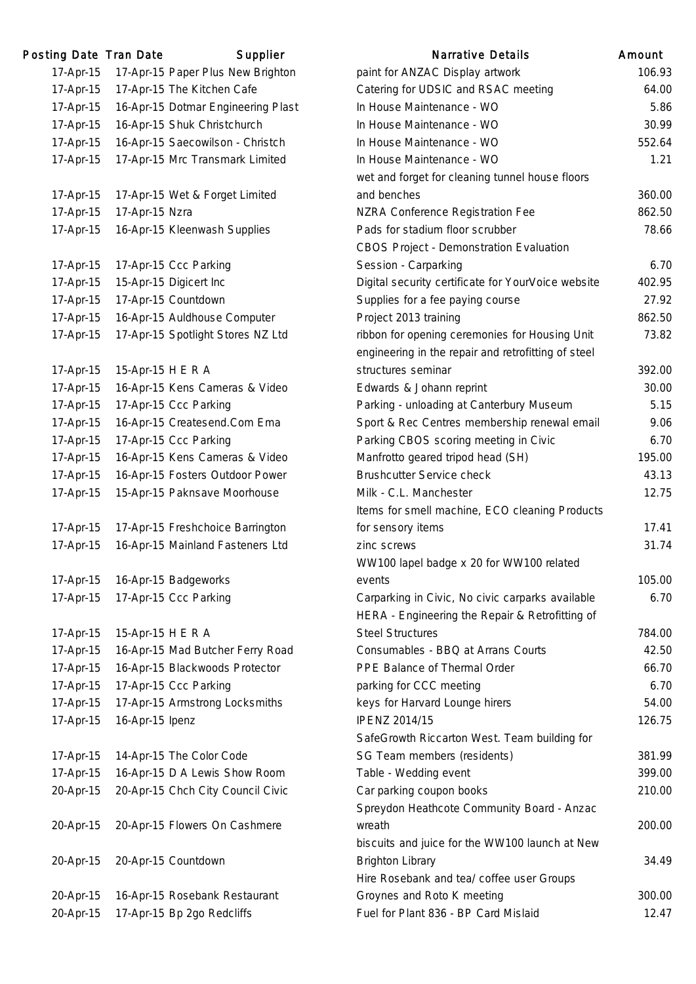| 'osting Date Tran Date |                   | Supplier                           |
|------------------------|-------------------|------------------------------------|
| 17-Apr-15              |                   | 17-Apr-15 Paper Plus New Brighton  |
| 17-Apr-15              |                   | 17-Apr-15 The Kitchen Cafe         |
| 17-Apr-15              |                   | 16-Apr-15 Dotmar Engineering Plast |
| 17-Apr-15              |                   | 16-Apr-15 Shuk Christchurch        |
| 17-Apr-15              |                   | 16-Apr-15 Saecowilson - Christch   |
| 17-Apr-15              |                   | 17-Apr-15 Mrc Transmark Limited    |
|                        |                   |                                    |
| 17-Apr-15              |                   | 17-Apr-15 Wet & Forget Limited     |
| 17-Apr-15              | 17-Apr-15 Nzra    |                                    |
| 17-Apr-15              |                   | 16-Apr-15 Kleenwash Supplies       |
|                        |                   |                                    |
| 17-Apr-15              |                   | 17-Apr-15 Ccc Parking              |
| 17-Apr-15              |                   | 15-Apr-15 Digicert Inc             |
| 17-Apr-15              |                   | 17-Apr-15 Countdown                |
| 17-Apr-15              |                   | 16-Apr-15 Auldhouse Computer       |
| 17-Apr-15              |                   | 17-Apr-15 Spotlight Stores NZ Ltd  |
|                        |                   |                                    |
| 17-Apr-15              | 15-Apr-15 H E R A |                                    |
| 17-Apr-15              |                   | 16-Apr-15 Kens Cameras & Video     |
| 17-Apr-15              |                   | 17-Apr-15 Ccc Parking              |
| 17-Apr-15              |                   | 16-Apr-15 Createsend.Com Ema       |
| 17-Apr-15              |                   | 17-Apr-15 Ccc Parking              |
| 17-Apr-15              |                   | 16-Apr-15 Kens Cameras & Video     |
| 17-Apr-15              |                   | 16-Apr-15 Fosters Outdoor Power    |
| 17-Apr-15              |                   | 15-Apr-15 Paknsave Moorhouse       |
|                        |                   |                                    |
| 17-Apr-15              |                   | 17-Apr-15 Freshchoice Barrington   |
| 17-Apr-15              |                   | 16-Apr-15 Mainland Fasteners Ltd   |
|                        |                   |                                    |
| 17-Apr-15              |                   | 16-Apr-15 Badgeworks               |
| 17-Apr-15              |                   | 17-Apr-15 Ccc Parking              |
|                        |                   |                                    |
| 17-Apr-15              | 15-Apr-15 H E R A |                                    |
| 17-Apr-15              |                   | 16-Apr-15 Mad Butcher Ferry Road   |
| 17-Apr-15              |                   | 16-Apr-15 Blackwoods Protector     |
| 17-Apr-15              |                   | 17-Apr-15 Ccc Parking              |
| 17-Apr-15              |                   | 17-Apr-15 Armstrong Locksmiths     |
| 17-Apr-15              | 16-Apr-15 Ipenz   |                                    |
|                        |                   |                                    |
| 17-Apr-15              |                   | 14-Apr-15 The Color Code           |
| 17-Apr-15              |                   | 16-Apr-15 D A Lewis Show Room      |
| 20-Apr-15              |                   | 20-Apr-15 Chch City Council Civic  |
|                        |                   |                                    |
| 20-Apr-15              |                   | 20-Apr-15 Flowers On Cashmere      |
|                        |                   |                                    |
| 20-Apr-15              |                   | 20-Apr-15 Countdown                |
|                        |                   |                                    |
| 20-Apr-15              |                   | 16-Apr-15 Rosebank Restaurant      |
| 20-Apr-15              |                   | 17-Apr-15 Bp 2go Redcliffs         |

| Posting Date Tran Date |                   | Supplier                           | <b>Narrative Details</b>                            | Amount |
|------------------------|-------------------|------------------------------------|-----------------------------------------------------|--------|
| 17-Apr-15              |                   | 17-Apr-15 Paper Plus New Brighton  | paint for ANZAC Display artwork                     | 106.93 |
| 17-Apr-15              |                   | 17-Apr-15 The Kitchen Cafe         | Catering for UDSIC and RSAC meeting                 | 64.00  |
| 17-Apr-15              |                   | 16-Apr-15 Dotmar Engineering Plast | In House Maintenance - WO                           | 5.86   |
| 17-Apr-15              |                   | 16-Apr-15 Shuk Christchurch        | In House Maintenance - WO                           | 30.99  |
| 17-Apr-15              |                   | 16-Apr-15 Saecowilson - Christch   | In House Maintenance - WO                           | 552.64 |
| 17-Apr-15              |                   | 17-Apr-15 Mrc Transmark Limited    | In House Maintenance - WO                           | 1.21   |
|                        |                   |                                    | wet and forget for cleaning tunnel house floors     |        |
| 17-Apr-15              |                   | 17-Apr-15 Wet & Forget Limited     | and benches                                         | 360.00 |
| 17-Apr-15              | 17-Apr-15 Nzra    |                                    | NZRA Conference Registration Fee                    | 862.50 |
| 17-Apr-15              |                   | 16-Apr-15 Kleenwash Supplies       | Pads for stadium floor scrubber                     | 78.66  |
|                        |                   |                                    | CBOS Project - Demonstration Evaluation             |        |
| 17-Apr-15              |                   | 17-Apr-15 Ccc Parking              | Session - Carparking                                | 6.70   |
| 17-Apr-15              |                   | 15-Apr-15 Digicert Inc             | Digital security certificate for YourVoice website  | 402.95 |
| 17-Apr-15              |                   | 17-Apr-15 Countdown                | Supplies for a fee paying course                    | 27.92  |
| 17-Apr-15              |                   | 16-Apr-15 Auldhouse Computer       | Project 2013 training                               | 862.50 |
| 17-Apr-15              |                   | 17-Apr-15 Spotlight Stores NZ Ltd  | ribbon for opening ceremonies for Housing Unit      | 73.82  |
|                        |                   |                                    | engineering in the repair and retrofitting of steel |        |
| 17-Apr-15              | 15-Apr-15 H E R A |                                    | structures seminar                                  | 392.00 |
| 17-Apr-15              |                   | 16-Apr-15 Kens Cameras & Video     | Edwards & Johann reprint                            | 30.00  |
| 17-Apr-15              |                   | 17-Apr-15 Ccc Parking              | Parking - unloading at Canterbury Museum            | 5.15   |
| 17-Apr-15              |                   | 16-Apr-15 Createsend.Com Ema       | Sport & Rec Centres membership renewal email        | 9.06   |
| 17-Apr-15              |                   | 17-Apr-15 Ccc Parking              | Parking CBOS scoring meeting in Civic               | 6.70   |
| 17-Apr-15              |                   | 16-Apr-15 Kens Cameras & Video     | Manfrotto geared tripod head (SH)                   | 195.00 |
| 17-Apr-15              |                   | 16-Apr-15 Fosters Outdoor Power    | <b>Brushcutter Service check</b>                    | 43.13  |
| 17-Apr-15              |                   | 15-Apr-15 Paknsave Moorhouse       | Milk - C.L. Manchester                              | 12.75  |
|                        |                   |                                    | Items for smell machine, ECO cleaning Products      |        |
| 17-Apr-15              |                   | 17-Apr-15 Freshchoice Barrington   | for sensory items                                   | 17.41  |
| 17-Apr-15              |                   | 16-Apr-15 Mainland Fasteners Ltd   | zinc screws                                         | 31.74  |
|                        |                   |                                    | WW100 lapel badge x 20 for WW100 related            |        |
| 17-Apr-15              |                   | 16-Apr-15 Badgeworks               | events                                              | 105.00 |
| 17-Apr-15              |                   | 17-Apr-15 Ccc Parking              | Carparking in Civic, No civic carparks available    | 6.70   |
|                        |                   |                                    | HERA - Engineering the Repair & Retrofitting of     |        |
| 17-Apr-15              | 15-Apr-15 H E R A |                                    | <b>Steel Structures</b>                             | 784.00 |
| 17-Apr-15              |                   | 16-Apr-15 Mad Butcher Ferry Road   | Consumables - BBQ at Arrans Courts                  | 42.50  |
| 17-Apr-15              |                   | 16-Apr-15 Blackwoods Protector     | PPE Balance of Thermal Order                        | 66.70  |
| 17-Apr-15              |                   | 17-Apr-15 Ccc Parking              | parking for CCC meeting                             | 6.70   |
| 17-Apr-15              |                   | 17-Apr-15 Armstrong Locksmiths     | keys for Harvard Lounge hirers                      | 54.00  |
| 17-Apr-15              | 16-Apr-15 Ipenz   |                                    | <b>IPENZ 2014/15</b>                                | 126.75 |
|                        |                   |                                    | SafeGrowth Riccarton West. Team building for        |        |
| 17-Apr-15              |                   | 14-Apr-15 The Color Code           | SG Team members (residents)                         | 381.99 |
| 17-Apr-15              |                   | 16-Apr-15 D A Lewis Show Room      | Table - Wedding event                               | 399.00 |
| 20-Apr-15              |                   | 20-Apr-15 Chch City Council Civic  | Car parking coupon books                            | 210.00 |
|                        |                   |                                    | Spreydon Heathcote Community Board - Anzac          |        |
| 20-Apr-15              |                   | 20-Apr-15 Flowers On Cashmere      | wreath                                              | 200.00 |
|                        |                   |                                    | biscuits and juice for the WW100 launch at New      |        |
| 20-Apr-15              |                   | 20-Apr-15 Countdown                | <b>Brighton Library</b>                             | 34.49  |
|                        |                   |                                    | Hire Rosebank and tea/ coffee user Groups           |        |
| 20-Apr-15              |                   | 16-Apr-15 Rosebank Restaurant      | Groynes and Roto K meeting                          | 300.00 |
| 20-Apr-15              |                   | 17-Apr-15 Bp 2go Redcliffs         | Fuel for Plant 836 - BP Card Mislaid                | 12.47  |
|                        |                   |                                    |                                                     |        |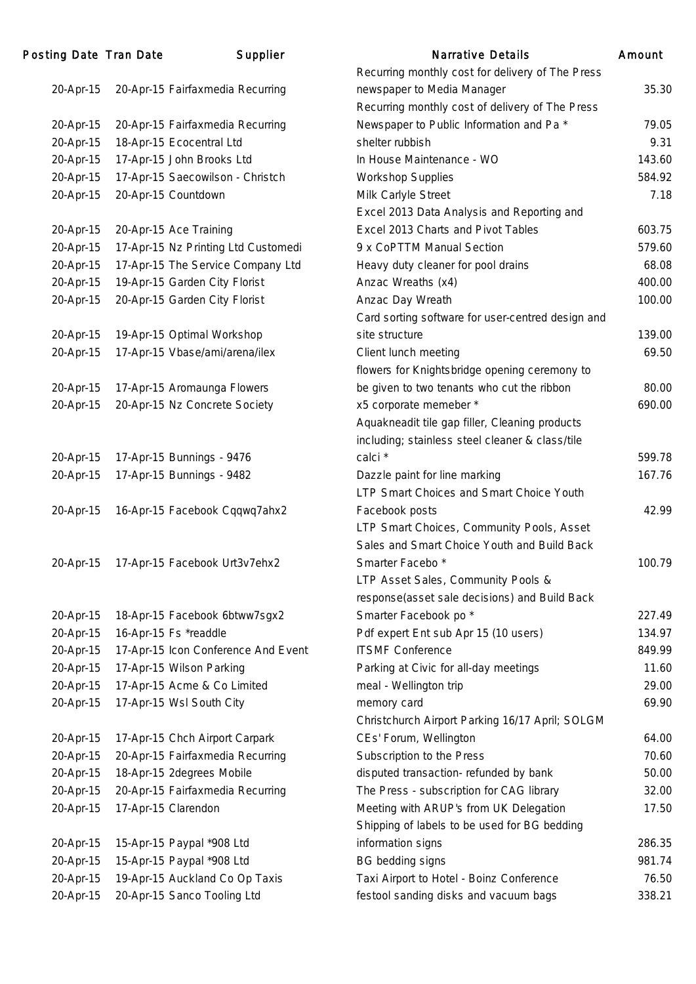| Posting Date Tran Date | Supplier                            | Narrative Details                                 | Amount |
|------------------------|-------------------------------------|---------------------------------------------------|--------|
|                        |                                     | Recurring monthly cost for delivery of The Press  |        |
| 20-Apr-15              | 20-Apr-15 Fairfaxmedia Recurring    | newspaper to Media Manager                        | 35.30  |
|                        |                                     | Recurring monthly cost of delivery of The Press   |        |
| 20-Apr-15              | 20-Apr-15 Fairfaxmedia Recurring    | Newspaper to Public Information and Pa *          | 79.05  |
| 20-Apr-15              | 18-Apr-15 Ecocentral Ltd            | shelter rubbish                                   | 9.31   |
| 20-Apr-15              | 17-Apr-15 John Brooks Ltd           | In House Maintenance - WO                         | 143.60 |
| 20-Apr-15              | 17-Apr-15 Saecowilson - Christch    | <b>Workshop Supplies</b>                          | 584.92 |
| 20-Apr-15              | 20-Apr-15 Countdown                 | Milk Carlyle Street                               | 7.18   |
|                        |                                     | Excel 2013 Data Analysis and Reporting and        |        |
| 20-Apr-15              | 20-Apr-15 Ace Training              | Excel 2013 Charts and Pivot Tables                | 603.75 |
| 20-Apr-15              | 17-Apr-15 Nz Printing Ltd Customedi | 9 x CoPTTM Manual Section                         | 579.60 |
| 20-Apr-15              | 17-Apr-15 The Service Company Ltd   | Heavy duty cleaner for pool drains                | 68.08  |
| 20-Apr-15              | 19-Apr-15 Garden City Florist       | Anzac Wreaths (x4)                                | 400.00 |
| 20-Apr-15              | 20-Apr-15 Garden City Florist       | Anzac Day Wreath                                  | 100.00 |
|                        |                                     | Card sorting software for user-centred design and |        |
| 20-Apr-15              | 19-Apr-15 Optimal Workshop          | site structure                                    | 139.00 |
| 20-Apr-15              | 17-Apr-15 Vbase/ami/arena/ilex      | Client lunch meeting                              | 69.50  |
|                        |                                     | flowers for Knightsbridge opening ceremony to     |        |
| 20-Apr-15              | 17-Apr-15 Aromaunga Flowers         | be given to two tenants who cut the ribbon        | 80.00  |
| 20-Apr-15              | 20-Apr-15 Nz Concrete Society       | x5 corporate memeber *                            | 690.00 |
|                        |                                     | Aquakneadit tile gap filler, Cleaning products    |        |
|                        |                                     | including; stainless steel cleaner & class/tile   |        |
| 20-Apr-15              | 17-Apr-15 Bunnings - 9476           | calci *                                           | 599.78 |
| 20-Apr-15              | 17-Apr-15 Bunnings - 9482           | Dazzle paint for line marking                     | 167.76 |
|                        |                                     | LTP Smart Choices and Smart Choice Youth          |        |
| 20-Apr-15              | 16-Apr-15 Facebook Cqqwq7ahx2       | Facebook posts                                    | 42.99  |
|                        |                                     | LTP Smart Choices, Community Pools, Asset         |        |
|                        |                                     | Sales and Smart Choice Youth and Build Back       |        |
| 20-Apr-15              | 17-Apr-15 Facebook Urt3v7ehx2       | Smarter Facebo*                                   | 100.79 |
|                        |                                     | LTP Asset Sales, Community Pools &                |        |
|                        |                                     | response(asset sale decisions) and Build Back     |        |
| 20-Apr-15              | 18-Apr-15 Facebook 6btww7sgx2       | Smarter Facebook po *                             | 227.49 |
| 20-Apr-15              | 16-Apr-15 Fs *readdle               | Pdf expert Ent sub Apr 15 (10 users)              | 134.97 |
| 20-Apr-15              | 17-Apr-15 Icon Conference And Event | <b>ITSMF Conference</b>                           | 849.99 |
| 20-Apr-15              | 17-Apr-15 Wilson Parking            | Parking at Civic for all-day meetings             | 11.60  |
| 20-Apr-15              | 17-Apr-15 Acme & Co Limited         | meal - Wellington trip                            | 29.00  |
| 20-Apr-15              | 17-Apr-15 Wsl South City            | memory card                                       | 69.90  |
|                        |                                     | Christchurch Airport Parking 16/17 April; SOLGM   |        |
| 20-Apr-15              | 17-Apr-15 Chch Airport Carpark      | CEs' Forum, Wellington                            | 64.00  |
| 20-Apr-15              | 20-Apr-15 Fairfaxmedia Recurring    | Subscription to the Press                         | 70.60  |
| 20-Apr-15              | 18-Apr-15 2degrees Mobile           | disputed transaction-refunded by bank             | 50.00  |
| 20-Apr-15              | 20-Apr-15 Fairfaxmedia Recurring    | The Press - subscription for CAG library          | 32.00  |
| 20-Apr-15              | 17-Apr-15 Clarendon                 | Meeting with ARUP's from UK Delegation            | 17.50  |
|                        |                                     | Shipping of labels to be used for BG bedding      |        |
| 20-Apr-15              | 15-Apr-15 Paypal *908 Ltd           | information signs                                 | 286.35 |
| 20-Apr-15              | 15-Apr-15 Paypal *908 Ltd           | <b>BG</b> bedding signs                           | 981.74 |
| 20-Apr-15              | 19-Apr-15 Auckland Co Op Taxis      | Taxi Airport to Hotel - Boinz Conference          | 76.50  |
| 20-Apr-15              | 20-Apr-15 Sanco Tooling Ltd         | festool sanding disks and vacuum bags             | 338.21 |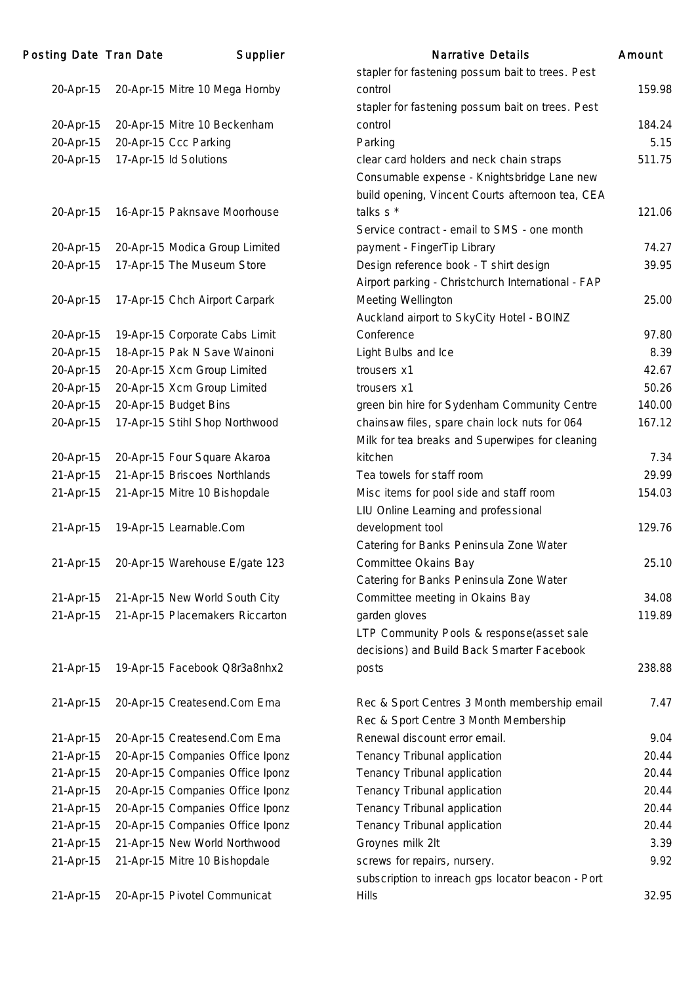| Posting Date Tran Date | Supplier                         | <b>Narrative Details</b>                           | Amount |
|------------------------|----------------------------------|----------------------------------------------------|--------|
|                        |                                  | stapler for fastening possum bait to trees. Pest   |        |
| 20-Apr-15              | 20-Apr-15 Mitre 10 Mega Hornby   | control                                            | 159.98 |
|                        |                                  | stapler for fastening possum bait on trees. Pest   |        |
| 20-Apr-15              | 20-Apr-15 Mitre 10 Beckenham     | control                                            | 184.24 |
| 20-Apr-15              | 20-Apr-15 Ccc Parking            | Parking                                            | 5.15   |
| 20-Apr-15              | 17-Apr-15 Id Solutions           | clear card holders and neck chain straps           | 511.75 |
|                        |                                  | Consumable expense - Knightsbridge Lane new        |        |
|                        |                                  | build opening, Vincent Courts afternoon tea, CEA   |        |
| 20-Apr-15              | 16-Apr-15 Paknsave Moorhouse     | talks s *                                          | 121.06 |
|                        |                                  | Service contract - email to SMS - one month        |        |
| 20-Apr-15              | 20-Apr-15 Modica Group Limited   | payment - FingerTip Library                        | 74.27  |
| 20-Apr-15              | 17-Apr-15 The Museum Store       | Design reference book - T shirt design             | 39.95  |
|                        |                                  | Airport parking - Christchurch International - FAP |        |
| 20-Apr-15              | 17-Apr-15 Chch Airport Carpark   | Meeting Wellington                                 | 25.00  |
|                        |                                  | Auckland airport to SkyCity Hotel - BOINZ          |        |
| 20-Apr-15              | 19-Apr-15 Corporate Cabs Limit   | Conference                                         | 97.80  |
| 20-Apr-15              | 18-Apr-15 Pak N Save Wainoni     | Light Bulbs and Ice                                | 8.39   |
| 20-Apr-15              | 20-Apr-15 Xcm Group Limited      | trousers x1                                        | 42.67  |
| 20-Apr-15              | 20-Apr-15 Xcm Group Limited      | trousers x1                                        | 50.26  |
| 20-Apr-15              | 20-Apr-15 Budget Bins            | green bin hire for Sydenham Community Centre       | 140.00 |
| 20-Apr-15              | 17-Apr-15 Stihl Shop Northwood   | chainsaw files, spare chain lock nuts for 064      | 167.12 |
|                        |                                  | Milk for tea breaks and Superwipes for cleaning    |        |
| 20-Apr-15              | 20-Apr-15 Four Square Akaroa     | kitchen                                            | 7.34   |
| 21-Apr-15              | 21-Apr-15 Briscoes Northlands    | Tea towels for staff room                          | 29.99  |
| 21-Apr-15              | 21-Apr-15 Mitre 10 Bishopdale    | Misc items for pool side and staff room            | 154.03 |
|                        |                                  | LIU Online Learning and professional               |        |
| 21-Apr-15              | 19-Apr-15 Learnable.Com          | development tool                                   | 129.76 |
|                        |                                  | Catering for Banks Peninsula Zone Water            |        |
| 21-Apr-15              | 20-Apr-15 Warehouse E/gate 123   | Committee Okains Bay                               | 25.10  |
|                        |                                  | Catering for Banks Peninsula Zone Water            |        |
| 21-Apr-15              | 21-Apr-15 New World South City   | Committee meeting in Okains Bay                    | 34.08  |
| 21-Apr-15              | 21-Apr-15 Placemakers Riccarton  | garden gloves                                      | 119.89 |
|                        |                                  | LTP Community Pools & response(asset sale          |        |
|                        |                                  | decisions) and Build Back Smarter Facebook         |        |
| 21-Apr-15              | 19-Apr-15 Facebook Q8r3a8nhx2    | posts                                              | 238.88 |
| 21-Apr-15              | 20-Apr-15 Createsend.Com Ema     | Rec & Sport Centres 3 Month membership email       | 7.47   |
|                        |                                  | Rec & Sport Centre 3 Month Membership              |        |
| 21-Apr-15              | 20-Apr-15 Createsend.Com Ema     | Renewal discount error email.                      | 9.04   |
| 21-Apr-15              | 20-Apr-15 Companies Office Iponz | Tenancy Tribunal application                       | 20.44  |
| 21-Apr-15              | 20-Apr-15 Companies Office Iponz | Tenancy Tribunal application                       | 20.44  |
| 21-Apr-15              | 20-Apr-15 Companies Office Iponz | Tenancy Tribunal application                       | 20.44  |
| 21-Apr-15              | 20-Apr-15 Companies Office Iponz | Tenancy Tribunal application                       | 20.44  |
| 21-Apr-15              | 20-Apr-15 Companies Office Iponz | Tenancy Tribunal application                       | 20.44  |
| 21-Apr-15              | 21-Apr-15 New World Northwood    | Groynes milk 2lt                                   | 3.39   |
| 21-Apr-15              | 21-Apr-15 Mitre 10 Bishopdale    | screws for repairs, nursery.                       | 9.92   |
|                        |                                  | subscription to inreach gps locator beacon - Port  |        |
| 21-Apr-15              | 20-Apr-15 Pivotel Communicat     | <b>Hills</b>                                       | 32.95  |
|                        |                                  |                                                    |        |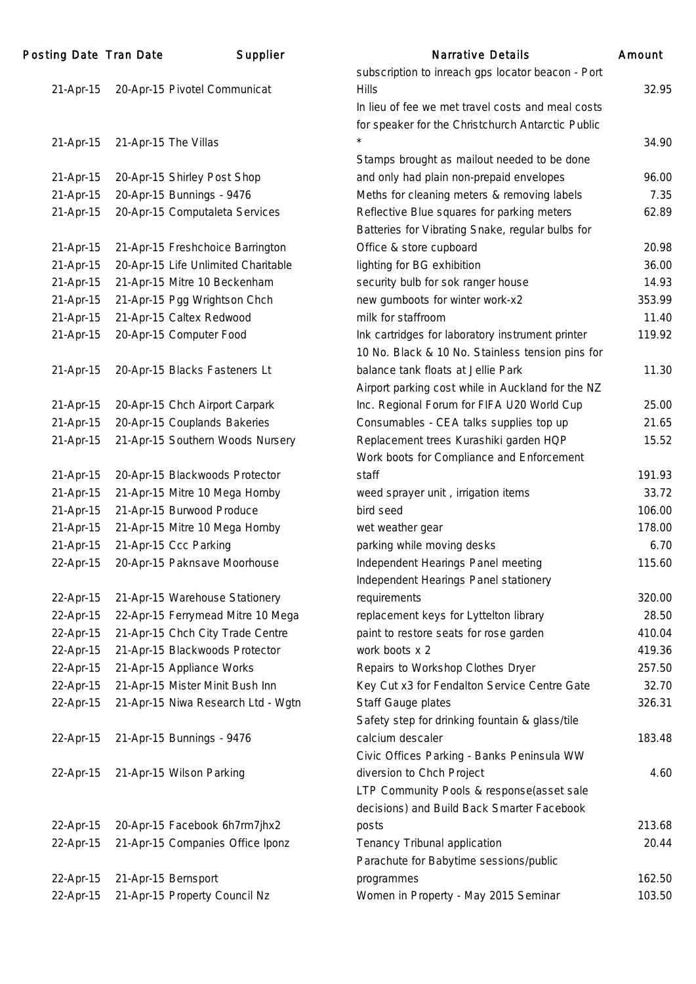| Posting Date Tran Date |                      | Supplier                            | <b>Narrative Details</b>                          | Amount |
|------------------------|----------------------|-------------------------------------|---------------------------------------------------|--------|
|                        |                      |                                     | subscription to inreach gps locator beacon - Port |        |
| 21-Apr-15              |                      | 20-Apr-15 Pivotel Communicat        | <b>Hills</b>                                      | 32.95  |
|                        |                      |                                     | In lieu of fee we met travel costs and meal costs |        |
|                        |                      |                                     | for speaker for the Christchurch Antarctic Public |        |
| 21-Apr-15              | 21-Apr-15 The Villas |                                     |                                                   | 34.90  |
|                        |                      |                                     | Stamps brought as mailout needed to be done       |        |
| 21-Apr-15              |                      | 20-Apr-15 Shirley Post Shop         | and only had plain non-prepaid envelopes          | 96.00  |
| 21-Apr-15              |                      | 20-Apr-15 Bunnings - 9476           | Meths for cleaning meters & removing labels       | 7.35   |
| 21-Apr-15              |                      | 20-Apr-15 Computaleta Services      | Reflective Blue squares for parking meters        | 62.89  |
|                        |                      |                                     | Batteries for Vibrating Snake, regular bulbs for  |        |
| 21-Apr-15              |                      | 21-Apr-15 Freshchoice Barrington    | Office & store cupboard                           | 20.98  |
| 21-Apr-15              |                      | 20-Apr-15 Life Unlimited Charitable | lighting for BG exhibition                        | 36.00  |
| 21-Apr-15              |                      | 21-Apr-15 Mitre 10 Beckenham        | security bulb for sok ranger house                | 14.93  |
| 21-Apr-15              |                      | 21-Apr-15 Pgg Wrightson Chch        | new gumboots for winter work-x2                   | 353.99 |
| 21-Apr-15              |                      | 21-Apr-15 Caltex Redwood            | milk for staffroom                                | 11.40  |
| 21-Apr-15              |                      | 20-Apr-15 Computer Food             | Ink cartridges for laboratory instrument printer  | 119.92 |
|                        |                      |                                     | 10 No. Black & 10 No. Stainless tension pins for  |        |
| 21-Apr-15              |                      | 20-Apr-15 Blacks Fasteners Lt       | balance tank floats at Jellie Park                | 11.30  |
|                        |                      |                                     | Airport parking cost while in Auckland for the NZ |        |
| 21-Apr-15              |                      | 20-Apr-15 Chch Airport Carpark      | Inc. Regional Forum for FIFA U20 World Cup        | 25.00  |
| 21-Apr-15              |                      | 20-Apr-15 Couplands Bakeries        | Consumables - CEA talks supplies top up           | 21.65  |
| 21-Apr-15              |                      | 21-Apr-15 Southern Woods Nursery    | Replacement trees Kurashiki garden HQP            | 15.52  |
|                        |                      |                                     | Work boots for Compliance and Enforcement         |        |
| 21-Apr-15              |                      | 20-Apr-15 Blackwoods Protector      | staff                                             | 191.93 |
| 21-Apr-15              |                      | 21-Apr-15 Mitre 10 Mega Hornby      | weed sprayer unit, irrigation items               | 33.72  |
| 21-Apr-15              |                      | 21-Apr-15 Burwood Produce           | bird seed                                         | 106.00 |
| 21-Apr-15              |                      | 21-Apr-15 Mitre 10 Mega Hornby      | wet weather gear                                  | 178.00 |
| 21-Apr-15              |                      | 21-Apr-15 Ccc Parking               | parking while moving desks                        | 6.70   |
| 22-Apr-15              |                      | 20-Apr-15 Paknsave Moorhouse        | Independent Hearings Panel meeting                | 115.60 |
|                        |                      |                                     | Independent Hearings Panel stationery             |        |
| 22-Apr-15              |                      | 21-Apr-15 Warehouse Stationery      | requirements                                      | 320.00 |
| 22-Apr-15              |                      | 22-Apr-15 Ferrymead Mitre 10 Mega   | replacement keys for Lyttelton library            | 28.50  |
| 22-Apr-15              |                      | 21-Apr-15 Chch City Trade Centre    | paint to restore seats for rose garden            | 410.04 |
| 22-Apr-15              |                      | 21-Apr-15 Blackwoods Protector      | work boots x 2                                    | 419.36 |
| 22-Apr-15              |                      | 21-Apr-15 Appliance Works           | Repairs to Workshop Clothes Dryer                 | 257.50 |
| 22-Apr-15              |                      | 21-Apr-15 Mister Minit Bush Inn     | Key Cut x3 for Fendalton Service Centre Gate      | 32.70  |
| 22-Apr-15              |                      | 21-Apr-15 Niwa Research Ltd - Wgtn  | Staff Gauge plates                                | 326.31 |
|                        |                      |                                     | Safety step for drinking fountain & glass/tile    |        |
| 22-Apr-15              |                      | 21-Apr-15 Bunnings - 9476           | calcium descaler                                  | 183.48 |
|                        |                      |                                     | Civic Offices Parking - Banks Peninsula WW        |        |
| 22-Apr-15              |                      | 21-Apr-15 Wilson Parking            | diversion to Chch Project                         | 4.60   |
|                        |                      |                                     | LTP Community Pools & response(asset sale         |        |
|                        |                      |                                     | decisions) and Build Back Smarter Facebook        |        |
| 22-Apr-15              |                      | 20-Apr-15 Facebook 6h7rm7jhx2       | posts                                             | 213.68 |
| 22-Apr-15              |                      | 21-Apr-15 Companies Office Iponz    | Tenancy Tribunal application                      | 20.44  |
|                        |                      |                                     | Parachute for Babytime sessions/public            |        |
| 22-Apr-15              | 21-Apr-15 Bernsport  |                                     | programmes                                        | 162.50 |
| 22-Apr-15              |                      | 21-Apr-15 Property Council Nz       | Women in Property - May 2015 Seminar              | 103.50 |
|                        |                      |                                     |                                                   |        |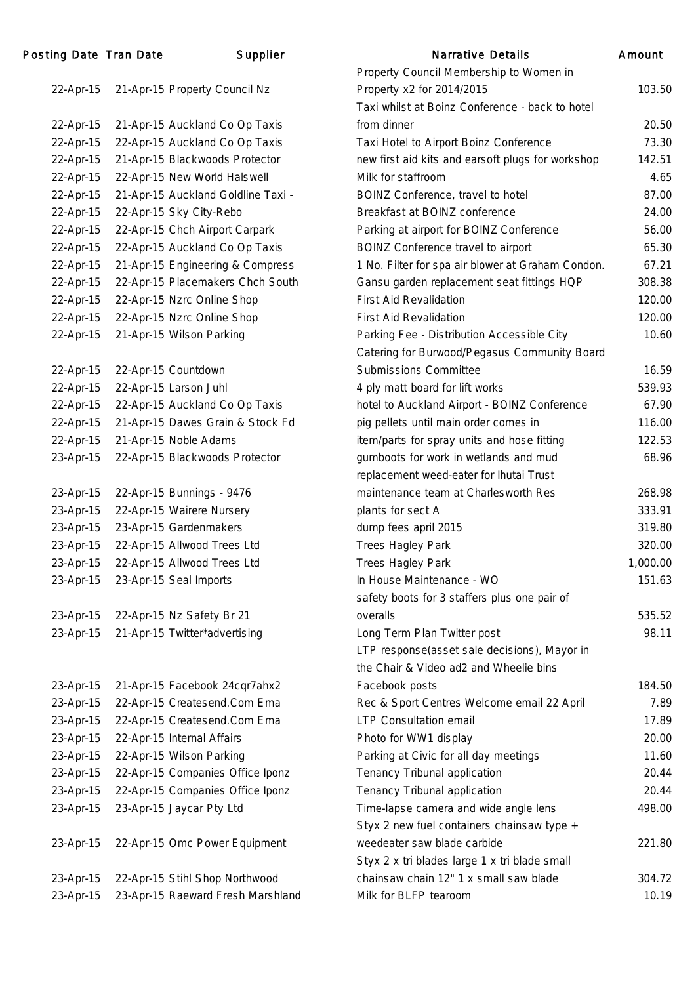| Posting Date Tran Date | Supplier                           | Narrative Details                                 | Amount   |
|------------------------|------------------------------------|---------------------------------------------------|----------|
|                        |                                    | Property Council Membership to Women in           |          |
| 22-Apr-15              | 21-Apr-15 Property Council Nz      | Property x2 for 2014/2015                         | 103.50   |
|                        |                                    | Taxi whilst at Boinz Conference - back to hotel   |          |
| 22-Apr-15              | 21-Apr-15 Auckland Co Op Taxis     | from dinner                                       | 20.50    |
| 22-Apr-15              | 22-Apr-15 Auckland Co Op Taxis     | Taxi Hotel to Airport Boinz Conference            | 73.30    |
| 22-Apr-15              | 21-Apr-15 Blackwoods Protector     | new first aid kits and earsoft plugs for workshop | 142.51   |
| 22-Apr-15              | 22-Apr-15 New World Halswell       | Milk for staffroom                                | 4.65     |
| 22-Apr-15              | 21-Apr-15 Auckland Goldline Taxi - | BOINZ Conference, travel to hotel                 | 87.00    |
| 22-Apr-15              | 22-Apr-15 Sky City-Rebo            | Breakfast at BOINZ conference                     | 24.00    |
| 22-Apr-15              | 22-Apr-15 Chch Airport Carpark     | Parking at airport for BOINZ Conference           | 56.00    |
| 22-Apr-15              | 22-Apr-15 Auckland Co Op Taxis     | BOINZ Conference travel to airport                | 65.30    |
| 22-Apr-15              | 21-Apr-15 Engineering & Compress   | 1 No. Filter for spa air blower at Graham Condon. | 67.21    |
| 22-Apr-15              | 22-Apr-15 Placemakers Chch South   | Gansu garden replacement seat fittings HQP        | 308.38   |
| 22-Apr-15              | 22-Apr-15 Nzrc Online Shop         | <b>First Aid Revalidation</b>                     | 120.00   |
| 22-Apr-15              | 22-Apr-15 Nzrc Online Shop         | <b>First Aid Revalidation</b>                     | 120.00   |
| 22-Apr-15              | 21-Apr-15 Wilson Parking           | Parking Fee - Distribution Accessible City        | 10.60    |
|                        |                                    | Catering for Burwood/Pegasus Community Board      |          |
| 22-Apr-15              | 22-Apr-15 Countdown                | <b>Submissions Committee</b>                      | 16.59    |
| 22-Apr-15              | 22-Apr-15 Larson Juhl              | 4 ply matt board for lift works                   | 539.93   |
| 22-Apr-15              | 22-Apr-15 Auckland Co Op Taxis     | hotel to Auckland Airport - BOINZ Conference      | 67.90    |
| 22-Apr-15              | 21-Apr-15 Dawes Grain & Stock Fd   | pig pellets until main order comes in             | 116.00   |
| 22-Apr-15              | 21-Apr-15 Noble Adams              | item/parts for spray units and hose fitting       | 122.53   |
| 23-Apr-15              | 22-Apr-15 Blackwoods Protector     | gumboots for work in wetlands and mud             | 68.96    |
|                        |                                    | replacement weed-eater for Ihutai Trust           |          |
| 23-Apr-15              | 22-Apr-15 Bunnings - 9476          | maintenance team at Charlesworth Res              | 268.98   |
| 23-Apr-15              | 22-Apr-15 Wairere Nursery          | plants for sect A                                 | 333.91   |
| 23-Apr-15              | 23-Apr-15 Gardenmakers             | dump fees april 2015                              | 319.80   |
| 23-Apr-15              | 22-Apr-15 Allwood Trees Ltd        | <b>Trees Hagley Park</b>                          | 320.00   |
| 23-Apr-15              | 22-Apr-15 Allwood Trees Ltd        | Trees Hagley Park                                 | 1,000.00 |
| 23-Apr-15              | 23-Apr-15 Seal Imports             | In House Maintenance - WO                         | 151.63   |
|                        |                                    | safety boots for 3 staffers plus one pair of      |          |
| 23-Apr-15              | 22-Apr-15 Nz Safety Br 21          | overalls                                          | 535.52   |
| 23-Apr-15              | 21-Apr-15 Twitter*advertising      | Long Term Plan Twitter post                       | 98.11    |
|                        |                                    | LTP response(asset sale decisions), Mayor in      |          |
|                        |                                    | the Chair & Video ad2 and Wheelie bins            |          |
| 23-Apr-15              | 21-Apr-15 Facebook 24cqr7ahx2      | Facebook posts                                    | 184.50   |
| 23-Apr-15              | 22-Apr-15 Createsend.Com Ema       | Rec & Sport Centres Welcome email 22 April        | 7.89     |
| 23-Apr-15              | 22-Apr-15 Createsend.Com Ema       | LTP Consultation email                            | 17.89    |
| 23-Apr-15              | 22-Apr-15 Internal Affairs         | Photo for WW1 display                             | 20.00    |
| 23-Apr-15              | 22-Apr-15 Wilson Parking           | Parking at Civic for all day meetings             | 11.60    |
| 23-Apr-15              | 22-Apr-15 Companies Office Iponz   | Tenancy Tribunal application                      | 20.44    |
| 23-Apr-15              | 22-Apr-15 Companies Office Iponz   | Tenancy Tribunal application                      | 20.44    |
| 23-Apr-15              | 23-Apr-15 Jaycar Pty Ltd           | Time-lapse camera and wide angle lens             | 498.00   |
|                        |                                    | Styx 2 new fuel containers chainsaw type +        |          |
| 23-Apr-15              | 22-Apr-15 Omc Power Equipment      | weedeater saw blade carbide                       | 221.80   |
|                        |                                    | Styx 2 x tri blades large 1 x tri blade small     |          |
| 23-Apr-15              | 22-Apr-15 Stihl Shop Northwood     | chainsaw chain 12" 1 x small saw blade            | 304.72   |

23-Apr-15 23-Apr-15 Raeward Fresh Marshland Milk for BLFP tearoom 10.19

103.50

221.80